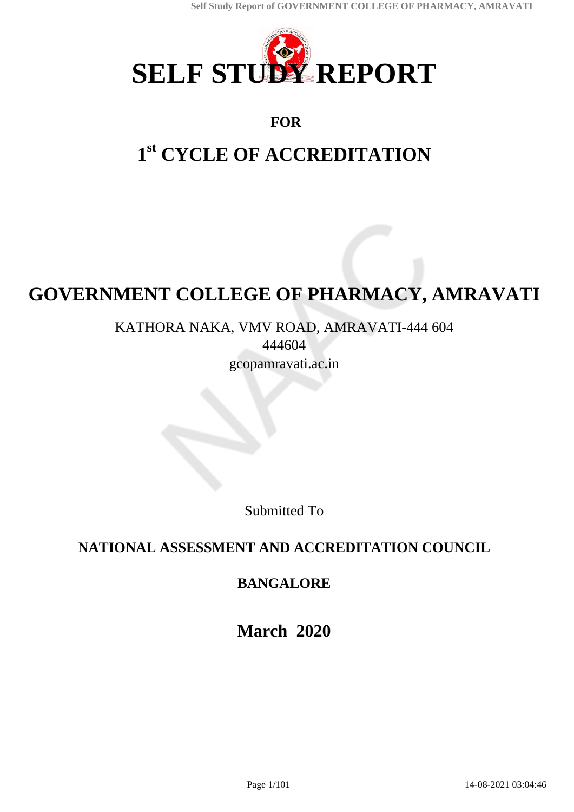

# **FOR**

# **1 st CYCLE OF ACCREDITATION**

# **GOVERNMENT COLLEGE OF PHARMACY, AMRAVATI**

KATHORA NAKA, VMV ROAD, AMRAVATI-444 604 444604 gcopamravati.ac.in

Submitted To

# **NATIONAL ASSESSMENT AND ACCREDITATION COUNCIL**

# **BANGALORE**

**March 2020**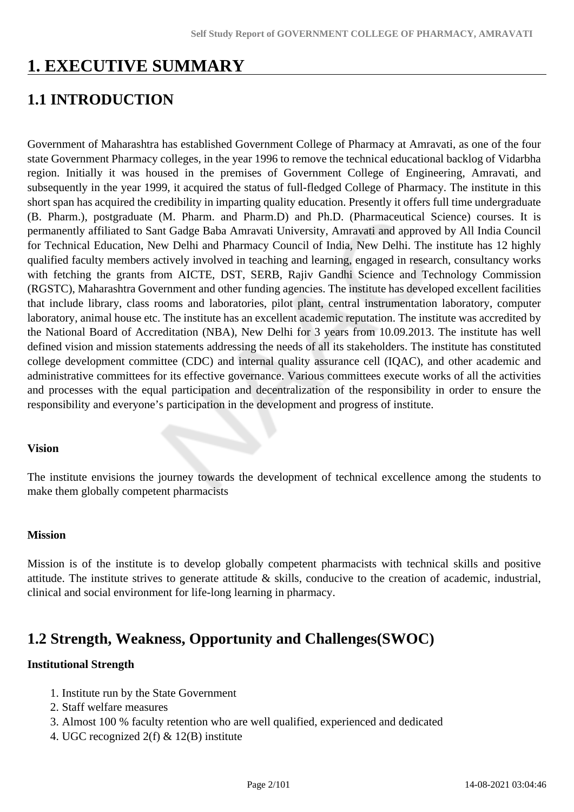# **1. EXECUTIVE SUMMARY**

# **1.1 INTRODUCTION**

Government of Maharashtra has established Government College of Pharmacy at Amravati, as one of the four state Government Pharmacy colleges, in the year 1996 to remove the technical educational backlog of Vidarbha region. Initially it was housed in the premises of Government College of Engineering, Amravati, and subsequently in the year 1999, it acquired the status of full-fledged College of Pharmacy. The institute in this short span has acquired the credibility in imparting quality education. Presently it offers full time undergraduate (B. Pharm.), postgraduate (M. Pharm. and Pharm.D) and Ph.D. (Pharmaceutical Science) courses. It is permanently affiliated to Sant Gadge Baba Amravati University, Amravati and approved by All India Council for Technical Education, New Delhi and Pharmacy Council of India, New Delhi. The institute has 12 highly qualified faculty members actively involved in teaching and learning, engaged in research, consultancy works with fetching the grants from AICTE, DST, SERB, Rajiv Gandhi Science and Technology Commission (RGSTC), Maharashtra Government and other funding agencies. The institute has developed excellent facilities that include library, class rooms and laboratories, pilot plant, central instrumentation laboratory, computer laboratory, animal house etc. The institute has an excellent academic reputation. The institute was accredited by the National Board of Accreditation (NBA), New Delhi for 3 years from 10.09.2013. The institute has well defined vision and mission statements addressing the needs of all its stakeholders. The institute has constituted college development committee (CDC) and internal quality assurance cell (IQAC), and other academic and administrative committees for its effective governance. Various committees execute works of all the activities and processes with the equal participation and decentralization of the responsibility in order to ensure the responsibility and everyone's participation in the development and progress of institute.

### **Vision**

The institute envisions the journey towards the development of technical excellence among the students to make them globally competent pharmacists

#### **Mission**

Mission is of the institute is to develop globally competent pharmacists with technical skills and positive attitude. The institute strives to generate attitude & skills, conducive to the creation of academic, industrial, clinical and social environment for life-long learning in pharmacy.

# **1.2 Strength, Weakness, Opportunity and Challenges(SWOC)**

#### **Institutional Strength**

- 1. Institute run by the State Government
- 2. Staff welfare measures
- 3. Almost 100 % faculty retention who are well qualified, experienced and dedicated
- 4. UGC recognized 2(f) & 12(B) institute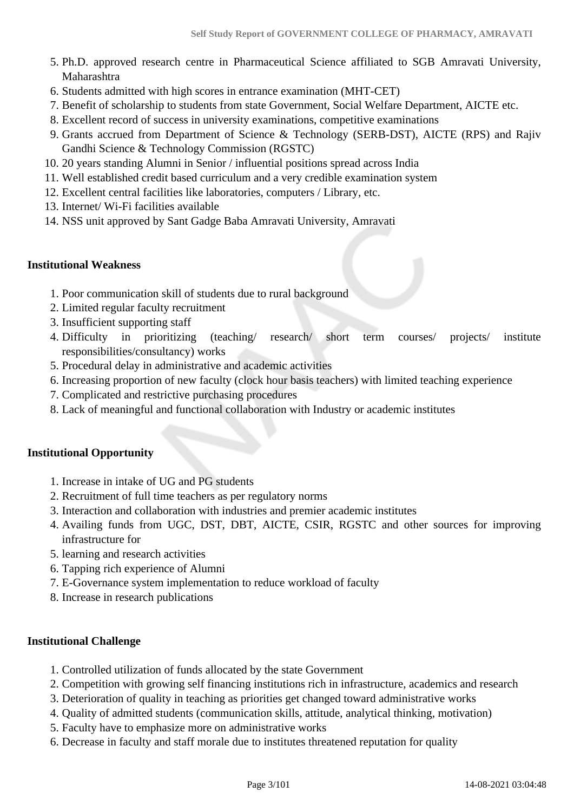- 5. Ph.D. approved research centre in Pharmaceutical Science affiliated to SGB Amravati University, Maharashtra
- 6. Students admitted with high scores in entrance examination (MHT-CET)
- 7. Benefit of scholarship to students from state Government, Social Welfare Department, AICTE etc.
- 8. Excellent record of success in university examinations, competitive examinations
- 9. Grants accrued from Department of Science & Technology (SERB-DST), AICTE (RPS) and Rajiv Gandhi Science & Technology Commission (RGSTC)
- 10. 20 years standing Alumni in Senior / influential positions spread across India
- 11. Well established credit based curriculum and a very credible examination system
- 12. Excellent central facilities like laboratories, computers / Library, etc.
- 13. Internet/ Wi-Fi facilities available
- 14. NSS unit approved by Sant Gadge Baba Amravati University, Amravati

#### **Institutional Weakness**

- 1. Poor communication skill of students due to rural background
- 2. Limited regular faculty recruitment
- 3. Insufficient supporting staff
- 4. Difficulty in prioritizing (teaching/ research/ short term courses/ projects/ institute responsibilities/consultancy) works
- 5. Procedural delay in administrative and academic activities
- 6. Increasing proportion of new faculty (clock hour basis teachers) with limited teaching experience
- 7. Complicated and restrictive purchasing procedures
- 8. Lack of meaningful and functional collaboration with Industry or academic institutes

#### **Institutional Opportunity**

- 1. Increase in intake of UG and PG students
- 2. Recruitment of full time teachers as per regulatory norms
- 3. Interaction and collaboration with industries and premier academic institutes
- 4. Availing funds from UGC, DST, DBT, AICTE, CSIR, RGSTC and other sources for improving infrastructure for
- 5. learning and research activities
- 6. Tapping rich experience of Alumni
- 7. E-Governance system implementation to reduce workload of faculty
- 8. Increase in research publications

#### **Institutional Challenge**

- 1. Controlled utilization of funds allocated by the state Government
- 2. Competition with growing self financing institutions rich in infrastructure, academics and research
- 3. Deterioration of quality in teaching as priorities get changed toward administrative works
- 4. Quality of admitted students (communication skills, attitude, analytical thinking, motivation)
- 5. Faculty have to emphasize more on administrative works
- 6. Decrease in faculty and staff morale due to institutes threatened reputation for quality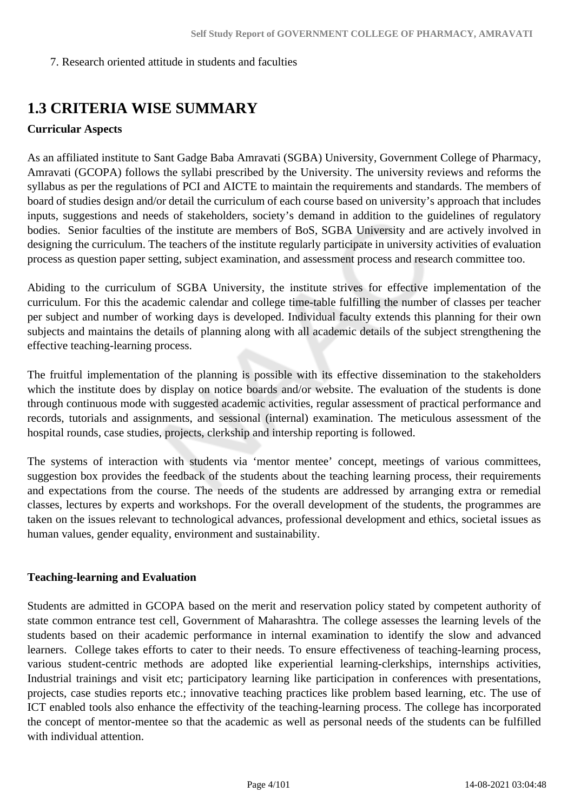7. Research oriented attitude in students and faculties

# **1.3 CRITERIA WISE SUMMARY**

### **Curricular Aspects**

As an affiliated institute to Sant Gadge Baba Amravati (SGBA) University, Government College of Pharmacy, Amravati (GCOPA) follows the syllabi prescribed by the University. The university reviews and reforms the syllabus as per the regulations of PCI and AICTE to maintain the requirements and standards. The members of board of studies design and/or detail the curriculum of each course based on university's approach that includes inputs, suggestions and needs of stakeholders, society's demand in addition to the guidelines of regulatory bodies. Senior faculties of the institute are members of BoS, SGBA University and are actively involved in designing the curriculum. The teachers of the institute regularly participate in university activities of evaluation process as question paper setting, subject examination, and assessment process and research committee too.

Abiding to the curriculum of SGBA University, the institute strives for effective implementation of the curriculum. For this the academic calendar and college time-table fulfilling the number of classes per teacher per subject and number of working days is developed. Individual faculty extends this planning for their own subjects and maintains the details of planning along with all academic details of the subject strengthening the effective teaching-learning process.

The fruitful implementation of the planning is possible with its effective dissemination to the stakeholders which the institute does by display on notice boards and/or website. The evaluation of the students is done through continuous mode with suggested academic activities, regular assessment of practical performance and records, tutorials and assignments, and sessional (internal) examination. The meticulous assessment of the hospital rounds, case studies, projects, clerkship and intership reporting is followed.

The systems of interaction with students via 'mentor mentee' concept, meetings of various committees, suggestion box provides the feedback of the students about the teaching learning process, their requirements and expectations from the course. The needs of the students are addressed by arranging extra or remedial classes, lectures by experts and workshops. For the overall development of the students, the programmes are taken on the issues relevant to technological advances, professional development and ethics, societal issues as human values, gender equality, environment and sustainability.

### **Teaching-learning and Evaluation**

Students are admitted in GCOPA based on the merit and reservation policy stated by competent authority of state common entrance test cell, Government of Maharashtra. The college assesses the learning levels of the students based on their academic performance in internal examination to identify the slow and advanced learners. College takes efforts to cater to their needs. To ensure effectiveness of teaching-learning process, various student-centric methods are adopted like experiential learning-clerkships, internships activities, Industrial trainings and visit etc; participatory learning like participation in conferences with presentations, projects, case studies reports etc.; innovative teaching practices like problem based learning, etc. The use of ICT enabled tools also enhance the effectivity of the teaching-learning process. The college has incorporated the concept of mentor-mentee so that the academic as well as personal needs of the students can be fulfilled with individual attention.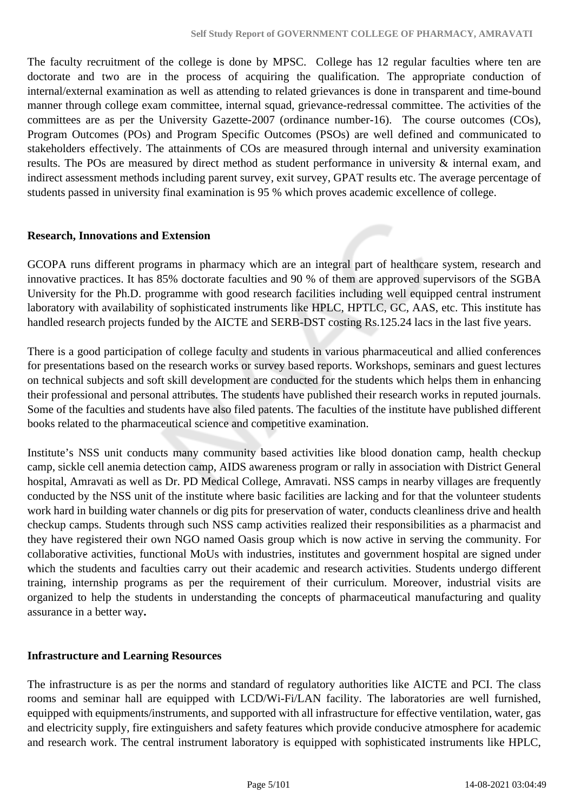The faculty recruitment of the college is done by MPSC. College has 12 regular faculties where ten are doctorate and two are in the process of acquiring the qualification. The appropriate conduction of internal/external examination as well as attending to related grievances is done in transparent and time-bound manner through college exam committee, internal squad, grievance-redressal committee. The activities of the committees are as per the University Gazette-2007 (ordinance number-16). The course outcomes (COs), Program Outcomes (POs) and Program Specific Outcomes (PSOs) are well defined and communicated to stakeholders effectively. The attainments of COs are measured through internal and university examination results. The POs are measured by direct method as student performance in university & internal exam, and indirect assessment methods including parent survey, exit survey, GPAT results etc. The average percentage of students passed in university final examination is 95 % which proves academic excellence of college.

#### **Research, Innovations and Extension**

GCOPA runs different programs in pharmacy which are an integral part of healthcare system, research and innovative practices. It has 85% doctorate faculties and 90 % of them are approved supervisors of the SGBA University for the Ph.D. programme with good research facilities including well equipped central instrument laboratory with availability of sophisticated instruments like HPLC, HPTLC, GC, AAS, etc. This institute has handled research projects funded by the AICTE and SERB-DST costing Rs.125.24 lacs in the last five years.

There is a good participation of college faculty and students in various pharmaceutical and allied conferences for presentations based on the research works or survey based reports. Workshops, seminars and guest lectures on technical subjects and soft skill development are conducted for the students which helps them in enhancing their professional and personal attributes. The students have published their research works in reputed journals. Some of the faculties and students have also filed patents. The faculties of the institute have published different books related to the pharmaceutical science and competitive examination.

Institute's NSS unit conducts many community based activities like blood donation camp, health checkup camp, sickle cell anemia detection camp, AIDS awareness program or rally in association with District General hospital, Amravati as well as Dr. PD Medical College, Amravati. NSS camps in nearby villages are frequently conducted by the NSS unit of the institute where basic facilities are lacking and for that the volunteer students work hard in building water channels or dig pits for preservation of water, conducts cleanliness drive and health checkup camps. Students through such NSS camp activities realized their responsibilities as a pharmacist and they have registered their own NGO named Oasis group which is now active in serving the community. For collaborative activities, functional MoUs with industries, institutes and government hospital are signed under which the students and faculties carry out their academic and research activities. Students undergo different training, internship programs as per the requirement of their curriculum. Moreover, industrial visits are organized to help the students in understanding the concepts of pharmaceutical manufacturing and quality assurance in a better way**.**

### **Infrastructure and Learning Resources**

The infrastructure is as per the norms and standard of regulatory authorities like AICTE and PCI. The class rooms and seminar hall are equipped with LCD/Wi-Fi/LAN facility. The laboratories are well furnished, equipped with equipments/instruments, and supported with all infrastructure for effective ventilation, water, gas and electricity supply, fire extinguishers and safety features which provide conducive atmosphere for academic and research work. The central instrument laboratory is equipped with sophisticated instruments like HPLC,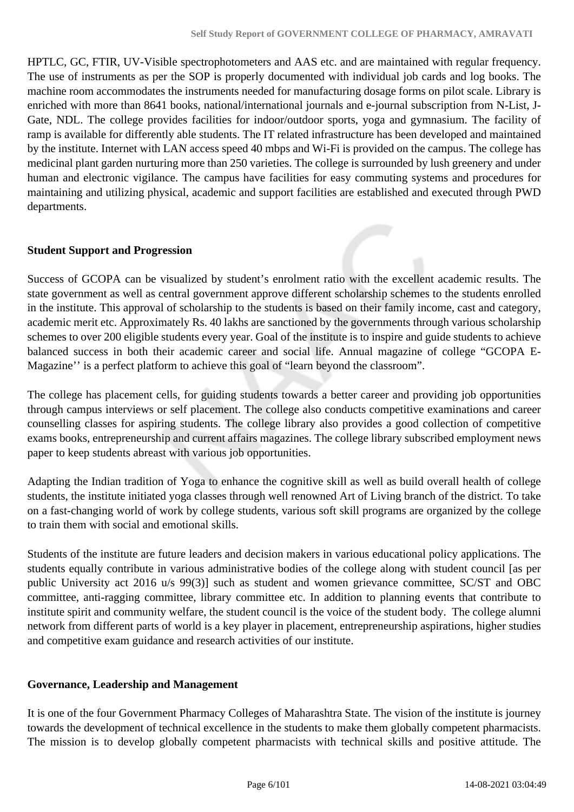HPTLC, GC, FTIR, UV-Visible spectrophotometers and AAS etc. and are maintained with regular frequency. The use of instruments as per the SOP is properly documented with individual job cards and log books. The machine room accommodates the instruments needed for manufacturing dosage forms on pilot scale. Library is enriched with more than 8641 books, national/international journals and e-journal subscription from N-List, J-Gate, NDL. The college provides facilities for indoor/outdoor sports, yoga and gymnasium. The facility of ramp is available for differently able students. The IT related infrastructure has been developed and maintained by the institute. Internet with LAN access speed 40 mbps and Wi-Fi is provided on the campus. The college has medicinal plant garden nurturing more than 250 varieties. The college is surrounded by lush greenery and under human and electronic vigilance. The campus have facilities for easy commuting systems and procedures for maintaining and utilizing physical, academic and support facilities are established and executed through PWD departments.

#### **Student Support and Progression**

Success of GCOPA can be visualized by student's enrolment ratio with the excellent academic results. The state government as well as central government approve different scholarship schemes to the students enrolled in the institute. This approval of scholarship to the students is based on their family income, cast and category, academic merit etc. Approximately Rs. 40 lakhs are sanctioned by the governments through various scholarship schemes to over 200 eligible students every year. Goal of the institute is to inspire and guide students to achieve balanced success in both their academic career and social life. Annual magazine of college "GCOPA E-Magazine'' is a perfect platform to achieve this goal of "learn beyond the classroom".

The college has placement cells, for guiding students towards a better career and providing job opportunities through campus interviews or self placement. The college also conducts competitive examinations and career counselling classes for aspiring students. The college library also provides a good collection of competitive exams books, entrepreneurship and current affairs magazines. The college library subscribed employment news paper to keep students abreast with various job opportunities.

Adapting the Indian tradition of Yoga to enhance the cognitive skill as well as build overall health of college students, the institute initiated yoga classes through well renowned Art of Living branch of the district. To take on a fast-changing world of work by college students, various soft skill programs are organized by the college to train them with social and emotional skills.

Students of the institute are future leaders and decision makers in various educational policy applications. The students equally contribute in various administrative bodies of the college along with student council [as per public University act 2016 u/s 99(3)] such as student and women grievance committee, SC/ST and OBC committee, anti-ragging committee, library committee etc. In addition to planning events that contribute to institute spirit and community welfare, the student council is the voice of the student body. The college alumni network from different parts of world is a key player in placement, entrepreneurship aspirations, higher studies and competitive exam guidance and research activities of our institute.

### **Governance, Leadership and Management**

It is one of the four Government Pharmacy Colleges of Maharashtra State. The vision of the institute is journey towards the development of technical excellence in the students to make them globally competent pharmacists. The mission is to develop globally competent pharmacists with technical skills and positive attitude. The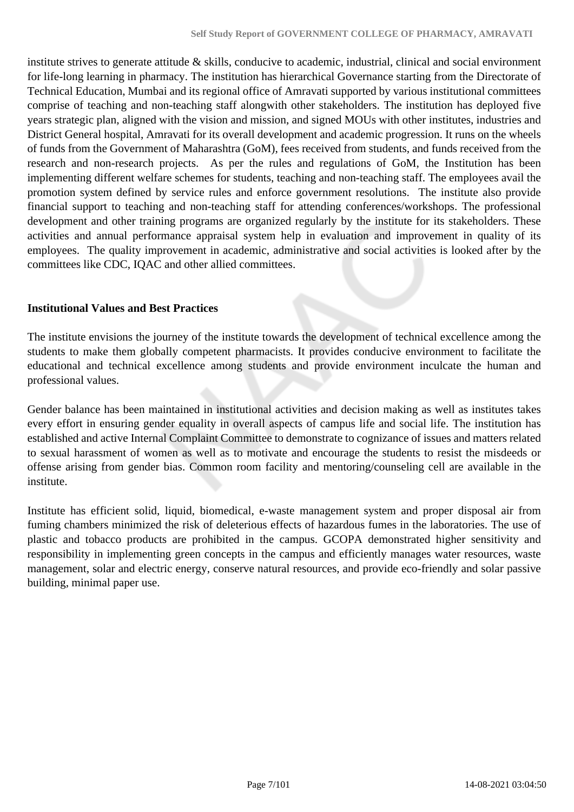institute strives to generate attitude  $\&$  skills, conducive to academic, industrial, clinical and social environment for life-long learning in pharmacy. The institution has hierarchical Governance starting from the Directorate of Technical Education, Mumbai and its regional office of Amravati supported by various institutional committees comprise of teaching and non-teaching staff alongwith other stakeholders. The institution has deployed five years strategic plan, aligned with the vision and mission, and signed MOUs with other institutes, industries and District General hospital, Amravati for its overall development and academic progression. It runs on the wheels of funds from the Government of Maharashtra (GoM), fees received from students, and funds received from the research and non-research projects. As per the rules and regulations of GoM, the Institution has been implementing different welfare schemes for students, teaching and non-teaching staff. The employees avail the promotion system defined by service rules and enforce government resolutions. The institute also provide financial support to teaching and non-teaching staff for attending conferences/workshops. The professional development and other training programs are organized regularly by the institute for its stakeholders. These activities and annual performance appraisal system help in evaluation and improvement in quality of its employees. The quality improvement in academic, administrative and social activities is looked after by the committees like CDC, IQAC and other allied committees.

#### **Institutional Values and Best Practices**

The institute envisions the journey of the institute towards the development of technical excellence among the students to make them globally competent pharmacists. It provides conducive environment to facilitate the educational and technical excellence among students and provide environment inculcate the human and professional values.

Gender balance has been maintained in institutional activities and decision making as well as institutes takes every effort in ensuring gender equality in overall aspects of campus life and social life. The institution has established and active Internal Complaint Committee to demonstrate to cognizance of issues and matters related to sexual harassment of women as well as to motivate and encourage the students to resist the misdeeds or offense arising from gender bias. Common room facility and mentoring/counseling cell are available in the institute.

Institute has efficient solid, liquid, biomedical, e-waste management system and proper disposal air from fuming chambers minimized the risk of deleterious effects of hazardous fumes in the laboratories. The use of plastic and tobacco products are prohibited in the campus. GCOPA demonstrated higher sensitivity and responsibility in implementing green concepts in the campus and efficiently manages water resources, waste management, solar and electric energy, conserve natural resources, and provide eco-friendly and solar passive building, minimal paper use.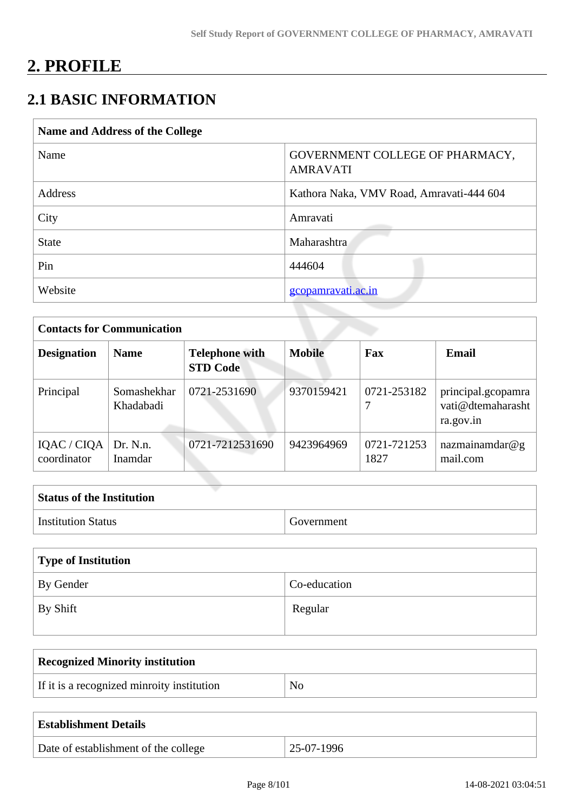# **2. PROFILE**

# **2.1 BASIC INFORMATION**

| Name and Address of the College |                                                    |  |
|---------------------------------|----------------------------------------------------|--|
| Name                            | GOVERNMENT COLLEGE OF PHARMACY,<br><b>AMRAVATI</b> |  |
| Address                         | Kathora Naka, VMV Road, Amravati-444 604           |  |
| City                            | Amravati                                           |  |
| <b>State</b>                    | Maharashtra                                        |  |
| Pin                             | 444604                                             |  |
| Website                         | gcopamravati.ac.in                                 |  |

| <b>Contacts for Communication</b> |                          |                                          |               |                     |                                                      |
|-----------------------------------|--------------------------|------------------------------------------|---------------|---------------------|------------------------------------------------------|
| <b>Designation</b>                | <b>Name</b>              | <b>Telephone with</b><br><b>STD Code</b> | <b>Mobile</b> | Fax                 | <b>Email</b>                                         |
| Principal                         | Somashekhar<br>Khadabadi | 0721-2531690                             | 9370159421    | 0721-253182         | principal.gcopamra<br>vati@dtemaharasht<br>ra.gov.in |
| IQAC / CIQA<br>coordinator        | Dr. N.n.<br>Inamdar      | 0721-7212531690                          | 9423964969    | 0721-721253<br>1827 | nazmainamdar@g<br>mail.com                           |

| <b>Status of the Institution</b> |            |
|----------------------------------|------------|
| <sup>1</sup> Institution Status  | Government |

| Type of Institution |              |
|---------------------|--------------|
| By Gender           | Co-education |
| $\perp$ By Shift    | Regular      |

| <b>Recognized Minority institution</b>     |    |  |
|--------------------------------------------|----|--|
| If it is a recognized minroity institution | No |  |
|                                            |    |  |

| <b>Establishment Details</b>         |              |
|--------------------------------------|--------------|
| Date of establishment of the college | $25-07-1996$ |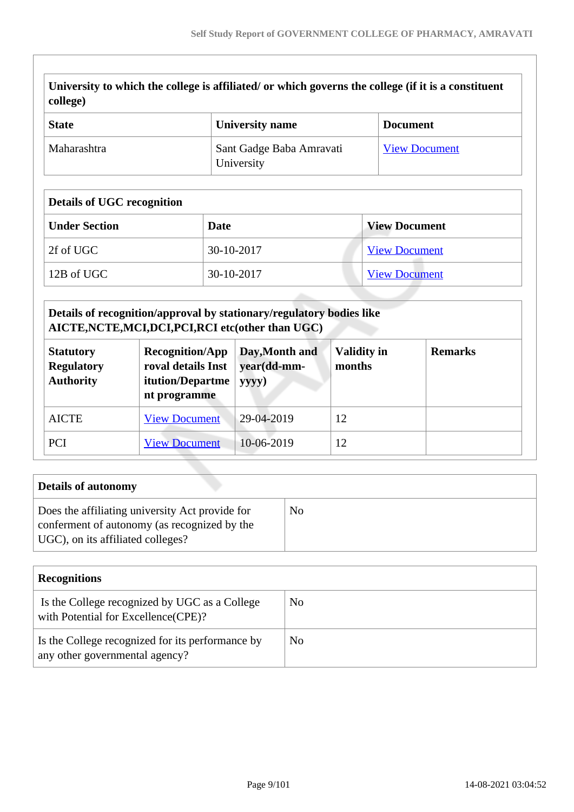| University to which the college is affiliated/ or which governs the college (if it is a constituent |
|-----------------------------------------------------------------------------------------------------|
| $\vert$ college)                                                                                    |

| <b>State</b> | <b>University name</b>                 | <b>Document</b>      |
|--------------|----------------------------------------|----------------------|
| Maharashtra  | Sant Gadge Baba Amravati<br>University | <b>View Document</b> |

#### **Details of UGC recognition**

| <b>Under Section</b> | Date       | <b>View Document</b> |  |
|----------------------|------------|----------------------|--|
| 2f of UGC            | 30-10-2017 | <b>View Document</b> |  |
| 12B of UGC           | 30-10-2017 | <b>View Document</b> |  |

# **Details of recognition/approval by stationary/regulatory bodies like AICTE,NCTE,MCI,DCI,PCI,RCI etc(other than UGC)**

| <b>Statutory</b><br><b>Regulatory</b><br><b>Authority</b> | <b>Recognition/App</b><br>roval details Inst<br>itution/Departme<br>nt programme | Day, Month and<br>year(dd-mm-<br>yyyy) | <b>Validity in</b><br>months | <b>Remarks</b> |
|-----------------------------------------------------------|----------------------------------------------------------------------------------|----------------------------------------|------------------------------|----------------|
| <b>AICTE</b>                                              | <b>View Document</b>                                                             | 29-04-2019                             | 12                           |                |
| PCI                                                       | <b>View Document</b>                                                             | 10-06-2019                             | 12                           |                |

| <b>Details of autonomy</b>                                                                                                           |    |
|--------------------------------------------------------------------------------------------------------------------------------------|----|
| Does the affiliating university Act provide for<br>conferment of autonomy (as recognized by the<br>UGC), on its affiliated colleges? | No |

| <b>Recognitions</b>                                                                   |    |
|---------------------------------------------------------------------------------------|----|
| Is the College recognized by UGC as a College<br>with Potential for Excellence (CPE)? | No |
| Is the College recognized for its performance by<br>any other governmental agency?    | No |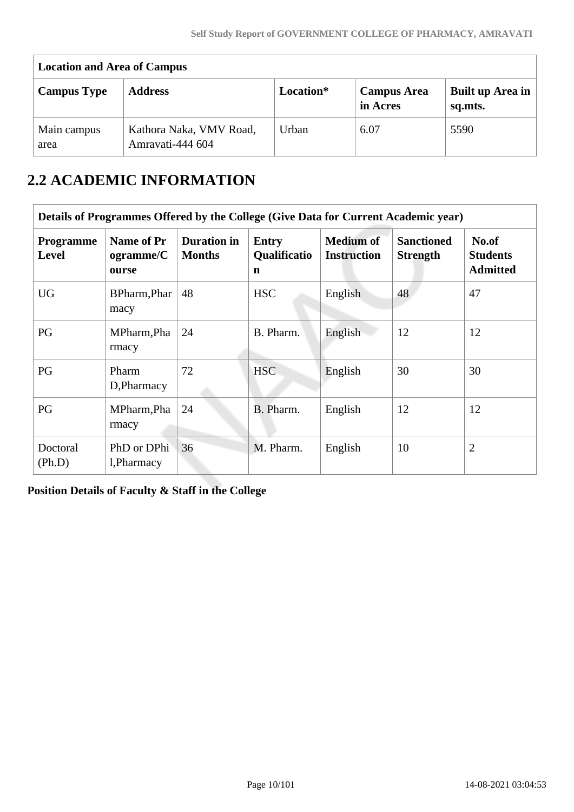| <b>Location and Area of Campus</b> |                                             |           |                                |                             |  |  |  |  |  |  |
|------------------------------------|---------------------------------------------|-----------|--------------------------------|-----------------------------|--|--|--|--|--|--|
| <b>Campus Type</b>                 | <b>Address</b>                              | Location* | <b>Campus Area</b><br>in Acres | Built up Area in<br>sq.mts. |  |  |  |  |  |  |
| Main campus<br>area                | Kathora Naka, VMV Road,<br>Amravati-444 604 | Urban     | 6.07                           | 5590                        |  |  |  |  |  |  |

# **2.2 ACADEMIC INFORMATION**

|                           | Details of Programmes Offered by the College (Give Data for Current Academic year) |                                     |                                                    |                                        |                                      |                                             |  |  |  |  |  |
|---------------------------|------------------------------------------------------------------------------------|-------------------------------------|----------------------------------------------------|----------------------------------------|--------------------------------------|---------------------------------------------|--|--|--|--|--|
| <b>Programme</b><br>Level | Name of Pr<br>ogramme/C<br>ourse                                                   | <b>Duration in</b><br><b>Months</b> | <b>Entry</b><br><b>Qualificatio</b><br>$\mathbf n$ | <b>Medium of</b><br><b>Instruction</b> | <b>Sanctioned</b><br><b>Strength</b> | No.of<br><b>Students</b><br><b>Admitted</b> |  |  |  |  |  |
| <b>UG</b>                 | BPharm, Phar<br>macy                                                               | 48                                  | <b>HSC</b>                                         | English                                | 48                                   | 47                                          |  |  |  |  |  |
| PG                        | MPharm, Pha<br>rmacy                                                               | 24                                  | B. Pharm.                                          | English                                | 12                                   | 12                                          |  |  |  |  |  |
| PG                        | Pharm<br>D, Pharmacy                                                               | 72                                  | HSC                                                | English                                | 30                                   | 30                                          |  |  |  |  |  |
| PG                        | MPharm, Pha<br>rmacy                                                               | 24                                  | B. Pharm.                                          | English                                | 12                                   | 12                                          |  |  |  |  |  |
| Doctoral<br>(Ph.D)        | PhD or DPhi<br>1, Pharmacy                                                         | 36                                  | M. Pharm.                                          | English                                | 10                                   | $\overline{2}$                              |  |  |  |  |  |

**Position Details of Faculty & Staff in the College**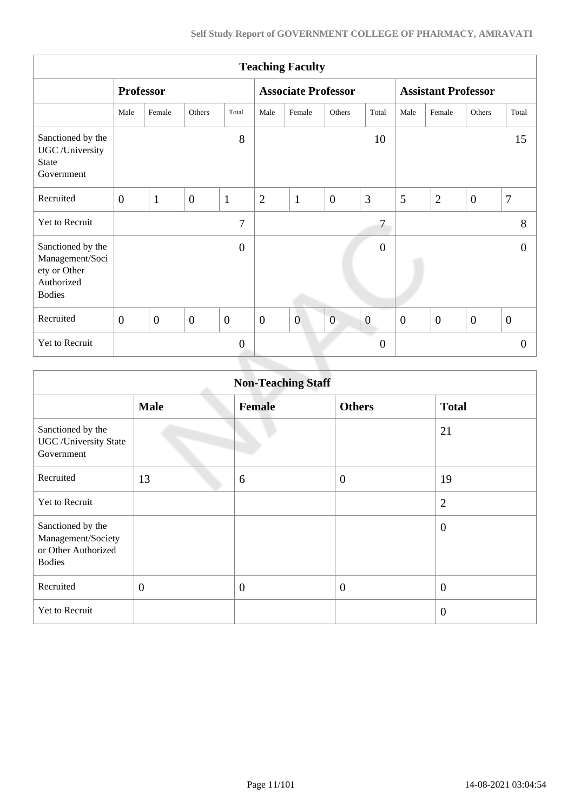|                                                                                     | <b>Teaching Faculty</b> |                |                |                |                |                            |                |                  |                |                            |                |                |
|-------------------------------------------------------------------------------------|-------------------------|----------------|----------------|----------------|----------------|----------------------------|----------------|------------------|----------------|----------------------------|----------------|----------------|
|                                                                                     | <b>Professor</b>        |                |                |                |                | <b>Associate Professor</b> |                |                  |                | <b>Assistant Professor</b> |                |                |
|                                                                                     | Male                    | Female         | Others         | Total          | Male           | Female                     | Others         | Total            | Male           | Female                     | Others         | Total          |
| Sanctioned by the<br>UGC /University<br><b>State</b><br>Government                  |                         |                |                | 8              |                |                            |                | 10               |                |                            |                | 15             |
| Recruited                                                                           | $\overline{0}$          | $\mathbf{1}$   | $\mathbf{0}$   | $\mathbf{1}$   | $\overline{2}$ | $\mathbf{1}$               | $\overline{0}$ | 3                | 5              | $\overline{2}$             | $\overline{0}$ | $\overline{7}$ |
| Yet to Recruit                                                                      |                         |                |                | $\overline{7}$ |                |                            |                | 7                |                |                            |                | 8              |
| Sanctioned by the<br>Management/Soci<br>ety or Other<br>Authorized<br><b>Bodies</b> |                         |                |                | $\overline{0}$ |                |                            |                | $\boldsymbol{0}$ |                |                            |                | $\theta$       |
| Recruited                                                                           | $\overline{0}$          | $\overline{0}$ | $\overline{0}$ | $\overline{0}$ | $\overline{0}$ | $\overline{0}$             | $\overline{0}$ | $\boldsymbol{0}$ | $\overline{0}$ | $\overline{0}$             | $\overline{0}$ | $\overline{0}$ |
| Yet to Recruit                                                                      |                         |                |                | $\overline{0}$ |                |                            |                | $\overline{0}$   |                |                            |                | $\Omega$       |
|                                                                                     |                         |                |                |                |                |                            |                |                  |                |                            |                |                |

|                                                                                 | <b>Non-Teaching Staff</b> |               |                |                |  |  |  |  |  |  |
|---------------------------------------------------------------------------------|---------------------------|---------------|----------------|----------------|--|--|--|--|--|--|
|                                                                                 | <b>Male</b>               | <b>Female</b> | <b>Others</b>  | <b>Total</b>   |  |  |  |  |  |  |
| Sanctioned by the<br><b>UGC</b> / University State<br>Government                |                           |               |                | 21             |  |  |  |  |  |  |
| Recruited                                                                       | 13                        | 6             | $\overline{0}$ | 19             |  |  |  |  |  |  |
| Yet to Recruit                                                                  |                           |               |                | $\overline{2}$ |  |  |  |  |  |  |
| Sanctioned by the<br>Management/Society<br>or Other Authorized<br><b>Bodies</b> |                           |               |                | $\theta$       |  |  |  |  |  |  |
| Recruited                                                                       | $\overline{0}$            | $\mathbf{0}$  | $\overline{0}$ | $\overline{0}$ |  |  |  |  |  |  |
| Yet to Recruit                                                                  |                           |               |                | $\overline{0}$ |  |  |  |  |  |  |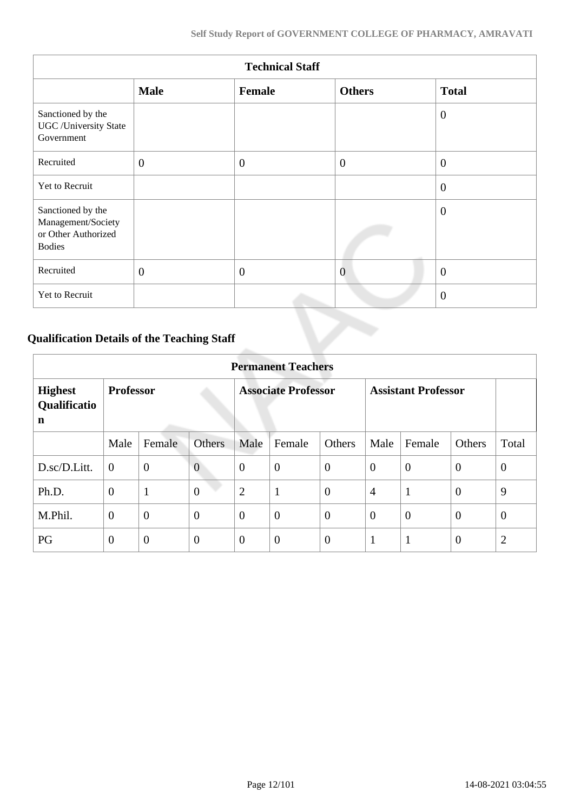|                                                                                 | <b>Technical Staff</b> |              |                |                  |  |  |  |  |  |  |
|---------------------------------------------------------------------------------|------------------------|--------------|----------------|------------------|--|--|--|--|--|--|
|                                                                                 | <b>Male</b>            | Female       | <b>Others</b>  | <b>Total</b>     |  |  |  |  |  |  |
| Sanctioned by the<br><b>UGC</b> /University State<br>Government                 |                        |              |                | $\overline{0}$   |  |  |  |  |  |  |
| Recruited                                                                       | $\mathbf{0}$           | $\mathbf{0}$ | $\overline{0}$ | $\boldsymbol{0}$ |  |  |  |  |  |  |
| Yet to Recruit                                                                  |                        |              |                | $\overline{0}$   |  |  |  |  |  |  |
| Sanctioned by the<br>Management/Society<br>or Other Authorized<br><b>Bodies</b> |                        |              |                | $\mathbf{0}$     |  |  |  |  |  |  |
| Recruited                                                                       | $\mathbf{0}$           | $\theta$     | $\overline{0}$ | $\overline{0}$   |  |  |  |  |  |  |
| Yet to Recruit                                                                  |                        |              |                | $\overline{0}$   |  |  |  |  |  |  |

# **Qualification Details of the Teaching Staff**

|                                     | <b>Permanent Teachers</b> |                |                |                |                            |                |                |                            |                |                |  |  |  |
|-------------------------------------|---------------------------|----------------|----------------|----------------|----------------------------|----------------|----------------|----------------------------|----------------|----------------|--|--|--|
| <b>Highest</b><br>Qualificatio<br>n | <b>Professor</b>          |                |                |                | <b>Associate Professor</b> |                |                | <b>Assistant Professor</b> |                |                |  |  |  |
|                                     | Male                      | Female         | <b>Others</b>  | Male           | Female                     | Others         | Male           | Female                     | Others         | Total          |  |  |  |
| D.sc/D.Litt.                        | $\overline{0}$            | $\mathbf{0}$   | $\overline{0}$ | $\theta$       | $\overline{0}$             | $\overline{0}$ | $\overline{0}$ | $\theta$                   | $\overline{0}$ | $\theta$       |  |  |  |
| Ph.D.                               | $\overline{0}$            | $\mathbf{1}$   | $\overline{0}$ | $\overline{2}$ | 1                          | $\overline{0}$ | $\overline{4}$ | $\mathbf{1}$               | $\overline{0}$ | 9              |  |  |  |
| M.Phil.                             | $\overline{0}$            | $\mathbf{0}$   | $\overline{0}$ | $\theta$       | $\overline{0}$             | $\overline{0}$ | $\overline{0}$ | $\theta$                   | $\overline{0}$ | $\overline{0}$ |  |  |  |
| PG                                  | $\theta$                  | $\overline{0}$ | $\overline{0}$ | $\overline{0}$ | $\overline{0}$             | $\overline{0}$ | $\mathbf{1}$   | $\mathbf{1}$               | $\overline{0}$ | $\overline{2}$ |  |  |  |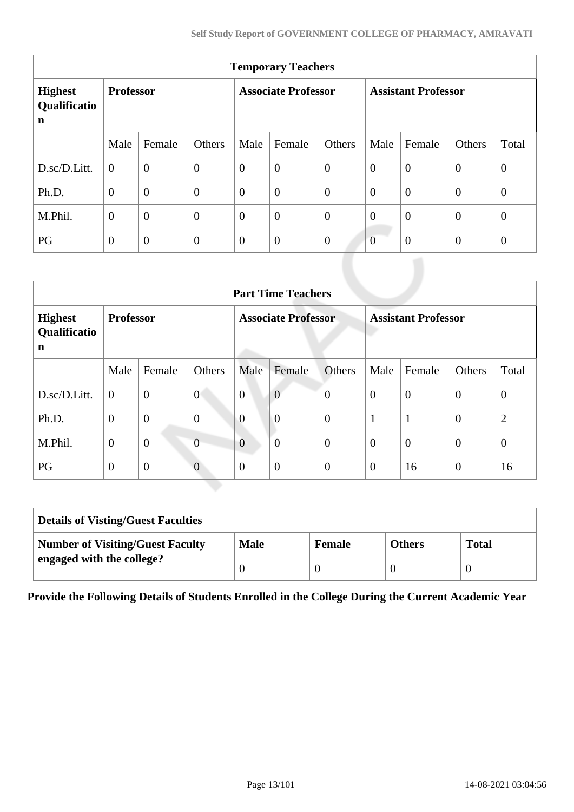| <b>Temporary Teachers</b>           |                  |                  |                  |                            |                  |                |                            |                |                |                |  |  |
|-------------------------------------|------------------|------------------|------------------|----------------------------|------------------|----------------|----------------------------|----------------|----------------|----------------|--|--|
| <b>Highest</b><br>Qualificatio<br>n | <b>Professor</b> |                  |                  | <b>Associate Professor</b> |                  |                | <b>Assistant Professor</b> |                |                |                |  |  |
|                                     | Male             | Female           | Others           | Male                       | Female           | Others         | Male                       | Female         | Others         | Total          |  |  |
| D.sc/D.Litt.                        | $\theta$         | $\overline{0}$   | $\boldsymbol{0}$ | $\overline{0}$             | $\overline{0}$   | $\overline{0}$ | $\overline{0}$             | $\overline{0}$ | $\overline{0}$ | $\overline{0}$ |  |  |
| Ph.D.                               | $\overline{0}$   | $\boldsymbol{0}$ | $\overline{0}$   | $\overline{0}$             | $\overline{0}$   | $\overline{0}$ | $\theta$                   | $\overline{0}$ | $\theta$       | $\overline{0}$ |  |  |
| M.Phil.                             | $\overline{0}$   | $\overline{0}$   | $\overline{0}$   | $\overline{0}$             | $\overline{0}$   | $\overline{0}$ | $\overline{0}$             | $\overline{0}$ | $\overline{0}$ | $\overline{0}$ |  |  |
| PG                                  | $\overline{0}$   | $\theta$         | $\mathbf{0}$     | $\overline{0}$             | $\boldsymbol{0}$ | $\overline{0}$ | $\overline{0}$             | $\overline{0}$ | $\overline{0}$ | $\theta$       |  |  |

|                                     | <b>Part Time Teachers</b> |                |                |                            |                |                  |                            |                |                  |                |  |  |  |
|-------------------------------------|---------------------------|----------------|----------------|----------------------------|----------------|------------------|----------------------------|----------------|------------------|----------------|--|--|--|
| <b>Highest</b><br>Qualificatio<br>n | <b>Professor</b>          |                |                | <b>Associate Professor</b> |                |                  | <b>Assistant Professor</b> |                |                  |                |  |  |  |
|                                     | Male                      | Female         | Others         | Male                       | Female         | Others           | Male                       | Female         | Others           | Total          |  |  |  |
| D.sc/D.Litt.                        | $\overline{0}$            | $\overline{0}$ | $\overline{0}$ | $\overline{0}$             | $\overline{0}$ | $\overline{0}$   | $\theta$                   | $\overline{0}$ | $\overline{0}$   | $\overline{0}$ |  |  |  |
| Ph.D.                               | $\mathbf{0}$              | $\mathbf{0}$   | $\overline{0}$ | $\overline{0}$             | $\overline{0}$ | $\overline{0}$   | 1                          | $\mathbf{1}$   | $\overline{0}$   | $\overline{2}$ |  |  |  |
| M.Phil.                             | $\overline{0}$            | $\mathbf{0}$   | $\overline{0}$ | $\overline{0}$             | $\theta$       | $\overline{0}$   | $\overline{0}$             | $\overline{0}$ | $\mathbf{0}$     | $\theta$       |  |  |  |
| PG                                  | $\mathbf{0}$              | $\overline{0}$ | $\overline{0}$ | $\overline{0}$             | $\overline{0}$ | $\boldsymbol{0}$ | $\overline{0}$             | 16             | $\boldsymbol{0}$ | 16             |  |  |  |

| <b>Details of Visting/Guest Faculties</b> |             |               |               |              |
|-------------------------------------------|-------------|---------------|---------------|--------------|
| <b>Number of Visiting/Guest Faculty</b>   | <b>Male</b> | <b>Female</b> | <b>Others</b> | <b>Total</b> |
| engaged with the college?                 |             |               |               |              |

**Provide the Following Details of Students Enrolled in the College During the Current Academic Year**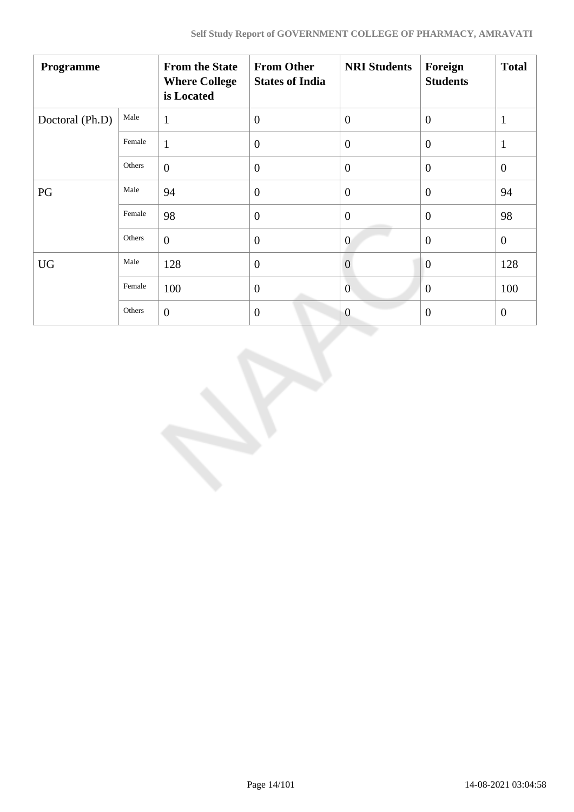| Programme       |        | <b>From the State</b><br><b>Where College</b><br>is Located | <b>From Other</b><br><b>States of India</b> | <b>NRI Students</b> | Foreign<br><b>Students</b> | <b>Total</b>   |
|-----------------|--------|-------------------------------------------------------------|---------------------------------------------|---------------------|----------------------------|----------------|
| Doctoral (Ph.D) | Male   | $\mathbf{1}$                                                | $\overline{0}$                              | $\overline{0}$      | $\overline{0}$             | $\mathbf{1}$   |
|                 | Female | $\mathbf{1}$                                                | $\theta$                                    | $\theta$            | $\overline{0}$             | $\mathbf{1}$   |
|                 | Others | $\overline{0}$                                              | $\overline{0}$                              | $\mathbf{0}$        | $\overline{0}$             | $\overline{0}$ |
| PG              | Male   | 94                                                          | $\boldsymbol{0}$                            | $\overline{0}$      | $\overline{0}$             | 94             |
|                 | Female | 98                                                          | $\overline{0}$                              | $\mathbf{0}$        | $\overline{0}$             | 98             |
|                 | Others | $\overline{0}$                                              | $\overline{0}$                              | $\overline{0}$      | $\overline{0}$             | $\overline{0}$ |
| <b>UG</b>       | Male   | 128                                                         | $\overline{0}$                              | $\overline{0}$      | $\overline{0}$             | 128            |
|                 | Female | 100                                                         | $\mathbf{0}$                                | $\overline{0}$      | $\theta$                   | 100            |
|                 | Others | $\overline{0}$                                              | $\overline{0}$                              | $\overline{0}$      | $\overline{0}$             | $\overline{0}$ |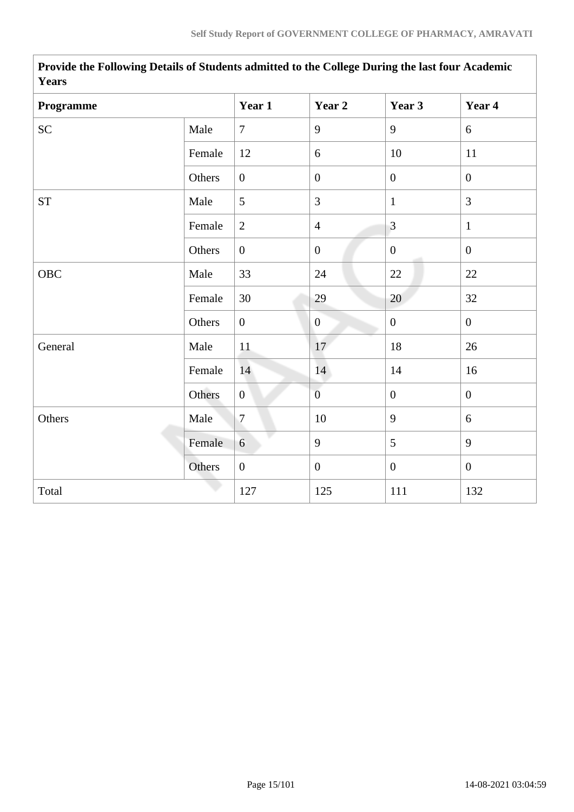| r ears     |        |                  |                  |                  |                |
|------------|--------|------------------|------------------|------------------|----------------|
| Programme  |        | Year 1           | Year 2           | Year 3           | Year 4         |
| SC         | Male   | $\overline{7}$   | 9                | 9                | 6              |
|            | Female | 12               | 6                | 10               | 11             |
|            | Others | $\mathbf{0}$     | $\boldsymbol{0}$ | $\overline{0}$   | $\overline{0}$ |
| <b>ST</b>  | Male   | $5\overline{)}$  | 3                | $\mathbf{1}$     | $\overline{3}$ |
|            | Female | $\overline{2}$   | $\overline{4}$   | $\overline{3}$   | $\mathbf{1}$   |
|            | Others | $\overline{0}$   | $\boldsymbol{0}$ | $\overline{0}$   | $\mathbf{0}$   |
| <b>OBC</b> | Male   | 33               | 24               | 22               | 22             |
|            | Female | 30               | 29               | 20               | 32             |
|            | Others | $\boldsymbol{0}$ | $\mathbf{0}$     | $\boldsymbol{0}$ | $\mathbf{0}$   |
| General    | Male   | $11\,$           | 17               | 18               | 26             |
|            | Female | 14               | 14               | 14               | 16             |
|            | Others | $\overline{0}$   | $\overline{0}$   | $\mathbf{0}$     | $\mathbf{0}$   |
| Others     | Male   | $\overline{7}$   | 10               | 9                | 6              |
|            | Female | 6                | 9                | 5                | 9              |
|            | Others | $\boldsymbol{0}$ | $\boldsymbol{0}$ | $\boldsymbol{0}$ | $\mathbf{0}$   |
| Total      |        | 127              | 125              | 111              | 132            |

**Provide the Following Details of Students admitted to the College During the last four Academic Years**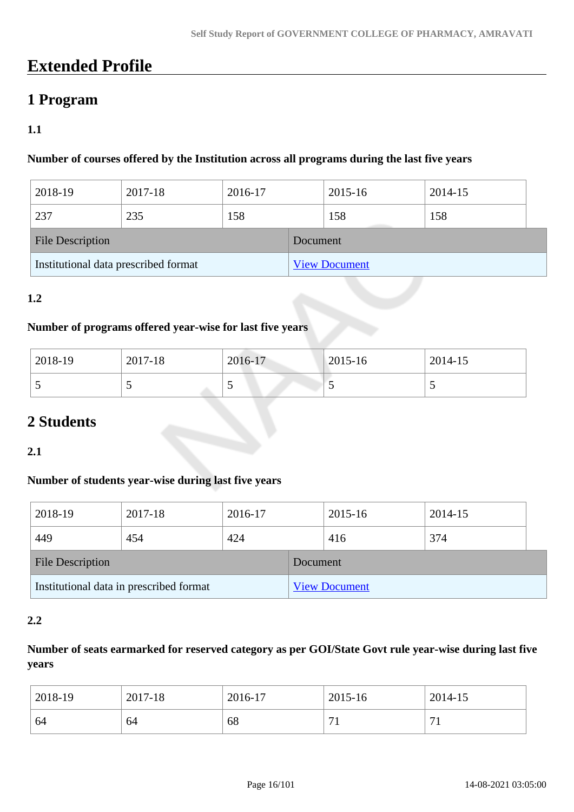# **Extended Profile**

# **1 Program**

# **1.1**

### **Number of courses offered by the Institution across all programs during the last five years**

| 2018-19                              | 2017-18 | 2016-17 |  | 2015-16              | 2014-15 |  |  |  |
|--------------------------------------|---------|---------|--|----------------------|---------|--|--|--|
| 237                                  | 235     | 158     |  | 158                  | 158     |  |  |  |
| <b>File Description</b>              |         |         |  | Document             |         |  |  |  |
| Institutional data prescribed format |         |         |  | <b>View Document</b> |         |  |  |  |

### **1.2**

### **Number of programs offered year-wise for last five years**

| 2018-19 | 2017-18 | 2016-17 | $ 2015 - 16 $ | 2014-15                  |
|---------|---------|---------|---------------|--------------------------|
| ັ       | ັ       | ັ       | ັ             | $\overline{\phantom{0}}$ |

# **2 Students**

**2.1**

### **Number of students year-wise during last five years**

| 2018-19                                 | 2017-18 | 2016-17 |                      | 2015-16 | 2014-15 |  |
|-----------------------------------------|---------|---------|----------------------|---------|---------|--|
| 449                                     | 454     | 424     |                      | 416     | 374     |  |
| <b>File Description</b>                 |         |         | Document             |         |         |  |
| Institutional data in prescribed format |         |         | <b>View Document</b> |         |         |  |

#### **2.2**

# **Number of seats earmarked for reserved category as per GOI/State Govt rule year-wise during last five years**

| 2018-19 | 2017-18 | 2016-17 | 2015-16 | 2014-15                       |
|---------|---------|---------|---------|-------------------------------|
| 64      | 64      | 68      | −       | $\overline{ }$<br>$^{\prime}$ |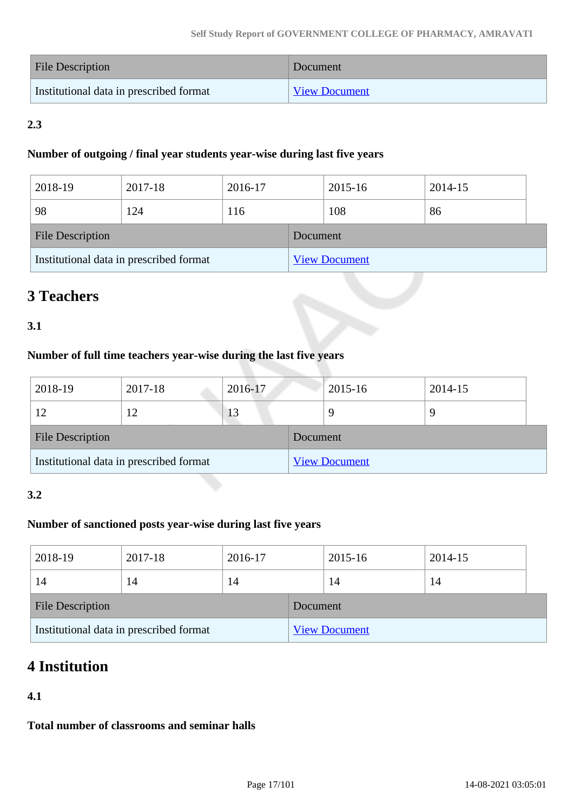| File Description                        | Document             |
|-----------------------------------------|----------------------|
| Institutional data in prescribed format | <b>View Document</b> |

# **2.3**

### **Number of outgoing / final year students year-wise during last five years**

| 2018-19                                 | 2017-18 | 2016-17 |                      | 2015-16 | 2014-15 |  |
|-----------------------------------------|---------|---------|----------------------|---------|---------|--|
| 98                                      | 124     | 116     |                      | 108     | 86      |  |
| <b>File Description</b>                 |         |         | Document             |         |         |  |
| Institutional data in prescribed format |         |         | <b>View Document</b> |         |         |  |

# **3 Teachers**

# **3.1**

# **Number of full time teachers year-wise during the last five years**

| 2018-19                                 | 2017-18 | 2016-17  |                      | 2015-16 | 2014-15 |  |
|-----------------------------------------|---------|----------|----------------------|---------|---------|--|
| 12                                      |         | 13       |                      |         | 9       |  |
| <b>File Description</b>                 |         | Document |                      |         |         |  |
| Institutional data in prescribed format |         |          | <b>View Document</b> |         |         |  |

### **3.2**

## **Number of sanctioned posts year-wise during last five years**

| 2018-19                                 | 2017-18 | 2016-17  |                      | 2015-16 | 2014-15 |  |
|-----------------------------------------|---------|----------|----------------------|---------|---------|--|
| 14                                      | 14      | 14       |                      | 14      | 14      |  |
| <b>File Description</b>                 |         | Document |                      |         |         |  |
| Institutional data in prescribed format |         |          | <b>View Document</b> |         |         |  |

# **4 Institution**

# **4.1**

**Total number of classrooms and seminar halls**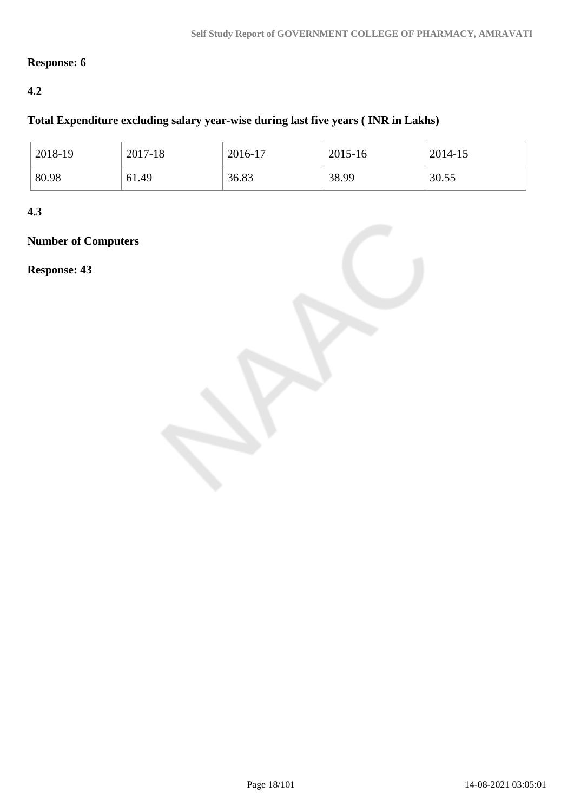# **Response: 6**

# **4.2**

## **Total Expenditure excluding salary year-wise during last five years ( INR in Lakhs)**

| 2018-19 | 2017-18 | 2016-17 | 2015-16 | 2014-15 |
|---------|---------|---------|---------|---------|
| 80.98   | 61.49   | 36.83   | 38.99   | 30.55   |

**4.3**

# **Number of Computers**

**Response: 43**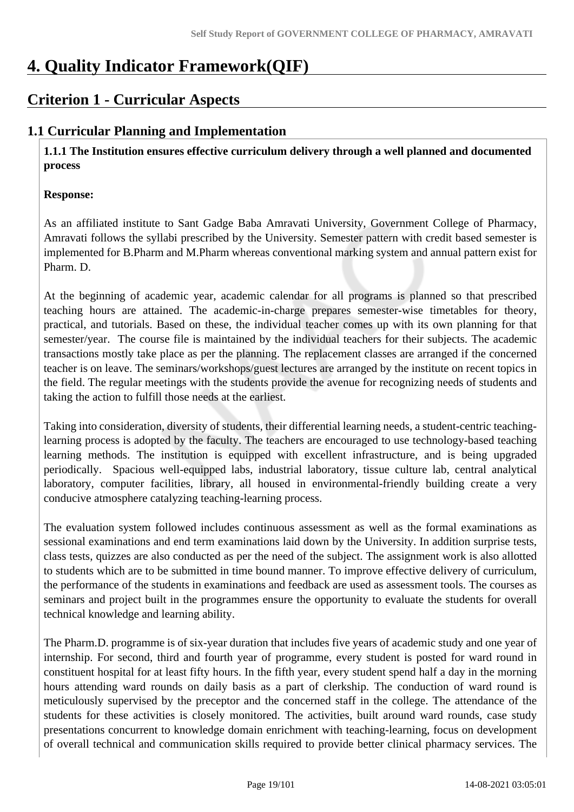# **4. Quality Indicator Framework(QIF)**

# **Criterion 1 - Curricular Aspects**

# **1.1 Curricular Planning and Implementation**

 **1.1.1 The Institution ensures effective curriculum delivery through a well planned and documented process**

### **Response:**

As an affiliated institute to Sant Gadge Baba Amravati University, Government College of Pharmacy, Amravati follows the syllabi prescribed by the University. Semester pattern with credit based semester is implemented for B.Pharm and M.Pharm whereas conventional marking system and annual pattern exist for Pharm. D.

At the beginning of academic year, academic calendar for all programs is planned so that prescribed teaching hours are attained. The academic-in-charge prepares semester-wise timetables for theory, practical, and tutorials. Based on these, the individual teacher comes up with its own planning for that semester/year. The course file is maintained by the individual teachers for their subjects. The academic transactions mostly take place as per the planning. The replacement classes are arranged if the concerned teacher is on leave. The seminars/workshops/guest lectures are arranged by the institute on recent topics in the field. The regular meetings with the students provide the avenue for recognizing needs of students and taking the action to fulfill those needs at the earliest.

Taking into consideration, diversity of students, their differential learning needs, a student-centric teachinglearning process is adopted by the faculty. The teachers are encouraged to use technology-based teaching learning methods. The institution is equipped with excellent infrastructure, and is being upgraded periodically. Spacious well-equipped labs, industrial laboratory, tissue culture lab, central analytical laboratory, computer facilities, library, all housed in environmental-friendly building create a very conducive atmosphere catalyzing teaching-learning process.

The evaluation system followed includes continuous assessment as well as the formal examinations as sessional examinations and end term examinations laid down by the University. In addition surprise tests, class tests, quizzes are also conducted as per the need of the subject. The assignment work is also allotted to students which are to be submitted in time bound manner. To improve effective delivery of curriculum, the performance of the students in examinations and feedback are used as assessment tools. The courses as seminars and project built in the programmes ensure the opportunity to evaluate the students for overall technical knowledge and learning ability.

The Pharm.D. programme is of six-year duration that includes five years of academic study and one year of internship. For second, third and fourth year of programme, every student is posted for ward round in constituent hospital for at least fifty hours. In the fifth year, every student spend half a day in the morning hours attending ward rounds on daily basis as a part of clerkship. The conduction of ward round is meticulously supervised by the preceptor and the concerned staff in the college. The attendance of the students for these activities is closely monitored. The activities, built around ward rounds, case study presentations concurrent to knowledge domain enrichment with teaching-learning, focus on development of overall technical and communication skills required to provide better clinical pharmacy services. The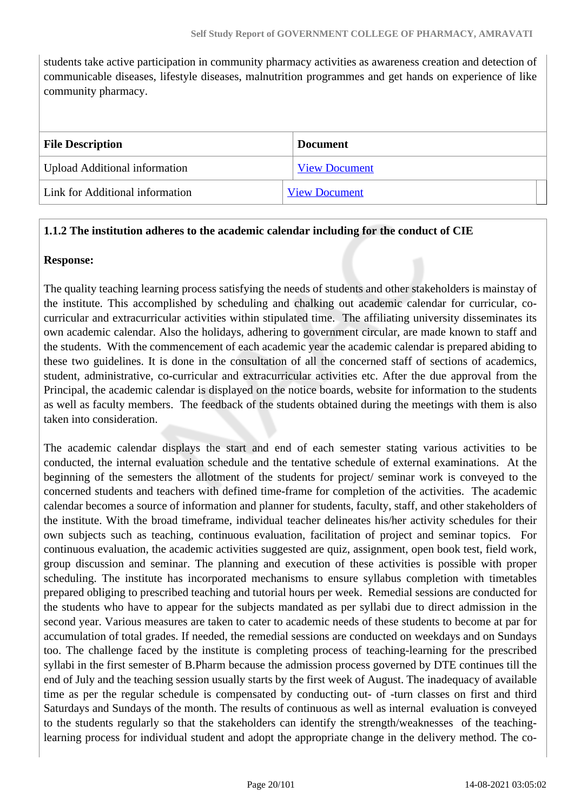students take active participation in community pharmacy activities as awareness creation and detection of communicable diseases, lifestyle diseases, malnutrition programmes and get hands on experience of like community pharmacy.

| <b>File Description</b>              | <b>Document</b>      |
|--------------------------------------|----------------------|
| <b>Upload Additional information</b> | <b>View Document</b> |
| Link for Additional information      | <b>View Document</b> |

### **1.1.2 The institution adheres to the academic calendar including for the conduct of CIE**

#### **Response:**

The quality teaching learning process satisfying the needs of students and other stakeholders is mainstay of the institute. This accomplished by scheduling and chalking out academic calendar for curricular, cocurricular and extracurricular activities within stipulated time. The affiliating university disseminates its own academic calendar. Also the holidays, adhering to government circular, are made known to staff and the students. With the commencement of each academic year the academic calendar is prepared abiding to these two guidelines. It is done in the consultation of all the concerned staff of sections of academics, student, administrative, co-curricular and extracurricular activities etc. After the due approval from the Principal, the academic calendar is displayed on the notice boards, website for information to the students as well as faculty members. The feedback of the students obtained during the meetings with them is also taken into consideration.

The academic calendar displays the start and end of each semester stating various activities to be conducted, the internal evaluation schedule and the tentative schedule of external examinations. At the beginning of the semesters the allotment of the students for project/ seminar work is conveyed to the concerned students and teachers with defined time-frame for completion of the activities. The academic calendar becomes a source of information and planner for students, faculty, staff, and other stakeholders of the institute. With the broad timeframe, individual teacher delineates his/her activity schedules for their own subjects such as teaching, continuous evaluation, facilitation of project and seminar topics. For continuous evaluation, the academic activities suggested are quiz, assignment, open book test, field work, group discussion and seminar. The planning and execution of these activities is possible with proper scheduling. The institute has incorporated mechanisms to ensure syllabus completion with timetables prepared obliging to prescribed teaching and tutorial hours per week. Remedial sessions are conducted for the students who have to appear for the subjects mandated as per syllabi due to direct admission in the second year. Various measures are taken to cater to academic needs of these students to become at par for accumulation of total grades. If needed, the remedial sessions are conducted on weekdays and on Sundays too. The challenge faced by the institute is completing process of teaching-learning for the prescribed syllabi in the first semester of B.Pharm because the admission process governed by DTE continues till the end of July and the teaching session usually starts by the first week of August. The inadequacy of available time as per the regular schedule is compensated by conducting out- of -turn classes on first and third Saturdays and Sundays of the month. The results of continuous as well as internal evaluation is conveyed to the students regularly so that the stakeholders can identify the strength/weaknesses of the teachinglearning process for individual student and adopt the appropriate change in the delivery method. The co-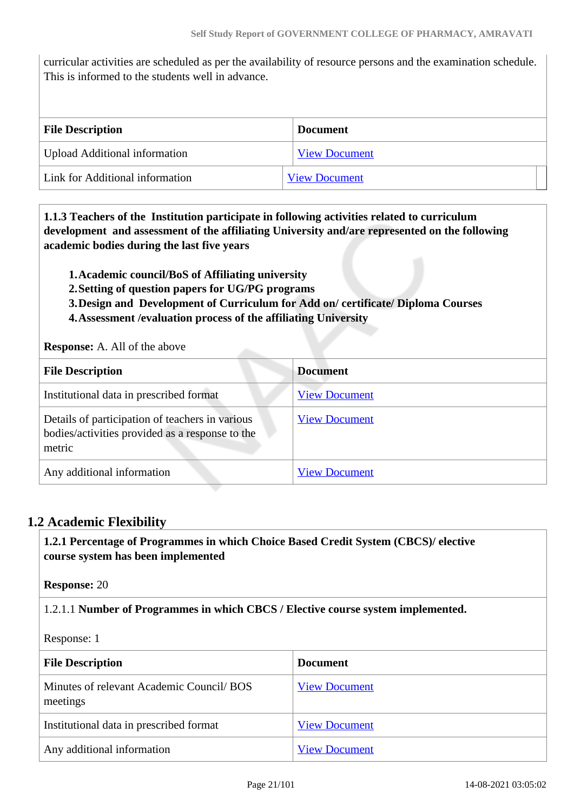curricular activities are scheduled as per the availability of resource persons and the examination schedule. This is informed to the students well in advance.

| <b>File Description</b>         | <b>Document</b>      |
|---------------------------------|----------------------|
| Upload Additional information   | <b>View Document</b> |
| Link for Additional information | <b>View Document</b> |

 **1.1.3 Teachers of the Institution participate in following activities related to curriculum development and assessment of the affiliating University and/are represented on the following academic bodies during the last five years** 

**1.Academic council/BoS of Affiliating university**

- **2.Setting of question papers for UG/PG programs**
- **3.Design and Development of Curriculum for Add on/ certificate/ Diploma Courses**
- **4.Assessment /evaluation process of the affiliating University**

**Response:** A. All of the above

| <b>File Description</b>                                                                                      | <b>Document</b>      |
|--------------------------------------------------------------------------------------------------------------|----------------------|
| Institutional data in prescribed format                                                                      | <b>View Document</b> |
| Details of participation of teachers in various<br>bodies/activities provided as a response to the<br>metric | <b>View Document</b> |
| Any additional information                                                                                   | <b>View Document</b> |

# **1.2 Academic Flexibility**

 **1.2.1 Percentage of Programmes in which Choice Based Credit System (CBCS)/ elective course system has been implemented** 

**Response:** 20

1.2.1.1 **Number of Programmes in which CBCS / Elective course system implemented.**

Response: 1

| <b>File Description</b>                               | <b>Document</b>      |
|-------------------------------------------------------|----------------------|
| Minutes of relevant Academic Council/ BOS<br>meetings | <b>View Document</b> |
| Institutional data in prescribed format               | <b>View Document</b> |
| Any additional information                            | <b>View Document</b> |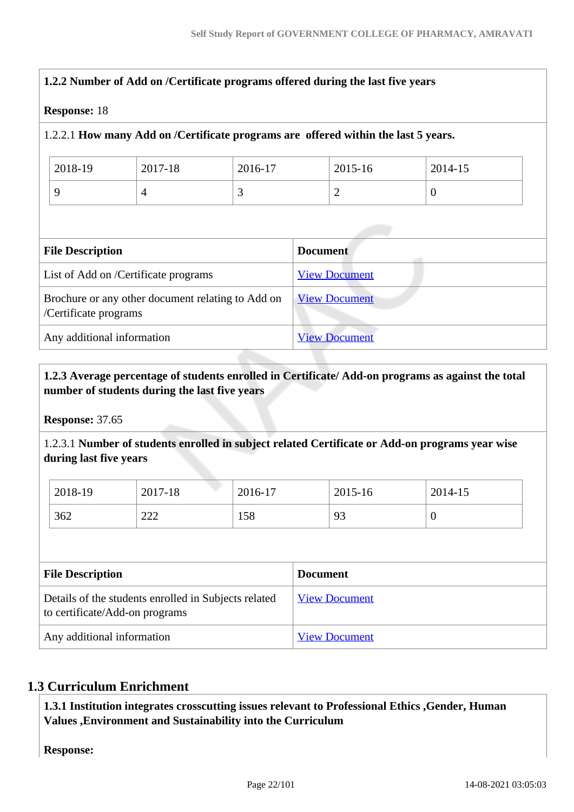# **1.2.2 Number of Add on /Certificate programs offered during the last five years Response:** 18 1.2.2.1 **How many Add on /Certificate programs are offered within the last 5 years.** 2018-19 2017-18 2016-17 2015-16 2014-15 9  $\begin{array}{|c|c|c|c|c|}\n\hline\n9 & 3 & 2 & 0\n\end{array}$ **File Description Document** List of Add on /Certificate programs [View Document](https://assessmentonline.naac.gov.in/storage/app/hei/SSR/103889/1.2.2_1583916545_4648.xlsx) Brochure or any other document relating to Add on /Certificate programs [View Document](https://assessmentonline.naac.gov.in/storage/app/hei/SSR/103889/1.2.2_1583916554_4648.pdf) Any additional information [View Document](https://assessmentonline.naac.gov.in/storage/app/hei/SSR/103889/1.2.2_1583916558_4648.pdf)

# **1.2.3 Average percentage of students enrolled in Certificate/ Add-on programs as against the total number of students during the last five years**

**Response:** 37.65

1.2.3.1 **Number of students enrolled in subject related Certificate or Add-on programs year wise during last five years**

| 2018-19 | 2017-18       | 2016-17 | 2015-16 | 2014-15 |
|---------|---------------|---------|---------|---------|
| 362     | $\cap$<br>444 | 158     | 93      |         |

| <b>File Description</b>                                                                | <b>Document</b>      |
|----------------------------------------------------------------------------------------|----------------------|
| Details of the students enrolled in Subjects related<br>to certificate/Add-on programs | <b>View Document</b> |
| Any additional information                                                             | <b>View Document</b> |

# **1.3 Curriculum Enrichment**

 **1.3.1 Institution integrates crosscutting issues relevant to Professional Ethics ,Gender, Human Values ,Environment and Sustainability into the Curriculum**

**Response:**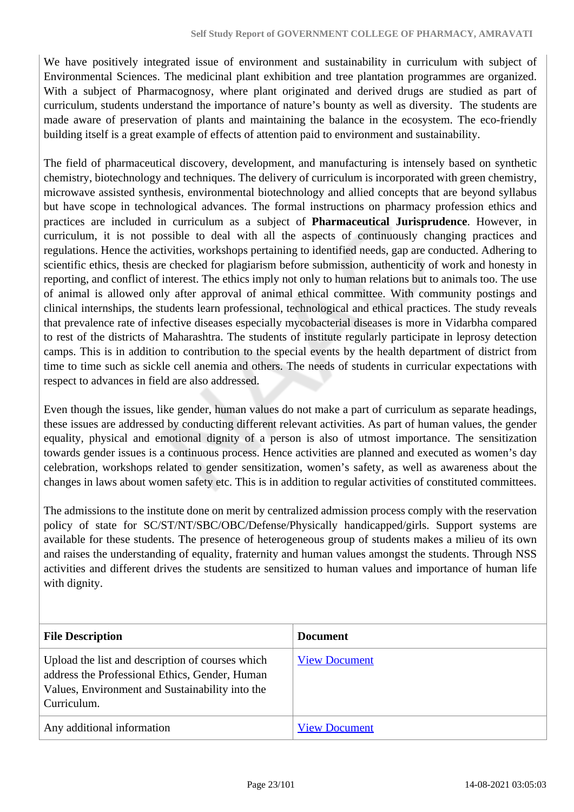We have positively integrated issue of environment and sustainability in curriculum with subject of Environmental Sciences. The medicinal plant exhibition and tree plantation programmes are organized. With a subject of Pharmacognosy, where plant originated and derived drugs are studied as part of curriculum, students understand the importance of nature's bounty as well as diversity. The students are made aware of preservation of plants and maintaining the balance in the ecosystem. The eco-friendly building itself is a great example of effects of attention paid to environment and sustainability.

The field of pharmaceutical discovery, development, and manufacturing is intensely based on synthetic chemistry, biotechnology and techniques. The delivery of curriculum is incorporated with green chemistry, microwave assisted synthesis, environmental biotechnology and allied concepts that are beyond syllabus but have scope in technological advances. The formal instructions on pharmacy profession ethics and practices are included in curriculum as a subject of **Pharmaceutical Jurisprudence**. However, in curriculum, it is not possible to deal with all the aspects of continuously changing practices and regulations. Hence the activities, workshops pertaining to identified needs, gap are conducted. Adhering to scientific ethics, thesis are checked for plagiarism before submission, authenticity of work and honesty in reporting, and conflict of interest. The ethics imply not only to human relations but to animals too. The use of animal is allowed only after approval of animal ethical committee. With community postings and clinical internships, the students learn professional, technological and ethical practices. The study reveals that prevalence rate of infective diseases especially mycobacterial diseases is more in Vidarbha compared to rest of the districts of Maharashtra. The students of institute regularly participate in leprosy detection camps. This is in addition to contribution to the special events by the health department of district from time to time such as sickle cell anemia and others. The needs of students in curricular expectations with respect to advances in field are also addressed.

Even though the issues, like gender, human values do not make a part of curriculum as separate headings, these issues are addressed by conducting different relevant activities. As part of human values, the gender equality, physical and emotional dignity of a person is also of utmost importance. The sensitization towards gender issues is a continuous process. Hence activities are planned and executed as women's day celebration, workshops related to gender sensitization, women's safety, as well as awareness about the changes in laws about women safety etc. This is in addition to regular activities of constituted committees.

The admissions to the institute done on merit by centralized admission process comply with the reservation policy of state for SC/ST/NT/SBC/OBC/Defense/Physically handicapped/girls. Support systems are available for these students. The presence of heterogeneous group of students makes a milieu of its own and raises the understanding of equality, fraternity and human values amongst the students. Through NSS activities and different drives the students are sensitized to human values and importance of human life with dignity.

| <b>File Description</b>                                                                                                                                              | <b>Document</b>      |
|----------------------------------------------------------------------------------------------------------------------------------------------------------------------|----------------------|
| Upload the list and description of courses which<br>address the Professional Ethics, Gender, Human<br>Values, Environment and Sustainability into the<br>Curriculum. | <b>View Document</b> |
| Any additional information                                                                                                                                           | <b>View Document</b> |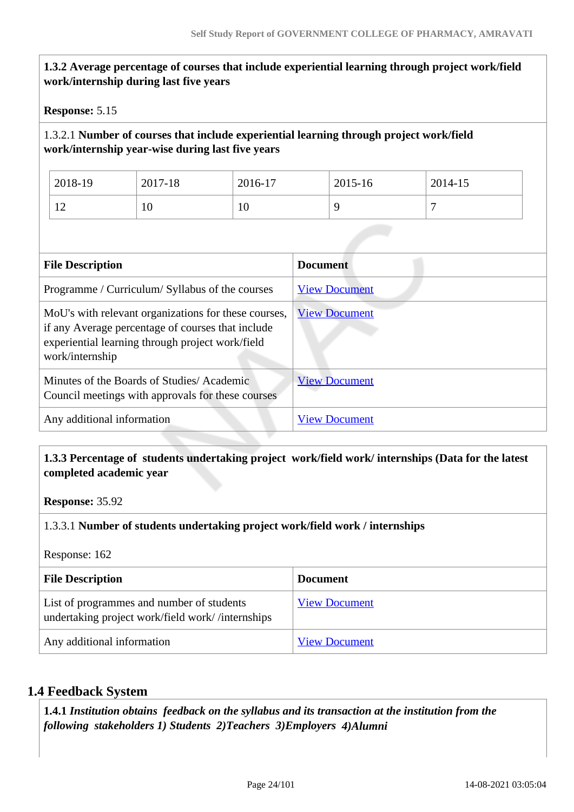| Response: 5.15          |                                                                                                                                                               |         |                                                                                         |         |
|-------------------------|---------------------------------------------------------------------------------------------------------------------------------------------------------------|---------|-----------------------------------------------------------------------------------------|---------|
|                         | work/internship year-wise during last five years                                                                                                              |         | 1.3.2.1 Number of courses that include experiential learning through project work/field |         |
| 2018-19                 | 2017-18                                                                                                                                                       | 2016-17 | 2015-16                                                                                 | 2014-15 |
| 12                      | 10                                                                                                                                                            | 10      | 9                                                                                       | 7       |
| <b>File Description</b> | Programme / Curriculum/ Syllabus of the courses                                                                                                               |         | <b>Document</b><br><b>View Document</b>                                                 |         |
|                         |                                                                                                                                                               |         |                                                                                         |         |
| work/internship         | MoU's with relevant organizations for these courses,<br>if any Average percentage of courses that include<br>experiential learning through project work/field |         | <b>View Document</b>                                                                    |         |
|                         | Minutes of the Boards of Studies/Academic<br>Council meetings with approvals for these courses                                                                |         | <b>View Document</b>                                                                    |         |

### **1.3.3 Percentage of students undertaking project work/field work/ internships (Data for the latest completed academic year**

**Response:** 35.92

### 1.3.3.1 **Number of students undertaking project work/field work / internships**

Response: 162

| <b>File Description</b>                                                                       | <b>Document</b>      |
|-----------------------------------------------------------------------------------------------|----------------------|
| List of programmes and number of students<br>undertaking project work/field work//internships | <b>View Document</b> |
| Any additional information                                                                    | <b>View Document</b> |

### **1.4 Feedback System**

 **1.4.1** *Institution obtains feedback on the syllabus and its transaction at the institution from the following stakeholders 1) Students 2)Teachers 3)Employers 4)Alumni*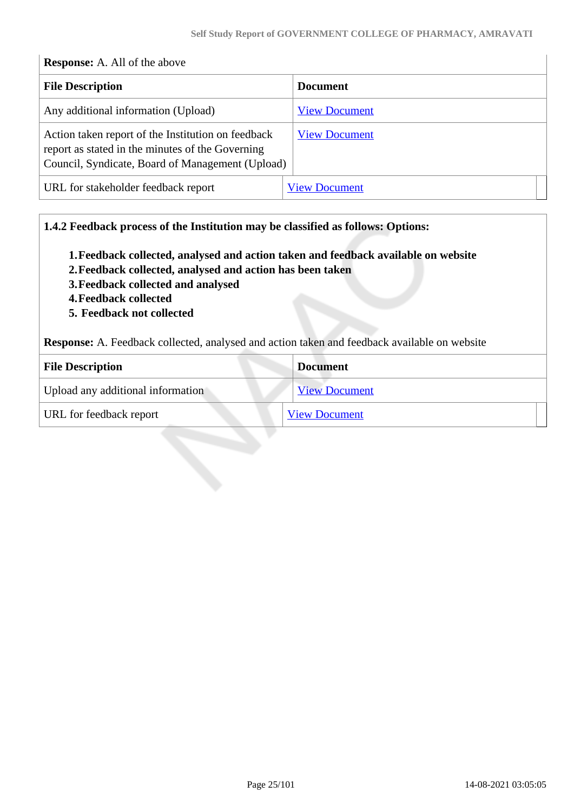| <b>Response:</b> A. All of the above                                                                                                                       |                      |
|------------------------------------------------------------------------------------------------------------------------------------------------------------|----------------------|
| <b>File Description</b>                                                                                                                                    | Document             |
| Any additional information (Upload)                                                                                                                        | <b>View Document</b> |
| Action taken report of the Institution on feedback<br>report as stated in the minutes of the Governing<br>Council, Syndicate, Board of Management (Upload) | <b>View Document</b> |
| URL for stakeholder feedback report                                                                                                                        | <b>View Document</b> |

### **1.4.2 Feedback process of the Institution may be classified as follows: Options:**

- **1.Feedback collected, analysed and action taken and feedback available on website**
- **2.Feedback collected, analysed and action has been taken**
- **3.Feedback collected and analysed**
- **4.Feedback collected**
- **5. Feedback not collected**

**Response:** A. Feedback collected, analysed and action taken and feedback available on website

| <b>File Description</b>           | <b>Document</b>      |
|-----------------------------------|----------------------|
| Upload any additional information | <b>View Document</b> |
| URL for feedback report           | <b>View Document</b> |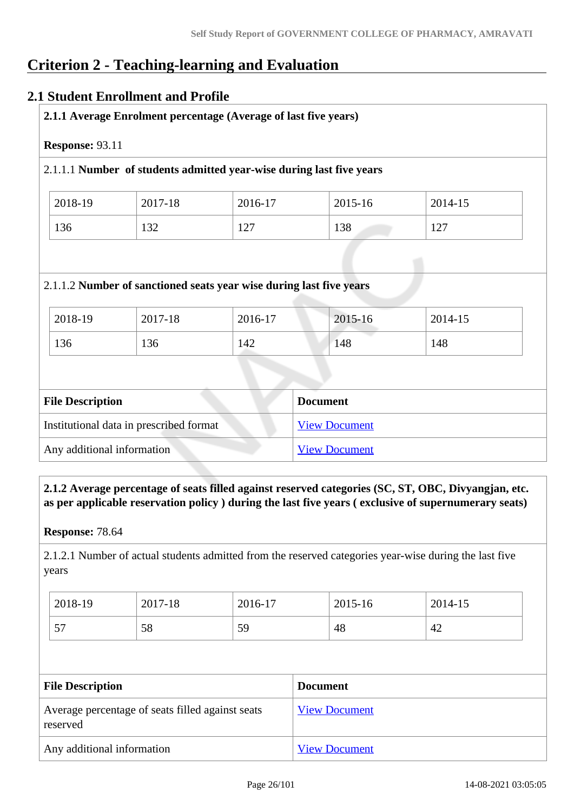# **Criterion 2 - Teaching-learning and Evaluation**

# **2.1 Student Enrollment and Profile**

| Response: 93.11 |         |                                                                      |         |         |
|-----------------|---------|----------------------------------------------------------------------|---------|---------|
|                 |         | 2.1.1.1 Number of students admitted year-wise during last five years |         |         |
| 2018-19         | 2017-18 | 2016-17                                                              | 2015-16 | 2014-15 |
|                 |         |                                                                      |         |         |
| 136             | 132     | 127                                                                  | 138     | 127     |
|                 |         | 2.1.1.2 Number of sanctioned seats year wise during last five years  |         |         |
| 2018-19         | 2017-18 | 2016-17                                                              | 2015-16 | 2014-15 |

| <b>File Description</b>                 | <b>Document</b>      |
|-----------------------------------------|----------------------|
| Institutional data in prescribed format | <b>View Document</b> |
| Any additional information              | <b>View Document</b> |

 **2.1.2 Average percentage of seats filled against reserved categories (SC, ST, OBC, Divyangjan, etc. as per applicable reservation policy ) during the last five years ( exclusive of supernumerary seats)**

**Response:** 78.64

2.1.2.1 Number of actual students admitted from the reserved categories year-wise during the last five years

| 2018-19   | 2017-18 | 2016-17 | 2015-16 | 2014-15 |
|-----------|---------|---------|---------|---------|
| 57<br>ا ب | 58      | 59      | 48      | 42      |

| <b>File Description</b>                                      | <b>Document</b>      |
|--------------------------------------------------------------|----------------------|
| Average percentage of seats filled against seats<br>reserved | <b>View Document</b> |
| Any additional information                                   | <b>View Document</b> |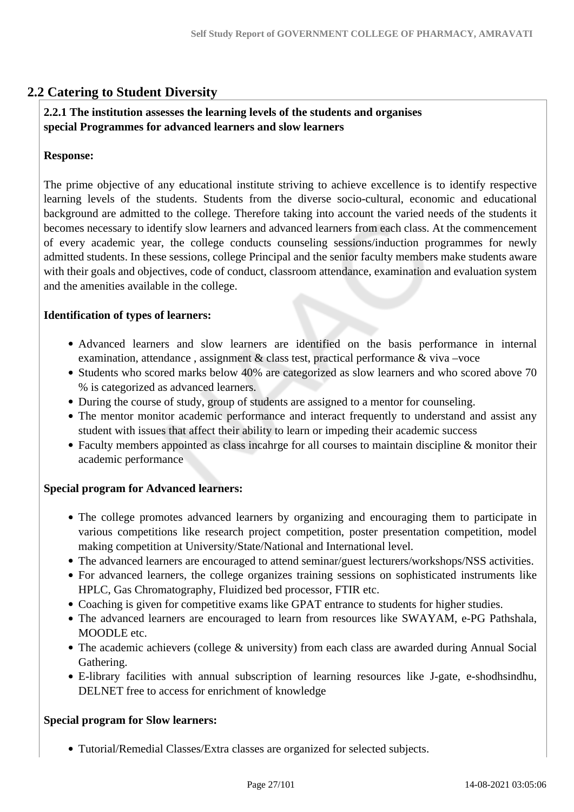# **2.2 Catering to Student Diversity**

### **2.2.1 The institution assesses the learning levels of the students and organises special Programmes for advanced learners and slow learners**

#### **Response:**

The prime objective of any educational institute striving to achieve excellence is to identify respective learning levels of the students. Students from the diverse socio-cultural, economic and educational background are admitted to the college. Therefore taking into account the varied needs of the students it becomes necessary to identify slow learners and advanced learners from each class. At the commencement of every academic year, the college conducts counseling sessions/induction programmes for newly admitted students. In these sessions, college Principal and the senior faculty members make students aware with their goals and objectives, code of conduct, classroom attendance, examination and evaluation system and the amenities available in the college.

#### **Identification of types of learners:**

- Advanced learners and slow learners are identified on the basis performance in internal examination, attendance, assignment  $\&$  class test, practical performance  $\&$  viva –voce
- Students who scored marks below 40% are categorized as slow learners and who scored above 70 % is categorized as advanced learners.
- During the course of study, group of students are assigned to a mentor for counseling.
- The mentor monitor academic performance and interact frequently to understand and assist any student with issues that affect their ability to learn or impeding their academic success
- Faculty members appointed as class incahrge for all courses to maintain discipline & monitor their academic performance

#### **Special program for Advanced learners:**

- The college promotes advanced learners by organizing and encouraging them to participate in various competitions like research project competition, poster presentation competition, model making competition at University/State/National and International level.
- The advanced learners are encouraged to attend seminar/guest lecturers/workshops/NSS activities.
- For advanced learners, the college organizes training sessions on sophisticated instruments like HPLC, Gas Chromatography, Fluidized bed processor, FTIR etc.
- Coaching is given for competitive exams like GPAT entrance to students for higher studies.
- The advanced learners are encouraged to learn from resources like SWAYAM, e-PG Pathshala, MOODLE etc.
- The academic achievers (college & university) from each class are awarded during Annual Social Gathering.
- E-library facilities with annual subscription of learning resources like J-gate, e-shodhsindhu, DELNET free to access for enrichment of knowledge

#### **Special program for Slow learners:**

Tutorial/Remedial Classes/Extra classes are organized for selected subjects.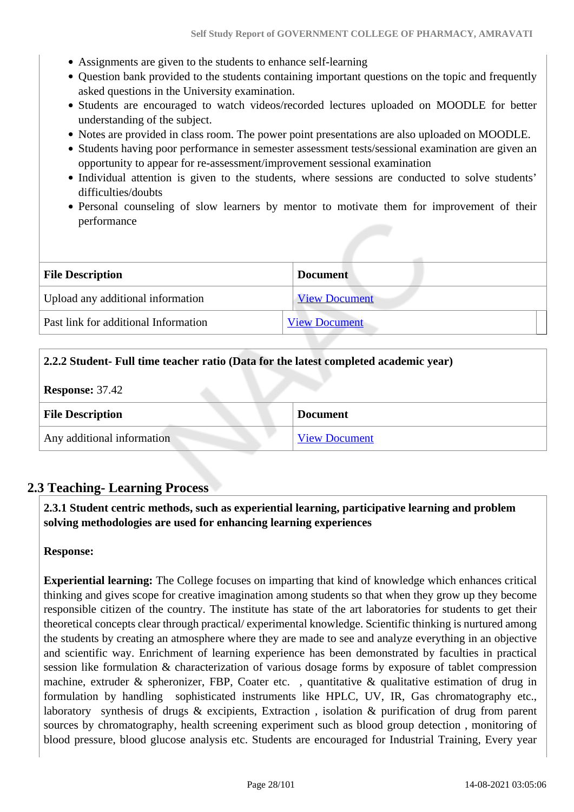- Assignments are given to the students to enhance self-learning
- Question bank provided to the students containing important questions on the topic and frequently asked questions in the University examination.
- Students are encouraged to watch videos/recorded lectures uploaded on MOODLE for better understanding of the subject.
- Notes are provided in class room. The power point presentations are also uploaded on MOODLE.
- Students having poor performance in semester assessment tests/sessional examination are given an opportunity to appear for re-assessment/improvement sessional examination
- Individual attention is given to the students, where sessions are conducted to solve students' difficulties/doubts
- Personal counseling of slow learners by mentor to motivate them for improvement of their performance

| <b>File Description</b>              | <b>Document</b>      |
|--------------------------------------|----------------------|
| Upload any additional information    | <b>View Document</b> |
| Past link for additional Information | <b>View Document</b> |

#### **2.2.2 Student- Full time teacher ratio (Data for the latest completed academic year)**

| <b>Response: 37.42</b> |  |
|------------------------|--|
|------------------------|--|

| <b>File Description</b>    | <b>Document</b>      |
|----------------------------|----------------------|
| Any additional information | <b>View Document</b> |

# **2.3 Teaching- Learning Process**

 **2.3.1 Student centric methods, such as experiential learning, participative learning and problem solving methodologies are used for enhancing learning experiences**

#### **Response:**

**Experiential learning:** The College focuses on imparting that kind of knowledge which enhances critical thinking and gives scope for creative imagination among students so that when they grow up they become responsible citizen of the country. The institute has state of the art laboratories for students to get their theoretical concepts clear through practical/ experimental knowledge. Scientific thinking is nurtured among the students by creating an atmosphere where they are made to see and analyze everything in an objective and scientific way. Enrichment of learning experience has been demonstrated by faculties in practical session like formulation & characterization of various dosage forms by exposure of tablet compression machine, extruder & spheronizer, FBP, Coater etc., quantitative & qualitative estimation of drug in formulation by handling sophisticated instruments like HPLC, UV, IR, Gas chromatography etc., laboratory synthesis of drugs & excipients, Extraction , isolation & purification of drug from parent sources by chromatography, health screening experiment such as blood group detection , monitoring of blood pressure, blood glucose analysis etc. Students are encouraged for Industrial Training, Every year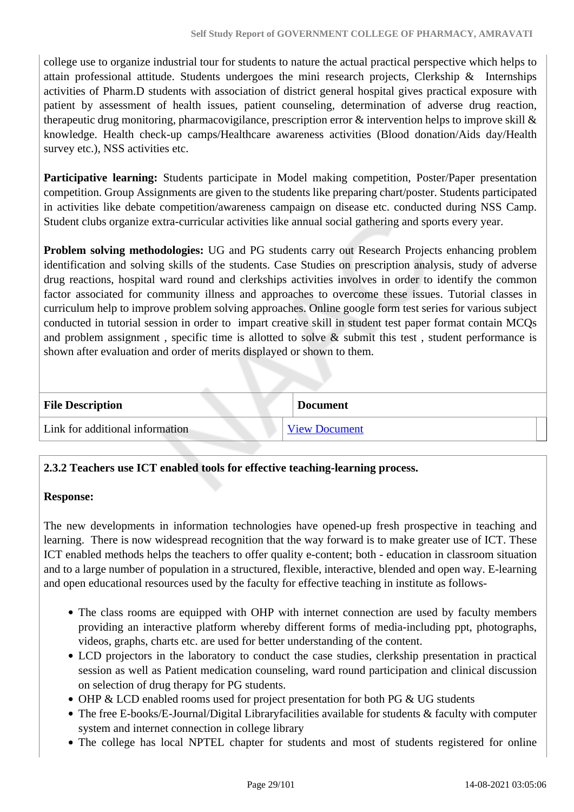college use to organize industrial tour for students to nature the actual practical perspective which helps to attain professional attitude. Students undergoes the mini research projects, Clerkship & Internships activities of Pharm.D students with association of district general hospital gives practical exposure with patient by assessment of health issues, patient counseling, determination of adverse drug reaction, therapeutic drug monitoring, pharmacovigilance, prescription error  $\&$  intervention helps to improve skill  $\&$ knowledge. Health check-up camps/Healthcare awareness activities (Blood donation/Aids day/Health survey etc.), NSS activities etc.

Participative learning: Students participate in Model making competition, Poster/Paper presentation competition. Group Assignments are given to the students like preparing chart/poster. Students participated in activities like debate competition/awareness campaign on disease etc. conducted during NSS Camp. Student clubs organize extra-curricular activities like annual social gathering and sports every year.

**Problem solving methodologies:** UG and PG students carry out Research Projects enhancing problem identification and solving skills of the students. Case Studies on prescription analysis, study of adverse drug reactions, hospital ward round and clerkships activities involves in order to identify the common factor associated for community illness and approaches to overcome these issues. Tutorial classes in curriculum help to improve problem solving approaches. Online google form test series for various subject conducted in tutorial session in order to impart creative skill in student test paper format contain MCQs and problem assignment, specific time is allotted to solve  $\&$  submit this test, student performance is shown after evaluation and order of merits displayed or shown to them.

| <b>File Description</b>         | <b>Document</b>      |
|---------------------------------|----------------------|
| Link for additional information | <b>View Document</b> |

# **2.3.2 Teachers use ICT enabled tools for effective teaching-learning process.**

#### **Response:**

The new developments in information technologies have opened-up fresh prospective in teaching and learning. There is now widespread recognition that the way forward is to make greater use of ICT. These ICT enabled methods helps the teachers to offer quality e-content; both - education in classroom situation and to a large number of population in a structured, flexible, interactive, blended and open way. E-learning and open educational resources used by the faculty for effective teaching in institute as follows-

- The class rooms are equipped with OHP with internet connection are used by faculty members providing an interactive platform whereby different forms of media-including ppt, photographs, videos, graphs, charts etc. are used for better understanding of the content.
- LCD projectors in the laboratory to conduct the case studies, clerkship presentation in practical session as well as Patient medication counseling, ward round participation and clinical discussion on selection of drug therapy for PG students.
- OHP & LCD enabled rooms used for project presentation for both PG & UG students
- The free E-books/E-Journal/Digital Libraryfacilities available for students & faculty with computer system and internet connection in college library
- The college has local NPTEL chapter for students and most of students registered for online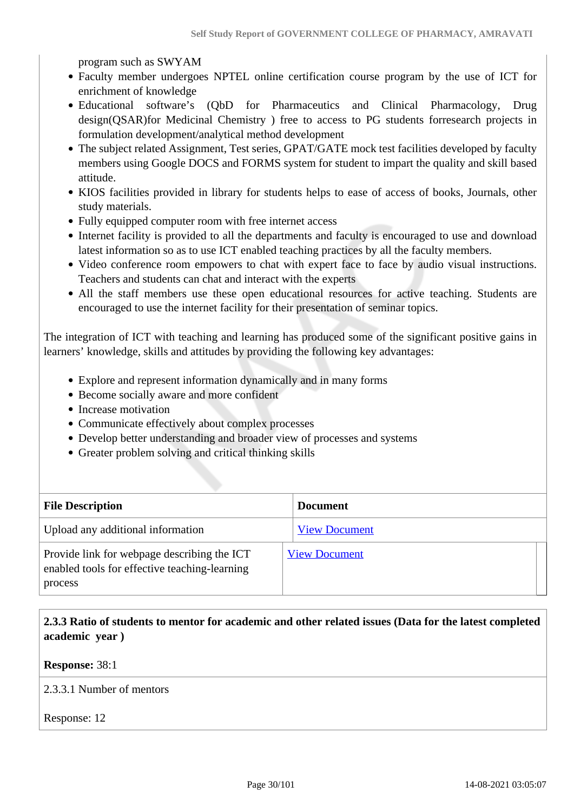program such as SWYAM

- Faculty member undergoes NPTEL online certification course program by the use of ICT for enrichment of knowledge
- Educational software's (QbD for Pharmaceutics and Clinical Pharmacology, Drug design(QSAR)for Medicinal Chemistry ) free to access to PG students forresearch projects in formulation development/analytical method development
- The subject related Assignment, Test series, GPAT/GATE mock test facilities developed by faculty members using Google DOCS and FORMS system for student to impart the quality and skill based attitude.
- KIOS facilities provided in library for students helps to ease of access of books, Journals, other study materials.
- Fully equipped computer room with free internet access
- Internet facility is provided to all the departments and faculty is encouraged to use and download latest information so as to use ICT enabled teaching practices by all the faculty members.
- Video conference room empowers to chat with expert face to face by audio visual instructions. Teachers and students can chat and interact with the experts
- All the staff members use these open educational resources for active teaching. Students are encouraged to use the internet facility for their presentation of seminar topics.

The integration of ICT with teaching and learning has produced some of the significant positive gains in learners' knowledge, skills and attitudes by providing the following key advantages:

- Explore and represent information dynamically and in many forms
- Become socially aware and more confident
- Increase motivation
- Communicate effectively about complex processes
- Develop better understanding and broader view of processes and systems
- Greater problem solving and critical thinking skills

| <b>File Description</b>                                                                                 | <b>Document</b>      |
|---------------------------------------------------------------------------------------------------------|----------------------|
| Upload any additional information                                                                       | <b>View Document</b> |
| Provide link for webpage describing the ICT<br>enabled tools for effective teaching-learning<br>process | <b>View Document</b> |

# **2.3.3 Ratio of students to mentor for academic and other related issues (Data for the latest completed academic year )**

**Response:** 38:1

2.3.3.1 Number of mentors

Response: 12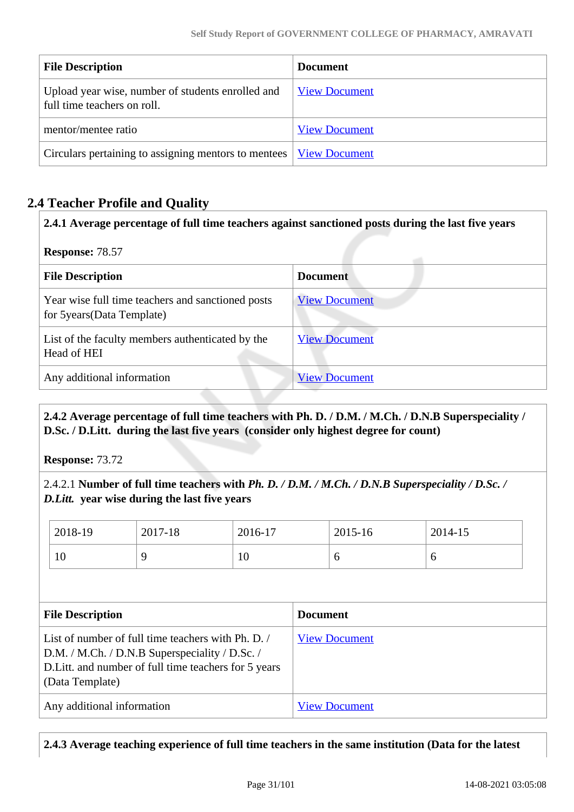| <b>File Description</b>                                                          | Document             |
|----------------------------------------------------------------------------------|----------------------|
| Upload year wise, number of students enrolled and<br>full time teachers on roll. | <b>View Document</b> |
| mentor/mentee ratio                                                              | <b>View Document</b> |
| Circulars pertaining to assigning mentors to mentees   <u>View Document</u>      |                      |

# **2.4 Teacher Profile and Quality**

**2.4.1 Average percentage of full time teachers against sanctioned posts during the last five years**

**Response:** 78.57

| <b>File Description</b>                                                         | <b>Document</b>      |  |
|---------------------------------------------------------------------------------|----------------------|--|
| Year wise full time teachers and sanctioned posts<br>for 5years (Data Template) | <b>View Document</b> |  |
| List of the faculty members authenticated by the<br>Head of HEI                 | <b>View Document</b> |  |
| Any additional information                                                      | <b>View Document</b> |  |

 **2.4.2 Average percentage of full time teachers with Ph. D. / D.M. / M.Ch. / D.N.B Superspeciality / D.Sc. / D.Litt. during the last five years (consider only highest degree for count)**

**Response:** 73.72

2.4.2.1 **Number of full time teachers with** *Ph. D. / D.M. / M.Ch. / D.N.B Superspeciality / D.Sc. / D.Litt.* **year wise during the last five years**

| 2018-19 | 2017-18 | 2016-17 | 2015-16 | 2014-15 |
|---------|---------|---------|---------|---------|
| 10      |         | 10      | O       |         |

| <b>File Description</b>                                                                                                                                                        | <b>Document</b>      |
|--------------------------------------------------------------------------------------------------------------------------------------------------------------------------------|----------------------|
| List of number of full time teachers with Ph. D.<br>D.M. / M.Ch. / D.N.B Superspeciality / D.Sc. /<br>D. Litt. and number of full time teachers for 5 years<br>(Data Template) | <b>View Document</b> |
| Any additional information                                                                                                                                                     | <b>View Document</b> |

**2.4.3 Average teaching experience of full time teachers in the same institution (Data for the latest**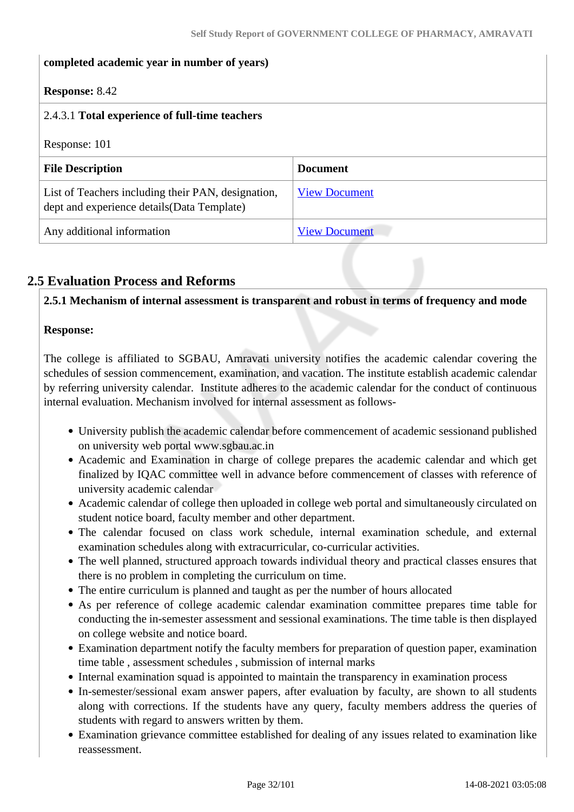| completed academic year in number of years)                                                       |                      |  |
|---------------------------------------------------------------------------------------------------|----------------------|--|
| <b>Response:</b> 8.42                                                                             |                      |  |
| 2.4.3.1 Total experience of full-time teachers                                                    |                      |  |
| Response: 101                                                                                     |                      |  |
| <b>File Description</b>                                                                           | <b>Document</b>      |  |
| List of Teachers including their PAN, designation,<br>dept and experience details (Data Template) | <b>View Document</b> |  |
| Any additional information                                                                        | <b>View Document</b> |  |

# **2.5 Evaluation Process and Reforms**

**2.5.1 Mechanism of internal assessment is transparent and robust in terms of frequency and mode**

### **Response:**

The college is affiliated to SGBAU, Amravati university notifies the academic calendar covering the schedules of session commencement, examination, and vacation. The institute establish academic calendar by referring university calendar. Institute adheres to the academic calendar for the conduct of continuous internal evaluation. Mechanism involved for internal assessment as follows-

- University publish the academic calendar before commencement of academic sessionand published on university web portal www.sgbau.ac.in
- Academic and Examination in charge of college prepares the academic calendar and which get finalized by IQAC committee well in advance before commencement of classes with reference of university academic calendar
- Academic calendar of college then uploaded in college web portal and simultaneously circulated on student notice board, faculty member and other department.
- The calendar focused on class work schedule, internal examination schedule, and external examination schedules along with extracurricular, co-curricular activities.
- The well planned, structured approach towards individual theory and practical classes ensures that there is no problem in completing the curriculum on time.
- The entire curriculum is planned and taught as per the number of hours allocated
- As per reference of college academic calendar examination committee prepares time table for conducting the in-semester assessment and sessional examinations. The time table is then displayed on college website and notice board.
- Examination department notify the faculty members for preparation of question paper, examination time table , assessment schedules , submission of internal marks
- Internal examination squad is appointed to maintain the transparency in examination process
- In-semester/sessional exam answer papers, after evaluation by faculty, are shown to all students along with corrections. If the students have any query, faculty members address the queries of students with regard to answers written by them.
- Examination grievance committee established for dealing of any issues related to examination like reassessment.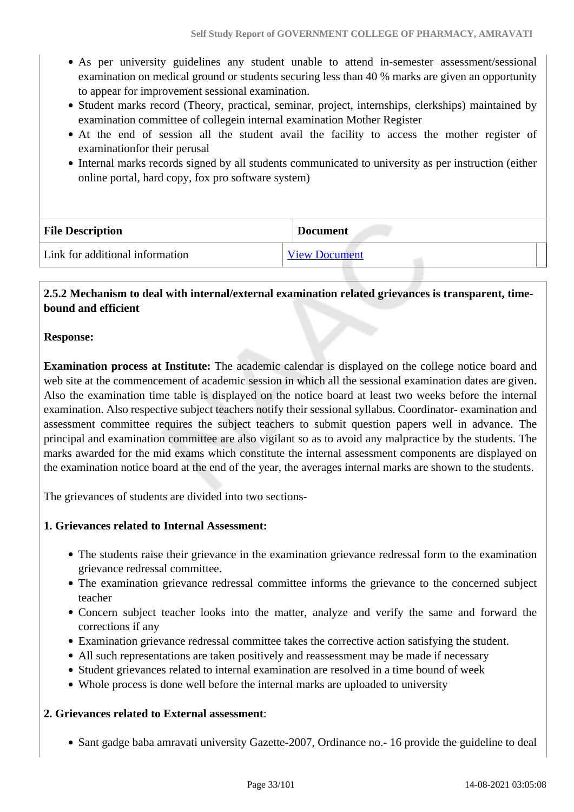- As per university guidelines any student unable to attend in-semester assessment/sessional examination on medical ground or students securing less than 40 % marks are given an opportunity to appear for improvement sessional examination.
- Student marks record (Theory, practical, seminar, project, internships, clerkships) maintained by examination committee of collegein internal examination Mother Register
- At the end of session all the student avail the facility to access the mother register of examinationfor their perusal
- Internal marks records signed by all students communicated to university as per instruction (either online portal, hard copy, fox pro software system)

| <b>File Description</b>         | <b>Document</b>      |
|---------------------------------|----------------------|
| Link for additional information | <b>View Document</b> |

### **2.5.2 Mechanism to deal with internal/external examination related grievances is transparent, timebound and efficient**

### **Response:**

**Examination process at Institute:** The academic calendar is displayed on the college notice board and web site at the commencement of academic session in which all the sessional examination dates are given. Also the examination time table is displayed on the notice board at least two weeks before the internal examination. Also respective subject teachers notify their sessional syllabus. Coordinator- examination and assessment committee requires the subject teachers to submit question papers well in advance. The principal and examination committee are also vigilant so as to avoid any malpractice by the students. The marks awarded for the mid exams which constitute the internal assessment components are displayed on the examination notice board at the end of the year, the averages internal marks are shown to the students.

The grievances of students are divided into two sections-

### **1. Grievances related to Internal Assessment:**

- The students raise their grievance in the examination grievance redressal form to the examination grievance redressal committee.
- The examination grievance redressal committee informs the grievance to the concerned subject teacher
- Concern subject teacher looks into the matter, analyze and verify the same and forward the corrections if any
- Examination grievance redressal committee takes the corrective action satisfying the student.
- All such representations are taken positively and reassessment may be made if necessary
- Student grievances related to internal examination are resolved in a time bound of week
- Whole process is done well before the internal marks are uploaded to university

### **2. Grievances related to External assessment**:

• Sant gadge baba amravati university Gazette-2007, Ordinance no.- 16 provide the guideline to deal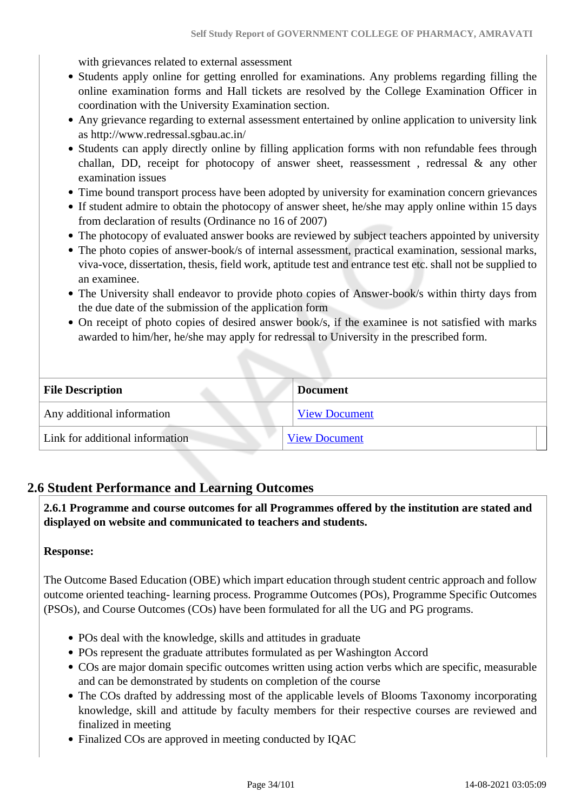with grievances related to external assessment

- Students apply online for getting enrolled for examinations. Any problems regarding filling the online examination forms and Hall tickets are resolved by the College Examination Officer in coordination with the University Examination section.
- Any grievance regarding to external assessment entertained by online application to university link as http://www.redressal.sgbau.ac.in/
- Students can apply directly online by filling application forms with non refundable fees through challan, DD, receipt for photocopy of answer sheet, reassessment, redressal  $\&$  any other examination issues
- Time bound transport process have been adopted by university for examination concern grievances
- If student admire to obtain the photocopy of answer sheet, he/she may apply online within 15 days from declaration of results (Ordinance no 16 of 2007)
- The photocopy of evaluated answer books are reviewed by subject teachers appointed by university
- The photo copies of answer-book/s of internal assessment, practical examination, sessional marks, viva-voce, dissertation, thesis, field work, aptitude test and entrance test etc. shall not be supplied to an examinee.
- The University shall endeavor to provide photo copies of Answer-book/s within thirty days from the due date of the submission of the application form
- On receipt of photo copies of desired answer book/s, if the examinee is not satisfied with marks awarded to him/her, he/she may apply for redressal to University in the prescribed form.

| <b>File Description</b>         | <b>Document</b>      |
|---------------------------------|----------------------|
| Any additional information      | <b>View Document</b> |
| Link for additional information | <b>View Document</b> |

# **2.6 Student Performance and Learning Outcomes**

 **2.6.1 Programme and course outcomes for all Programmes offered by the institution are stated and displayed on website and communicated to teachers and students.**

#### **Response:**

The Outcome Based Education (OBE) which impart education through student centric approach and follow outcome oriented teaching- learning process. Programme Outcomes (POs), Programme Specific Outcomes (PSOs), and Course Outcomes (COs) have been formulated for all the UG and PG programs.

- POs deal with the knowledge, skills and attitudes in graduate
- POs represent the graduate attributes formulated as per Washington Accord
- COs are major domain specific outcomes written using action verbs which are specific, measurable and can be demonstrated by students on completion of the course
- The COs drafted by addressing most of the applicable levels of Blooms Taxonomy incorporating knowledge, skill and attitude by faculty members for their respective courses are reviewed and finalized in meeting
- Finalized COs are approved in meeting conducted by IQAC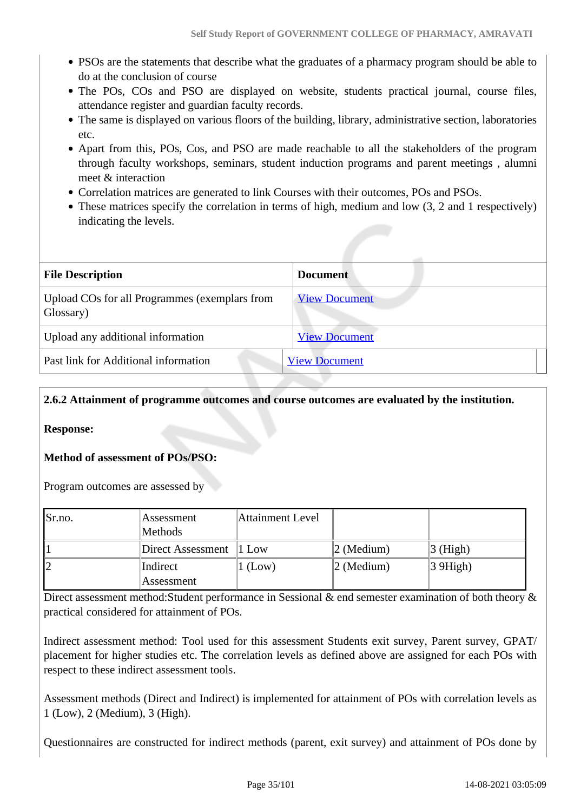- PSOs are the statements that describe what the graduates of a pharmacy program should be able to do at the conclusion of course
- The POs, COs and PSO are displayed on website, students practical journal, course files, attendance register and guardian faculty records.
- The same is displayed on various floors of the building, library, administrative section, laboratories etc.
- Apart from this, POs, Cos, and PSO are made reachable to all the stakeholders of the program through faculty workshops, seminars, student induction programs and parent meetings , alumni meet & interaction
- Correlation matrices are generated to link Courses with their outcomes, POs and PSOs.
- These matrices specify the correlation in terms of high, medium and low  $(3, 2, 2)$  and 1 respectively) indicating the levels.

| <b>File Description</b>                                    | <b>Document</b>      |
|------------------------------------------------------------|----------------------|
| Upload COs for all Programmes (exemplars from<br>Glossary) | <b>View Document</b> |
| Upload any additional information                          | <b>View Document</b> |
| Past link for Additional information                       | <b>View Document</b> |

### **2.6.2 Attainment of programme outcomes and course outcomes are evaluated by the institution.**

**Response:** 

**Method of assessment of POs/PSO:**

Program outcomes are assessed by

| Sr.no. | Assessment        | <b>Attainment Level</b> |                       |                                |
|--------|-------------------|-------------------------|-----------------------|--------------------------------|
|        | Methods           |                         |                       |                                |
|        | Direct Assessment | $\pm 1$ Low             | $ 2 \text{ (Median)}$ | $\beta$ (High)                 |
| 12     | Indirect          | $l$ (Low)               | $ 2 \text{ (Median)}$ | $\vert 3 \,\overline{9}$ High) |
|        | Assessment        |                         |                       |                                |

Direct assessment method:Student performance in Sessional & end semester examination of both theory & practical considered for attainment of POs.

Indirect assessment method: Tool used for this assessment Students exit survey, Parent survey, GPAT/ placement for higher studies etc. The correlation levels as defined above are assigned for each POs with respect to these indirect assessment tools.

Assessment methods (Direct and Indirect) is implemented for attainment of POs with correlation levels as 1 (Low), 2 (Medium), 3 (High).

Questionnaires are constructed for indirect methods (parent, exit survey) and attainment of POs done by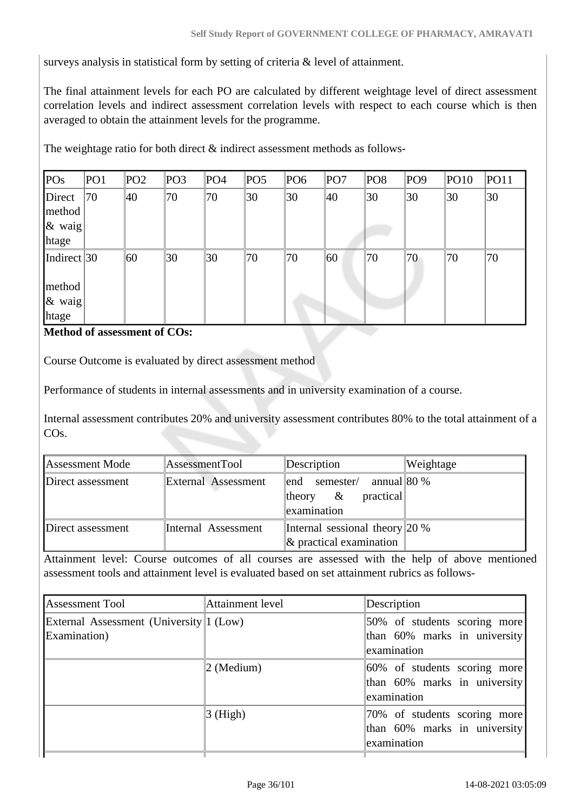surveys analysis in statistical form by setting of criteria & level of attainment.

The final attainment levels for each PO are calculated by different weightage level of direct assessment correlation levels and indirect assessment correlation levels with respect to each course which is then averaged to obtain the attainment levels for the programme.

The weightage ratio for both direct  $\&$  indirect assessment methods as follows-

| POs                                               | PO <sub>1</sub> | PO <sub>2</sub> | PO <sub>3</sub> | PO <sub>4</sub> | PO5 | PO <sub>6</sub> | PO7 | PO <sub>8</sub> | PO <sub>9</sub> | <b>PO10</b> | <b>PO11</b> |
|---------------------------------------------------|-----------------|-----------------|-----------------|-----------------|-----|-----------------|-----|-----------------|-----------------|-------------|-------------|
| Direct<br>method<br>$\alpha$ waig<br>htage        | 70              | 40              | 70              | 70              | 30  | 30              | 40  | 30              | 30              | 30          | 30          |
| Indirect $30$<br>method<br>$\alpha$ waig<br>htage |                 | 60              | 30              | 30              | 70  | 70              | 60  | 70              | 70              | 70          | 70          |

#### **Method of assessment of COs:**

Course Outcome is evaluated by direct assessment method

Performance of students in internal assessments and in university examination of a course.

Internal assessment contributes 20% and university assessment contributes 80% to the total attainment of a COs.

| Assessment Mode   | AssessmentTool      | Description                             | Weightage |
|-------------------|---------------------|-----------------------------------------|-----------|
| Direct assessment | External Assessment | end semester/ annual 80 %               |           |
|                   |                     | practical<br>theory $\&$<br>examination |           |
| Direct assessment | Internal Assessment | Internal sessional theory 20 %          |           |
|                   |                     | $\&$ practical examination              |           |

Attainment level: Course outcomes of all courses are assessed with the help of above mentioned assessment tools and attainment level is evaluated based on set attainment rubrics as follows-

| Assessment Tool                         | Attainment level | Description                  |
|-----------------------------------------|------------------|------------------------------|
| External Assessment (University 1 (Low) |                  | 50% of students scoring more |
| Examination)                            |                  | than 60% marks in university |
|                                         |                  | examination                  |
|                                         | $2$ (Medium)     | 60% of students scoring more |
|                                         |                  | than 60% marks in university |
|                                         |                  | examination                  |
|                                         | $3$ (High)       | 70% of students scoring more |
|                                         |                  | than 60% marks in university |
|                                         |                  | examination                  |
|                                         |                  |                              |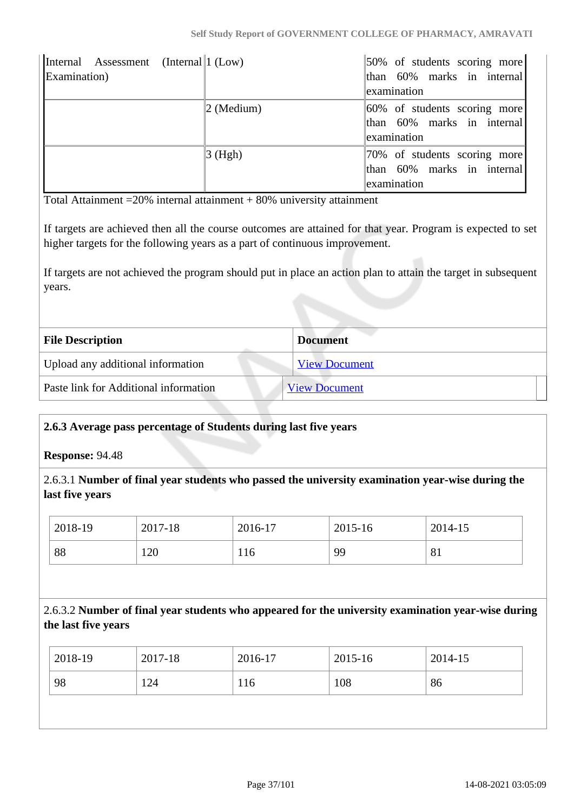| Internal Assessment (Internal 1 (Low)<br>Examination) |                        | 50% of students scoring more<br>than 60% marks in internal<br>examination |
|-------------------------------------------------------|------------------------|---------------------------------------------------------------------------|
|                                                       | $ 2 \text{ (Median)} $ | 60% of students scoring more<br>than 60% marks in internal<br>examination |
|                                                       | $3$ (Hgh)              | 70% of students scoring more<br>than 60% marks in internal<br>examination |

Total Attainment  $=$  20% internal attainment  $+$  80% university attainment

If targets are achieved then all the course outcomes are attained for that year. Program is expected to set higher targets for the following years as a part of continuous improvement.

If targets are not achieved the program should put in place an action plan to attain the target in subsequent years.

| <b>File Description</b>               | <b>Document</b>      |
|---------------------------------------|----------------------|
| Upload any additional information     | <b>View Document</b> |
| Paste link for Additional information | <b>View Document</b> |

#### **2.6.3 Average pass percentage of Students during last five years**

**Response:** 94.48

2.6.3.1 **Number of final year students who passed the university examination year-wise during the last five years**

| 2018-19 | 2017-18 | 2016-17 | 2015-16 | 2014-15 |
|---------|---------|---------|---------|---------|
| 88      | 120     | 116     | 99      | 81      |

## 2.6.3.2 **Number of final year students who appeared for the university examination year-wise during the last five years**

| 98<br>124<br>108<br>86<br>116 | 2018-19 | 2017-18 | 2016-17 | 2015-16 | 2014-15 |
|-------------------------------|---------|---------|---------|---------|---------|
|                               |         |         |         |         |         |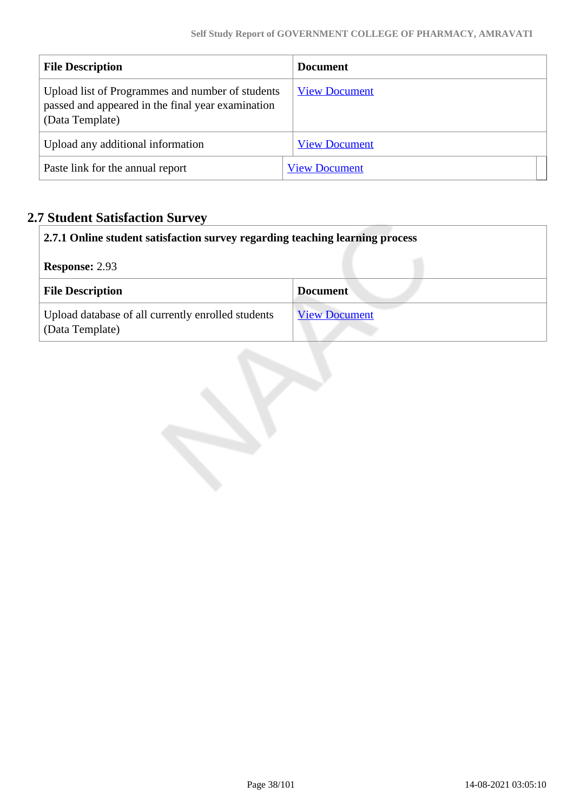| <b>File Description</b>                                                                                                  | <b>Document</b>      |
|--------------------------------------------------------------------------------------------------------------------------|----------------------|
| Upload list of Programmes and number of students<br>passed and appeared in the final year examination<br>(Data Template) | <b>View Document</b> |
| Upload any additional information                                                                                        | <b>View Document</b> |
| Paste link for the annual report                                                                                         | <b>View Document</b> |

# **2.7 Student Satisfaction Survey**

| 2.7.1 Online student satisfaction survey regarding teaching learning process |                      |  |  |  |
|------------------------------------------------------------------------------|----------------------|--|--|--|
| <b>Response: 2.93</b>                                                        |                      |  |  |  |
| <b>File Description</b>                                                      | <b>Document</b>      |  |  |  |
| Upload database of all currently enrolled students<br>(Data Template)        | <b>View Document</b> |  |  |  |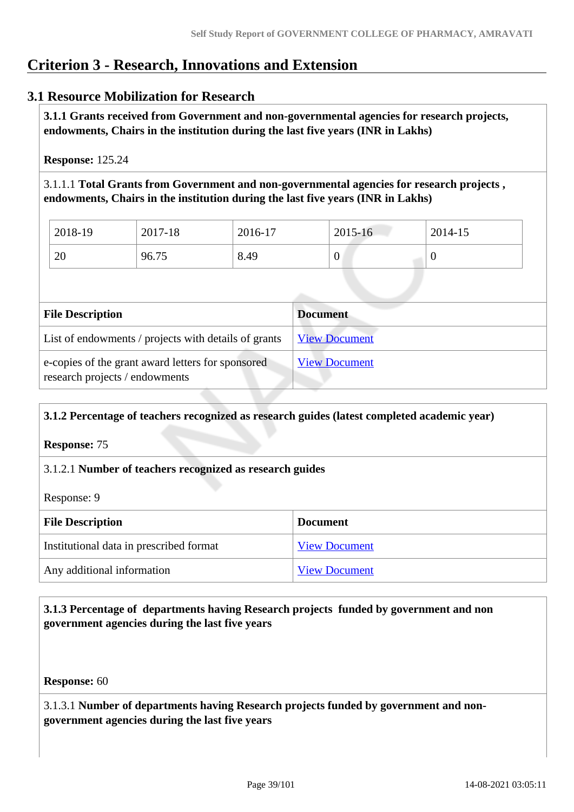# **Criterion 3 - Research, Innovations and Extension**

# **3.1 Resource Mobilization for Research**

 **3.1.1 Grants received from Government and non-governmental agencies for research projects, endowments, Chairs in the institution during the last five years (INR in Lakhs)** 

**Response:** 125.24

3.1.1.1 **Total Grants from Government and non-governmental agencies for research projects , endowments, Chairs in the institution during the last five years (INR in Lakhs)**

| 2018-19 | 2017-18 | 2016-17 | 2015-16          | 2014-15 |
|---------|---------|---------|------------------|---------|
| 20      | 96.75   | 8.49    | $\boldsymbol{0}$ |         |

| <b>File Description</b>                                                             | <b>Document</b>      |
|-------------------------------------------------------------------------------------|----------------------|
| List of endowments / projects with details of grants                                | <b>View Document</b> |
| e-copies of the grant award letters for sponsored<br>research projects / endowments | <b>View Document</b> |

# **3.1.2 Percentage of teachers recognized as research guides (latest completed academic year)**

**Response:** 75

#### 3.1.2.1 **Number of teachers recognized as research guides**

Response: 9

| <b>File Description</b>                 | <b>Document</b>      |
|-----------------------------------------|----------------------|
| Institutional data in prescribed format | <b>View Document</b> |
| Any additional information              | <b>View Document</b> |

#### **3.1.3 Percentage of departments having Research projects funded by government and non government agencies during the last five years**

**Response:** 60

3.1.3.1 **Number of departments having Research projects funded by government and nongovernment agencies during the last five years**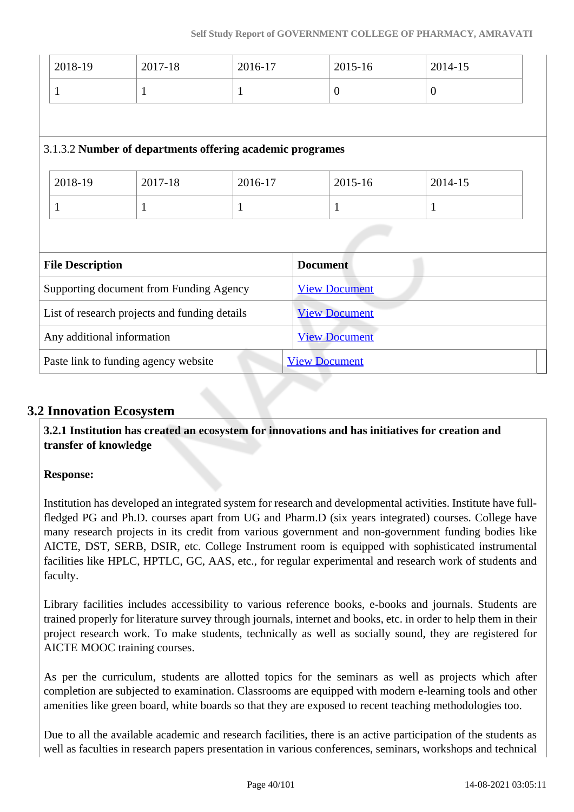| 2018-19                                       | 2017-18                                                   | 2016-17      | 2015-16              | 2014-15        |  |
|-----------------------------------------------|-----------------------------------------------------------|--------------|----------------------|----------------|--|
| $\mathbf{1}$                                  | 1                                                         | $\mathbf{1}$ | $\theta$             | $\overline{0}$ |  |
|                                               |                                                           |              |                      |                |  |
|                                               | 3.1.3.2 Number of departments offering academic programes |              |                      |                |  |
| 2018-19<br>2017-18<br>2016-17                 |                                                           |              | 2015-16              | 2014-15        |  |
| $\mathbf{1}$                                  | $\mathbf{1}$                                              | $\mathbf{1}$ | $\mathbf{1}$         | $\mathbf{1}$   |  |
|                                               |                                                           |              |                      |                |  |
| <b>File Description</b>                       |                                                           |              | <b>Document</b>      |                |  |
| Supporting document from Funding Agency       |                                                           |              | <b>View Document</b> |                |  |
| List of research projects and funding details |                                                           |              | <b>View Document</b> |                |  |
| Any additional information                    |                                                           |              | <b>View Document</b> |                |  |
|                                               | Paste link to funding agency website                      |              | <b>View Document</b> |                |  |

# **3.2 Innovation Ecosystem**

 **3.2.1 Institution has created an ecosystem for innovations and has initiatives for creation and transfer of knowledge**

#### **Response:**

Institution has developed an integrated system for research and developmental activities. Institute have fullfledged PG and Ph.D. courses apart from UG and Pharm.D (six years integrated) courses. College have many research projects in its credit from various government and non-government funding bodies like AICTE, DST, SERB, DSIR, etc. College Instrument room is equipped with sophisticated instrumental facilities like HPLC, HPTLC, GC, AAS, etc., for regular experimental and research work of students and faculty.

Library facilities includes accessibility to various reference books, e-books and journals. Students are trained properly for literature survey through journals, internet and books, etc. in order to help them in their project research work. To make students, technically as well as socially sound, they are registered for AICTE MOOC training courses.

As per the curriculum, students are allotted topics for the seminars as well as projects which after completion are subjected to examination. Classrooms are equipped with modern e-learning tools and other amenities like green board, white boards so that they are exposed to recent teaching methodologies too.

Due to all the available academic and research facilities, there is an active participation of the students as well as faculties in research papers presentation in various conferences, seminars, workshops and technical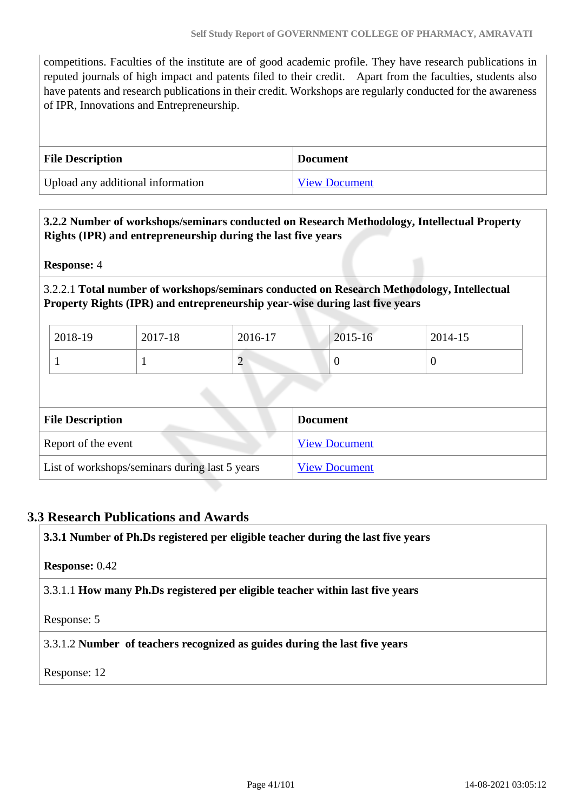competitions. Faculties of the institute are of good academic profile. They have research publications in reputed journals of high impact and patents filed to their credit. Apart from the faculties, students also have patents and research publications in their credit. Workshops are regularly conducted for the awareness of IPR, Innovations and Entrepreneurship.

| <b>File Description</b>           | <b>Document</b>      |
|-----------------------------------|----------------------|
| Upload any additional information | <b>View Document</b> |

#### **3.2.2 Number of workshops/seminars conducted on Research Methodology, Intellectual Property Rights (IPR) and entrepreneurship during the last five years**

**Response:** 4

#### 3.2.2.1 **Total number of workshops/seminars conducted on Research Methodology, Intellectual Property Rights (IPR) and entrepreneurship year-wise during last five years**

| 2018-19 | 2017-18 | 2016-17 | $2015 - 16$ | 2014-15 |
|---------|---------|---------|-------------|---------|
|         |         | ∽       |             |         |

| <b>File Description</b>                        | <b>Document</b>      |
|------------------------------------------------|----------------------|
| Report of the event                            | <b>View Document</b> |
| List of workshops/seminars during last 5 years | <b>View Document</b> |

#### **3.3 Research Publications and Awards**

**3.3.1 Number of Ph.Ds registered per eligible teacher during the last five years**

**Response:** 0.42

3.3.1.1 **How many Ph.Ds registered per eligible teacher within last five years**

Response: 5

3.3.1.2 **Number of teachers recognized as guides during the last five years**

Response: 12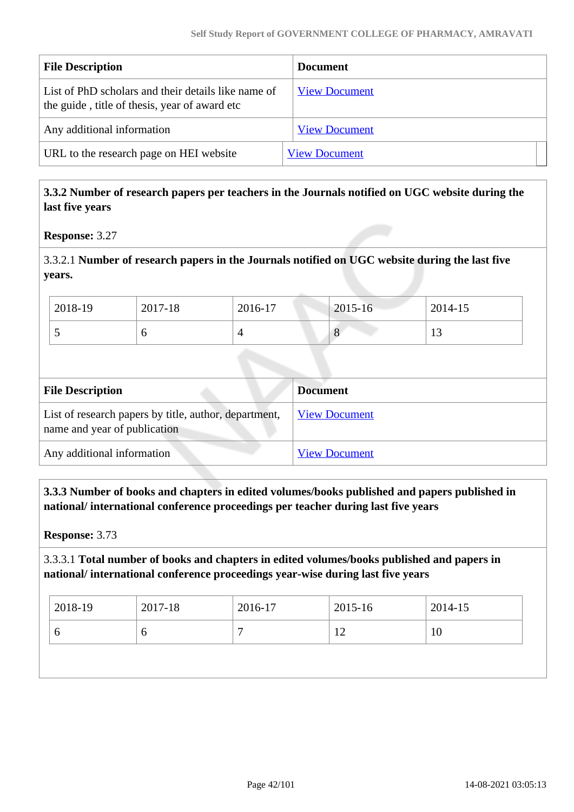| <b>File Description</b>                                                                              | <b>Document</b>      |
|------------------------------------------------------------------------------------------------------|----------------------|
| List of PhD scholars and their details like name of<br>the guide, title of thesis, year of award etc | <b>View Document</b> |
| Any additional information                                                                           | <b>View Document</b> |
| URL to the research page on HEI website                                                              | <b>View Document</b> |

#### **3.3.2 Number of research papers per teachers in the Journals notified on UGC website during the last five years**

**Response:** 3.27

3.3.2.1 **Number of research papers in the Journals notified on UGC website during the last five years.**

| 2018-19 | 2017-18 | 2016-17 | $2015 - 16$   | 2014-15              |
|---------|---------|---------|---------------|----------------------|
| ~       |         |         | $\Omega$<br>C | 1 <sub>0</sub><br>IJ |

| <b>File Description</b>                                                               | <b>Document</b>      |
|---------------------------------------------------------------------------------------|----------------------|
| List of research papers by title, author, department,<br>name and year of publication | <b>View Document</b> |
| Any additional information                                                            | <b>View Document</b> |

 **3.3.3 Number of books and chapters in edited volumes/books published and papers published in national/ international conference proceedings per teacher during last five years**

**Response:** 3.73

#### 3.3.3.1 **Total number of books and chapters in edited volumes/books published and papers in national/ international conference proceedings year-wise during last five years**

| 2018-19 | 2017-18 | $2016-17$ | 2015-16  | 2014-15 |
|---------|---------|-----------|----------|---------|
| O       | O       |           | $1 \cap$ | 10      |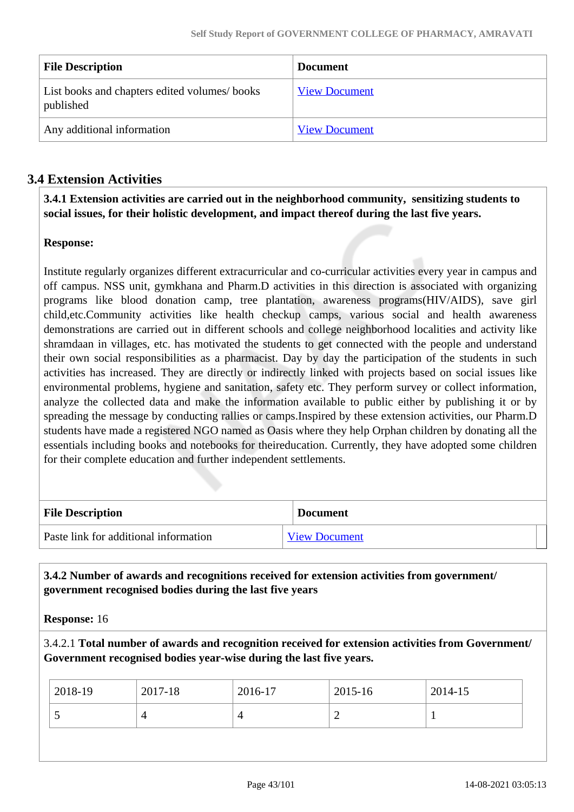| <b>File Description</b>                                   | <b>Document</b>      |
|-----------------------------------------------------------|----------------------|
| List books and chapters edited volumes/books<br>published | <b>View Document</b> |
| Any additional information                                | <b>View Document</b> |

# **3.4 Extension Activities**

 **3.4.1 Extension activities are carried out in the neighborhood community, sensitizing students to social issues, for their holistic development, and impact thereof during the last five years.**

#### **Response:**

Institute regularly organizes different extracurricular and co-curricular activities every year in campus and off campus. NSS unit, gymkhana and Pharm.D activities in this direction is associated with organizing programs like blood donation camp, tree plantation, awareness programs(HIV/AIDS), save girl child,etc.Community activities like health checkup camps, various social and health awareness demonstrations are carried out in different schools and college neighborhood localities and activity like shramdaan in villages, etc. has motivated the students to get connected with the people and understand their own social responsibilities as a pharmacist. Day by day the participation of the students in such activities has increased. They are directly or indirectly linked with projects based on social issues like environmental problems, hygiene and sanitation, safety etc. They perform survey or collect information, analyze the collected data and make the information available to public either by publishing it or by spreading the message by conducting rallies or camps.Inspired by these extension activities, our Pharm.D students have made a registered NGO named as Oasis where they help Orphan children by donating all the essentials including books and notebooks for theireducation. Currently, they have adopted some children for their complete education and further independent settlements.

| <b>File Description</b>               | <b>Document</b>      |
|---------------------------------------|----------------------|
| Paste link for additional information | <b>View Document</b> |

 **3.4.2 Number of awards and recognitions received for extension activities from government/ government recognised bodies during the last five years**

**Response:** 16

3.4.2.1 **Total number of awards and recognition received for extension activities from Government/ Government recognised bodies year-wise during the last five years.**

| $2018-19$ | 2017-18 | 2016-17 | 2015-16 | 2014-15 |
|-----------|---------|---------|---------|---------|
| ~         |         |         | -       |         |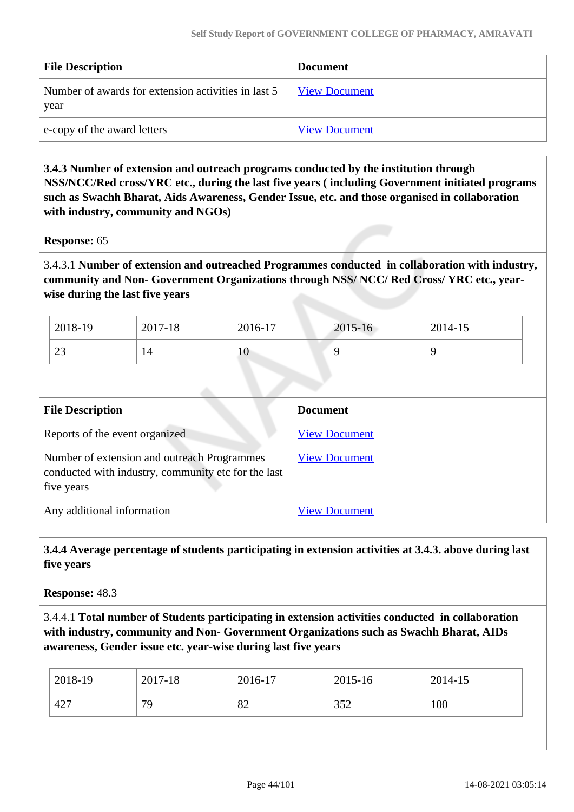| <b>File Description</b>                                     | <b>Document</b>      |
|-------------------------------------------------------------|----------------------|
| Number of awards for extension activities in last 5<br>year | <b>View Document</b> |
| e-copy of the award letters                                 | <b>View Document</b> |

 **3.4.3 Number of extension and outreach programs conducted by the institution through NSS/NCC/Red cross/YRC etc., during the last five years ( including Government initiated programs such as Swachh Bharat, Aids Awareness, Gender Issue, etc. and those organised in collaboration with industry, community and NGOs)**

**Response:** 65

3.4.3.1 **Number of extension and outreached Programmes conducted in collaboration with industry, community and Non- Government Organizations through NSS/ NCC/ Red Cross/ YRC etc., yearwise during the last five years**

| 2018-19      | 2017-18 | 2016-17 | 2015-16 | 2014-15 |
|--------------|---------|---------|---------|---------|
| $\cap$<br>23 | 14      | 10      |         |         |

| <b>File Description</b>                                                                                          | <b>Document</b>      |
|------------------------------------------------------------------------------------------------------------------|----------------------|
| Reports of the event organized                                                                                   | <b>View Document</b> |
| Number of extension and outreach Programmes<br>conducted with industry, community etc for the last<br>five years | <b>View Document</b> |
| Any additional information                                                                                       | <b>View Document</b> |

 **3.4.4 Average percentage of students participating in extension activities at 3.4.3. above during last five years**

**Response:** 48.3

3.4.4.1 **Total number of Students participating in extension activities conducted in collaboration with industry, community and Non- Government Organizations such as Swachh Bharat, AIDs awareness, Gender issue etc. year-wise during last five years**

| 2018-19 | 2017-18 | 2016-17 | 2015-16 | 2014-15 |
|---------|---------|---------|---------|---------|
| 427     | 79      | 82      | 352     | 100     |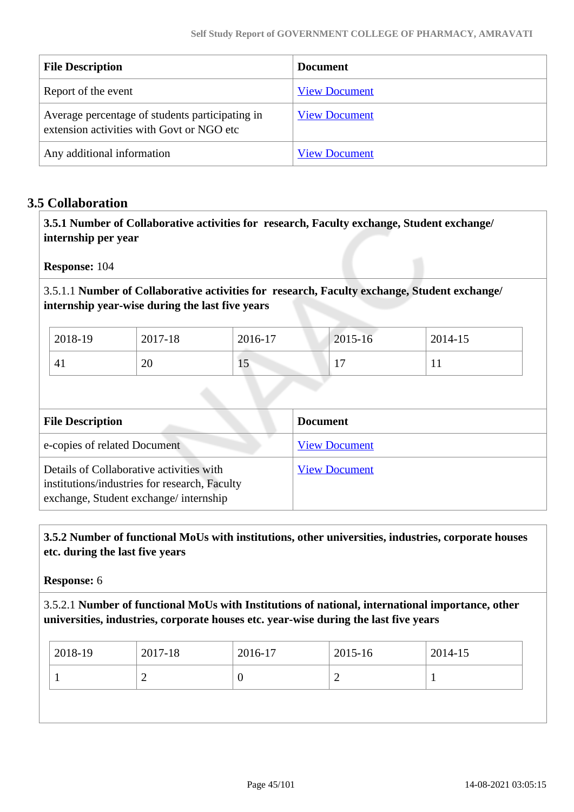| <b>File Description</b>                                                                      | <b>Document</b>      |
|----------------------------------------------------------------------------------------------|----------------------|
| Report of the event                                                                          | <b>View Document</b> |
| Average percentage of students participating in<br>extension activities with Govt or NGO etc | <b>View Document</b> |
| Any additional information                                                                   | <b>View Document</b> |

#### **3.5 Collaboration**

 **3.5.1 Number of Collaborative activities for research, Faculty exchange, Student exchange/ internship per year**

**Response:** 104

3.5.1.1 **Number of Collaborative activities for research, Faculty exchange, Student exchange/ internship year-wise during the last five years**

| 2018-19 | 2017-18 | 2016-17 | 2015-16                       | 2014-15 |
|---------|---------|---------|-------------------------------|---------|
| 41      | റ<br>∠∪ | 1J      | -<br>$\overline{\phantom{a}}$ | T T     |

| <b>File Description</b>                                                                                                            | <b>Document</b>      |
|------------------------------------------------------------------------------------------------------------------------------------|----------------------|
| e-copies of related Document                                                                                                       | <b>View Document</b> |
| Details of Collaborative activities with<br>institutions/industries for research, Faculty<br>exchange, Student exchange/internship | <b>View Document</b> |

#### **3.5.2 Number of functional MoUs with institutions, other universities, industries, corporate houses etc. during the last five years**

**Response:** 6

3.5.2.1 **Number of functional MoUs with Institutions of national, international importance, other universities, industries, corporate houses etc. year-wise during the last five years**

| 2018-19 | 2017-18 | 2016-17 | 2015-16 | 2014-15 |
|---------|---------|---------|---------|---------|
| ∽       |         |         | ∽       |         |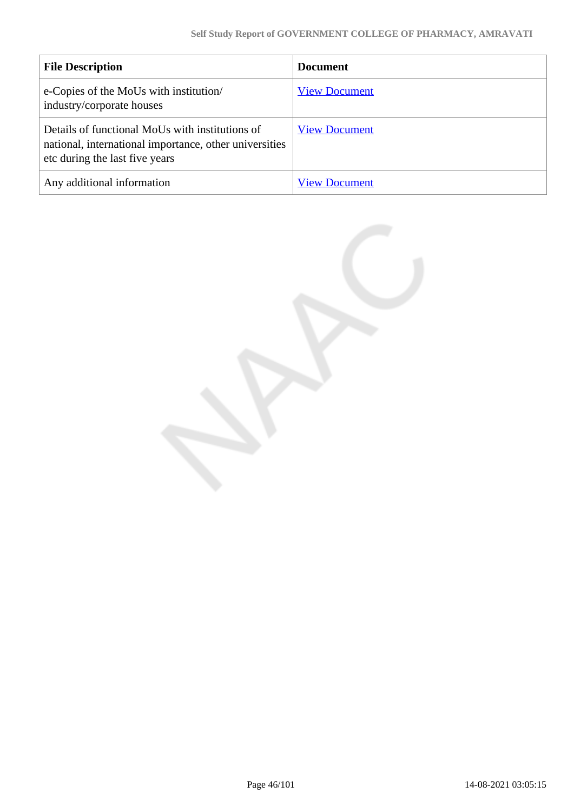| <b>File Description</b>                                                                                                                     | <b>Document</b>      |
|---------------------------------------------------------------------------------------------------------------------------------------------|----------------------|
| e-Copies of the MoUs with institution/<br>industry/corporate houses                                                                         | <b>View Document</b> |
| Details of functional MoUs with institutions of<br>national, international importance, other universities<br>etc during the last five years | <b>View Document</b> |
| Any additional information                                                                                                                  | <b>View Document</b> |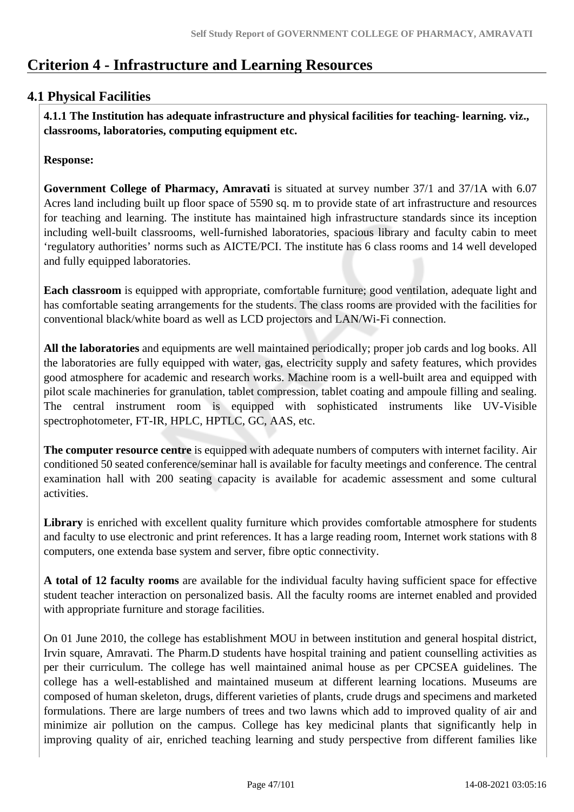# **Criterion 4 - Infrastructure and Learning Resources**

# **4.1 Physical Facilities**

 **4.1.1 The Institution has adequate infrastructure and physical facilities for teaching- learning. viz., classrooms, laboratories, computing equipment etc.** 

**Response:** 

**Government College of Pharmacy, Amravati** is situated at survey number 37/1 and 37/1A with 6.07 Acres land including built up floor space of 5590 sq. m to provide state of art infrastructure and resources for teaching and learning. The institute has maintained high infrastructure standards since its inception including well-built classrooms, well-furnished laboratories, spacious library and faculty cabin to meet 'regulatory authorities' norms such as AICTE/PCI. The institute has 6 class rooms and 14 well developed and fully equipped laboratories.

**Each classroom** is equipped with appropriate, comfortable furniture; good ventilation, adequate light and has comfortable seating arrangements for the students. The class rooms are provided with the facilities for conventional black/white board as well as LCD projectors and LAN/Wi-Fi connection.

**All the laboratories** and equipments are well maintained periodically; proper job cards and log books. All the laboratories are fully equipped with water, gas, electricity supply and safety features, which provides good atmosphere for academic and research works. Machine room is a well-built area and equipped with pilot scale machineries for granulation, tablet compression, tablet coating and ampoule filling and sealing. The central instrument room is equipped with sophisticated instruments like UV-Visible spectrophotometer, FT-IR, HPLC, HPTLC, GC, AAS, etc.

**The computer resource centre** is equipped with adequate numbers of computers with internet facility. Air conditioned 50 seated conference/seminar hall is available for faculty meetings and conference. The central examination hall with 200 seating capacity is available for academic assessment and some cultural activities.

**Library** is enriched with excellent quality furniture which provides comfortable atmosphere for students and faculty to use electronic and print references. It has a large reading room, Internet work stations with 8 computers, one extenda base system and server, fibre optic connectivity.

**A total of 12 faculty rooms** are available for the individual faculty having sufficient space for effective student teacher interaction on personalized basis. All the faculty rooms are internet enabled and provided with appropriate furniture and storage facilities.

On 01 June 2010, the college has establishment MOU in between institution and general hospital district, Irvin square, Amravati. The Pharm.D students have hospital training and patient counselling activities as per their curriculum. The college has well maintained animal house as per CPCSEA guidelines. The college has a well-established and maintained museum at different learning locations. Museums are composed of human skeleton, drugs, different varieties of plants, crude drugs and specimens and marketed formulations. There are large numbers of trees and two lawns which add to improved quality of air and minimize air pollution on the campus. College has key medicinal plants that significantly help in improving quality of air, enriched teaching learning and study perspective from different families like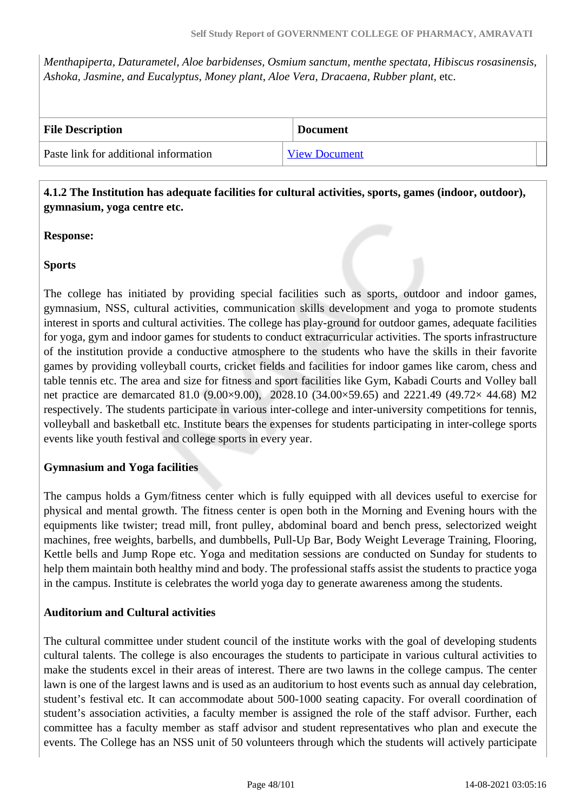*Menthapiperta, Daturametel, Aloe barbidenses, Osmium sanctum, menthe spectata, Hibiscus rosasinensis, Ashoka, Jasmine, and Eucalyptus*, *Money plant*, *Aloe Vera, Dracaena, Rubber plant,* etc.

| <b>File Description</b>               | <b>Document</b>      |
|---------------------------------------|----------------------|
| Paste link for additional information | <b>View Document</b> |

#### **4.1.2 The Institution has adequate facilities for cultural activities, sports, games (indoor, outdoor), gymnasium, yoga centre etc.**

#### **Response:**

#### **Sports**

The college has initiated by providing special facilities such as sports, outdoor and indoor games, gymnasium, NSS, cultural activities, communication skills development and yoga to promote students interest in sports and cultural activities. The college has play-ground for outdoor games, adequate facilities for yoga, gym and indoor games for students to conduct extracurricular activities. The sports infrastructure of the institution provide a conductive atmosphere to the students who have the skills in their favorite games by providing volleyball courts, cricket fields and facilities for indoor games like carom, chess and table tennis etc. The area and size for fitness and sport facilities like Gym, Kabadi Courts and Volley ball net practice are demarcated 81.0 (9.00×9.00), 2028.10 (34.00×59.65) and 2221.49 (49.72× 44.68) M2 respectively. The students participate in various inter-college and inter-university competitions for tennis, volleyball and basketball etc. Institute bears the expenses for students participating in inter-college sports events like youth festival and college sports in every year.

#### **Gymnasium and Yoga facilities**

The campus holds a Gym/fitness center which is fully equipped with all devices useful to exercise for physical and mental growth. The fitness center is open both in the Morning and Evening hours with the equipments like twister; tread mill, front pulley, abdominal board and bench press, selectorized weight machines, free weights, barbells, and dumbbells, Pull-Up Bar, Body Weight Leverage Training, Flooring, Kettle bells and Jump Rope etc. Yoga and meditation sessions are conducted on Sunday for students to help them maintain both healthy mind and body. The professional staffs assist the students to practice yoga in the campus. Institute is celebrates the world yoga day to generate awareness among the students.

#### **Auditorium and Cultural activities**

The cultural committee under student council of the institute works with the goal of developing students cultural talents. The college is also encourages the students to participate in various cultural activities to make the students excel in their areas of interest. There are two lawns in the college campus. The center lawn is one of the largest lawns and is used as an auditorium to host events such as annual day celebration, student's festival etc. It can accommodate about 500-1000 seating capacity. For overall coordination of student's association activities, a faculty member is assigned the role of the staff advisor. Further, each committee has a faculty member as staff advisor and student representatives who plan and execute the events. The College has an NSS unit of 50 volunteers through which the students will actively participate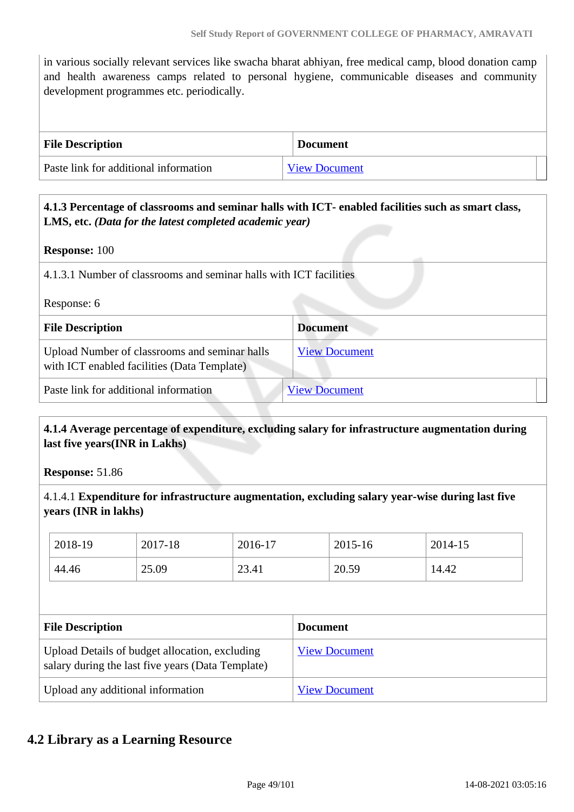in various socially relevant services like swacha bharat abhiyan, free medical camp, blood donation camp and health awareness camps related to personal hygiene, communicable diseases and community development programmes etc. periodically.

| <b>File Description</b>               | <b>Document</b>      |
|---------------------------------------|----------------------|
| Paste link for additional information | <b>View Document</b> |

#### **4.1.3 Percentage of classrooms and seminar halls with ICT- enabled facilities such as smart class, LMS, etc.** *(Data for the latest completed academic year)*

#### **Response:** 100

| 4.1.3.1 Number of classrooms and seminar halls with ICT facilities |  |
|--------------------------------------------------------------------|--|
|--------------------------------------------------------------------|--|

#### Response: 6

| <b>File Description</b>                                                                      | <b>Document</b>      |
|----------------------------------------------------------------------------------------------|----------------------|
| Upload Number of classrooms and seminar halls<br>with ICT enabled facilities (Data Template) | <b>View Document</b> |
| Paste link for additional information                                                        | <b>View Document</b> |

#### **4.1.4 Average percentage of expenditure, excluding salary for infrastructure augmentation during last five years(INR in Lakhs)**

**Response:** 51.86

4.1.4.1 **Expenditure for infrastructure augmentation, excluding salary year-wise during last five years (INR in lakhs)**

| 2018-19 | 2017-18 | 2016-17 | 2015-16 | 2014-15 |
|---------|---------|---------|---------|---------|
| 44.46   | 25.09   | 23.41   | 20.59   | 14.42   |

| <b>File Description</b>                                                                             | <b>Document</b>      |
|-----------------------------------------------------------------------------------------------------|----------------------|
| Upload Details of budget allocation, excluding<br>salary during the last five years (Data Template) | <b>View Document</b> |
| Upload any additional information                                                                   | <b>View Document</b> |

#### **4.2 Library as a Learning Resource**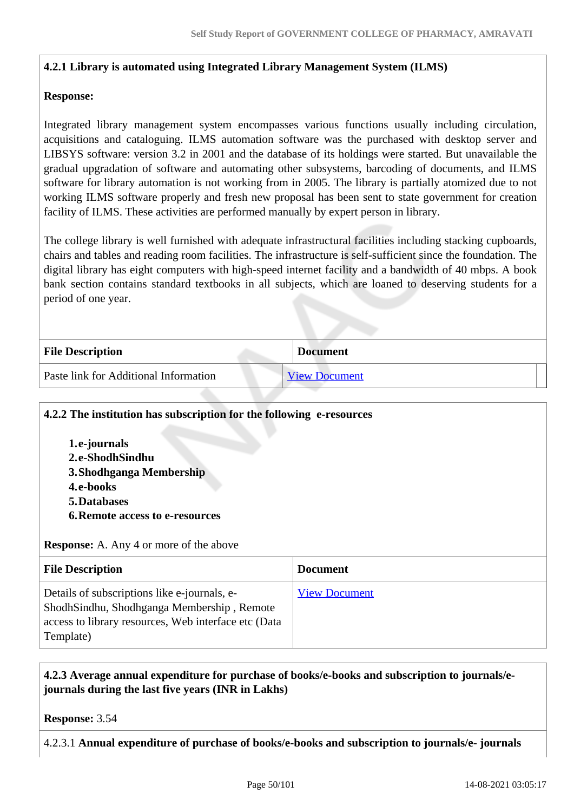#### **4.2.1 Library is automated using Integrated Library Management System (ILMS)**

#### **Response:**

Integrated library management system encompasses various functions usually including circulation, acquisitions and cataloguing. ILMS automation software was the purchased with desktop server and LIBSYS software: version 3.2 in 2001 and the database of its holdings were started. But unavailable the gradual upgradation of software and automating other subsystems, barcoding of documents, and ILMS software for library automation is not working from in 2005. The library is partially atomized due to not working ILMS software properly and fresh new proposal has been sent to state government for creation facility of ILMS. These activities are performed manually by expert person in library.

The college library is well furnished with adequate infrastructural facilities including stacking cupboards, chairs and tables and reading room facilities. The infrastructure is self-sufficient since the foundation. The digital library has eight computers with high-speed internet facility and a bandwidth of 40 mbps. A book bank section contains standard textbooks in all subjects, which are loaned to deserving students for a period of one year.

| <b>File Description</b>               | <b>Document</b>      |  |
|---------------------------------------|----------------------|--|
| Paste link for Additional Information | <b>View Document</b> |  |

#### **4.2.2 The institution has subscription for the following e-resources**

**1.e-journals 2.e-ShodhSindhu 3.Shodhganga Membership 4.e-books 5.Databases 6.Remote access to e-resources**

**Response:** A. Any 4 or more of the above

| <b>File Description</b>                                                                                                                                         | <b>Document</b>      |
|-----------------------------------------------------------------------------------------------------------------------------------------------------------------|----------------------|
| Details of subscriptions like e-journals, e-<br>ShodhSindhu, Shodhganga Membership, Remote<br>access to library resources, Web interface etc (Data<br>Template) | <b>View Document</b> |

#### **4.2.3 Average annual expenditure for purchase of books/e-books and subscription to journals/ejournals during the last five years (INR in Lakhs)**

**Response:** 3.54

4.2.3.1 **Annual expenditure of purchase of books/e-books and subscription to journals/e- journals**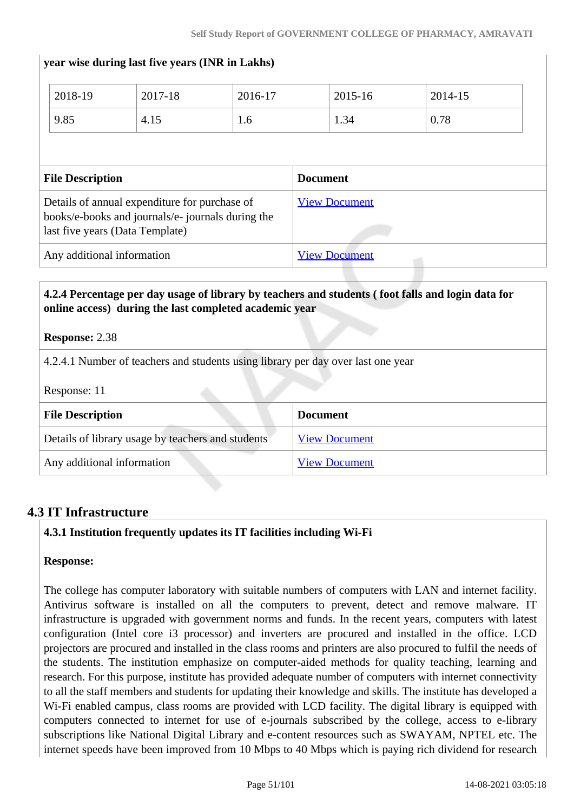| 9.85                    | 4.15                                                                                                                                  | 1.6 | 1.34                 | 0.78 |
|-------------------------|---------------------------------------------------------------------------------------------------------------------------------------|-----|----------------------|------|
| <b>File Description</b> |                                                                                                                                       |     | <b>Document</b>      |      |
|                         | Details of annual expenditure for purchase of<br>books/e-books and journals/e- journals during the<br>last five years (Data Template) |     | <b>View Document</b> |      |
|                         |                                                                                                                                       |     | <b>View Document</b> |      |

#### **Response:** 2.38

4.2.4.1 Number of teachers and students using library per day over last one year

**year wise during last five years (INR in Lakhs)**

Response: 11

| <b>File Description</b>                           | <b>Document</b>      |
|---------------------------------------------------|----------------------|
| Details of library usage by teachers and students | <b>View Document</b> |
| Any additional information                        | <b>View Document</b> |

#### **4.3 IT Infrastructure**

#### **4.3.1 Institution frequently updates its IT facilities including Wi-Fi**

#### **Response:**

The college has computer laboratory with suitable numbers of computers with LAN and internet facility. Antivirus software is installed on all the computers to prevent, detect and remove malware. IT infrastructure is upgraded with government norms and funds. In the recent years, computers with latest configuration (Intel core i3 processor) and inverters are procured and installed in the office. LCD projectors are procured and installed in the class rooms and printers are also procured to fulfil the needs of the students. The institution emphasize on computer-aided methods for quality teaching, learning and research. For this purpose, institute has provided adequate number of computers with internet connectivity to all the staff members and students for updating their knowledge and skills. The institute has developed a Wi-Fi enabled campus, class rooms are provided with LCD facility. The digital library is equipped with computers connected to internet for use of e-journals subscribed by the college, access to e-library subscriptions like National Digital Library and e-content resources such as SWAYAM, NPTEL etc. The internet speeds have been improved from 10 Mbps to 40 Mbps which is paying rich dividend for research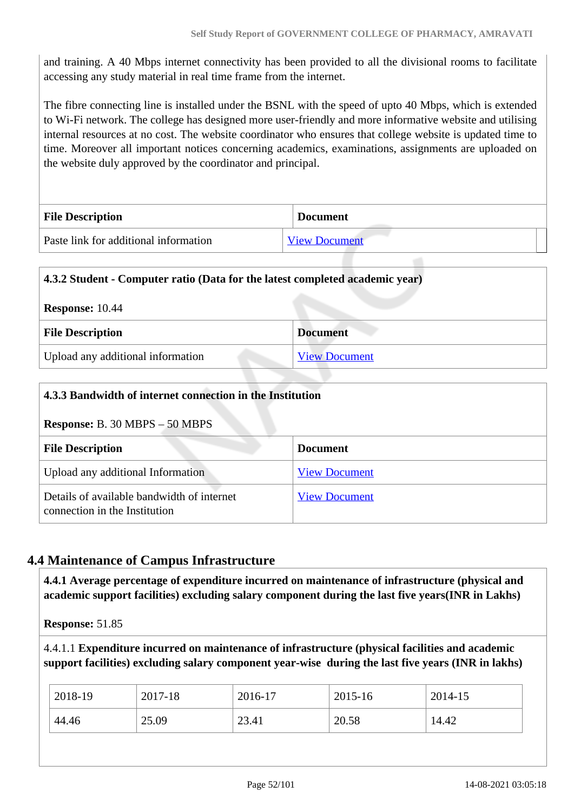and training. A 40 Mbps internet connectivity has been provided to all the divisional rooms to facilitate accessing any study material in real time frame from the internet.

The fibre connecting line is installed under the BSNL with the speed of upto 40 Mbps, which is extended to Wi-Fi network. The college has designed more user-friendly and more informative website and utilising internal resources at no cost. The website coordinator who ensures that college website is updated time to time. Moreover all important notices concerning academics, examinations, assignments are uploaded on the website duly approved by the coordinator and principal.

| <b>File Description</b>               | <b>Document</b>      |
|---------------------------------------|----------------------|
| Paste link for additional information | <b>View Document</b> |

# **4.3.2 Student - Computer ratio (Data for the latest completed academic year) Response:** 10.44 **File Description Document** Upload any additional information [View Document](https://assessmentonline.naac.gov.in/storage/app/hei/SSR/103889/4.3.2_1583550790_4648.pdf)

| 4.3.3 Bandwidth of internet connection in the Institution                   |                      |  |
|-----------------------------------------------------------------------------|----------------------|--|
| <b>Response:</b> B. 30 MBPS $-50$ MBPS                                      |                      |  |
| <b>File Description</b>                                                     | <b>Document</b>      |  |
| Upload any additional Information                                           | <b>View Document</b> |  |
| Details of available bandwidth of internet<br>connection in the Institution | <b>View Document</b> |  |

# **4.4 Maintenance of Campus Infrastructure**

 **4.4.1 Average percentage of expenditure incurred on maintenance of infrastructure (physical and academic support facilities) excluding salary component during the last five years(INR in Lakhs)**

**Response:** 51.85

4.4.1.1 **Expenditure incurred on maintenance of infrastructure (physical facilities and academic support facilities) excluding salary component year-wise during the last five years (INR in lakhs)**

| 2018-19 | 2017-18 | 2016-17 | 2015-16 | 2014-15 |
|---------|---------|---------|---------|---------|
| 44.46   | 25.09   | 23.41   | 20.58   | 14.42   |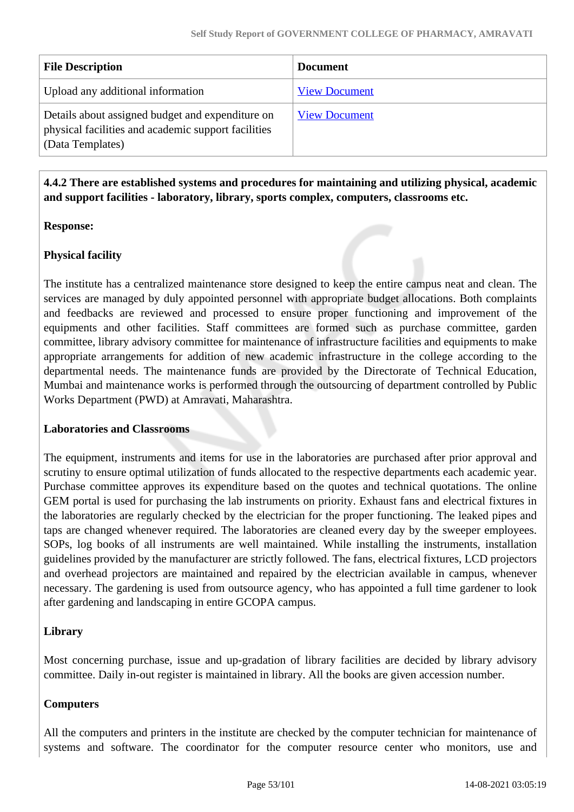| <b>File Description</b>                                                                                                     | <b>Document</b>      |
|-----------------------------------------------------------------------------------------------------------------------------|----------------------|
| Upload any additional information                                                                                           | <b>View Document</b> |
| Details about assigned budget and expenditure on<br>physical facilities and academic support facilities<br>(Data Templates) | <b>View Document</b> |

#### **4.4.2 There are established systems and procedures for maintaining and utilizing physical, academic and support facilities - laboratory, library, sports complex, computers, classrooms etc.**

#### **Response:**

#### **Physical facility**

The institute has a centralized maintenance store designed to keep the entire campus neat and clean. The services are managed by duly appointed personnel with appropriate budget allocations. Both complaints and feedbacks are reviewed and processed to ensure proper functioning and improvement of the equipments and other facilities. Staff committees are formed such as purchase committee, garden committee, library advisory committee for maintenance of infrastructure facilities and equipments to make appropriate arrangements for addition of new academic infrastructure in the college according to the departmental needs. The maintenance funds are provided by the Directorate of Technical Education, Mumbai and maintenance works is performed through the outsourcing of department controlled by Public Works Department (PWD) at Amravati, Maharashtra.

#### **Laboratories and Classrooms**

The equipment, instruments and items for use in the laboratories are purchased after prior approval and scrutiny to ensure optimal utilization of funds allocated to the respective departments each academic year. Purchase committee approves its expenditure based on the quotes and technical quotations. The online GEM portal is used for purchasing the lab instruments on priority. Exhaust fans and electrical fixtures in the laboratories are regularly checked by the electrician for the proper functioning. The leaked pipes and taps are changed whenever required. The laboratories are cleaned every day by the sweeper employees. SOPs, log books of all instruments are well maintained. While installing the instruments, installation guidelines provided by the manufacturer are strictly followed. The fans, electrical fixtures, LCD projectors and overhead projectors are maintained and repaired by the electrician available in campus, whenever necessary. The gardening is used from outsource agency, who has appointed a full time gardener to look after gardening and landscaping in entire GCOPA campus.

#### **Library**

Most concerning purchase, issue and up-gradation of library facilities are decided by library advisory committee. Daily in-out register is maintained in library. All the books are given accession number.

#### **Computers**

All the computers and printers in the institute are checked by the computer technician for maintenance of systems and software. The coordinator for the computer resource center who monitors, use and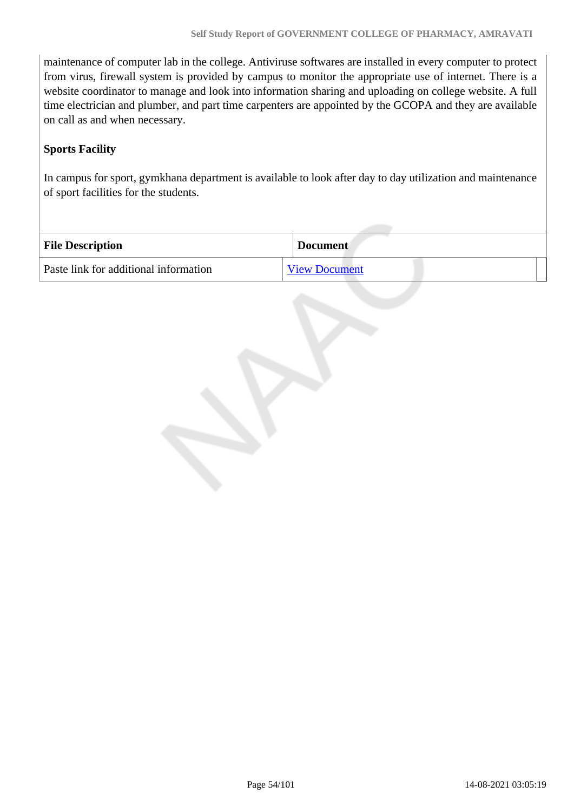maintenance of computer lab in the college. Antiviruse softwares are installed in every computer to protect from virus, firewall system is provided by campus to monitor the appropriate use of internet. There is a website coordinator to manage and look into information sharing and uploading on college website. A full time electrician and plumber, and part time carpenters are appointed by the GCOPA and they are available on call as and when necessary.

#### **Sports Facility**

In campus for sport, gymkhana department is available to look after day to day utilization and maintenance of sport facilities for the students.

| <b>File Description</b>               | <b>Document</b>      |
|---------------------------------------|----------------------|
| Paste link for additional information | <b>View Document</b> |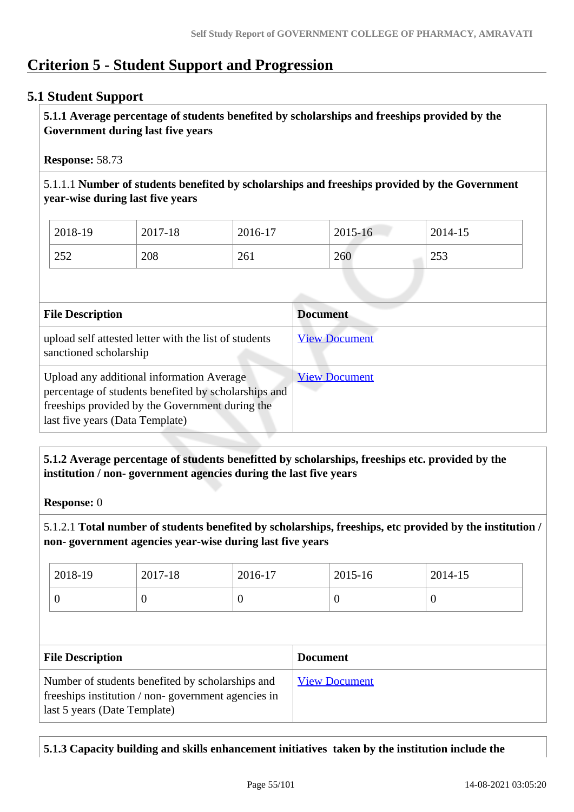# **Criterion 5 - Student Support and Progression**

## **5.1 Student Support**

 **5.1.1 Average percentage of students benefited by scholarships and freeships provided by the Government during last five years** 

**Response:** 58.73

5.1.1.1 **Number of students benefited by scholarships and freeships provided by the Government year-wise during last five years**

| 2018-19 | 2017-18 | 2016-17 | 2015-16 | 2014-15     |
|---------|---------|---------|---------|-------------|
| 252     | 208     | 261     | 260     | 252<br>د رے |

| <b>File Description</b>                                                                                                                                                                 | <b>Document</b>      |
|-----------------------------------------------------------------------------------------------------------------------------------------------------------------------------------------|----------------------|
| upload self attested letter with the list of students<br>sanctioned scholarship                                                                                                         | <b>View Document</b> |
| Upload any additional information Average<br>percentage of students benefited by scholarships and<br>freeships provided by the Government during the<br>last five years (Data Template) | <b>View Document</b> |

#### **5.1.2 Average percentage of students benefitted by scholarships, freeships etc. provided by the institution / non- government agencies during the last five years**

**Response:** 0

5.1.2.1 **Total number of students benefited by scholarships, freeships, etc provided by the institution / non- government agencies year-wise during last five years**

| 2018-19 | 2017-18 | 2016-17 | 2015-16 | 2014-15 |
|---------|---------|---------|---------|---------|
|         | ◡       | U       | ິ       | ິ       |

| <b>File Description</b>                                                                                                                | <b>Document</b>      |
|----------------------------------------------------------------------------------------------------------------------------------------|----------------------|
| Number of students benefited by scholarships and<br>freeships institution / non-government agencies in<br>last 5 years (Date Template) | <b>View Document</b> |

**5.1.3 Capacity building and skills enhancement initiatives taken by the institution include the**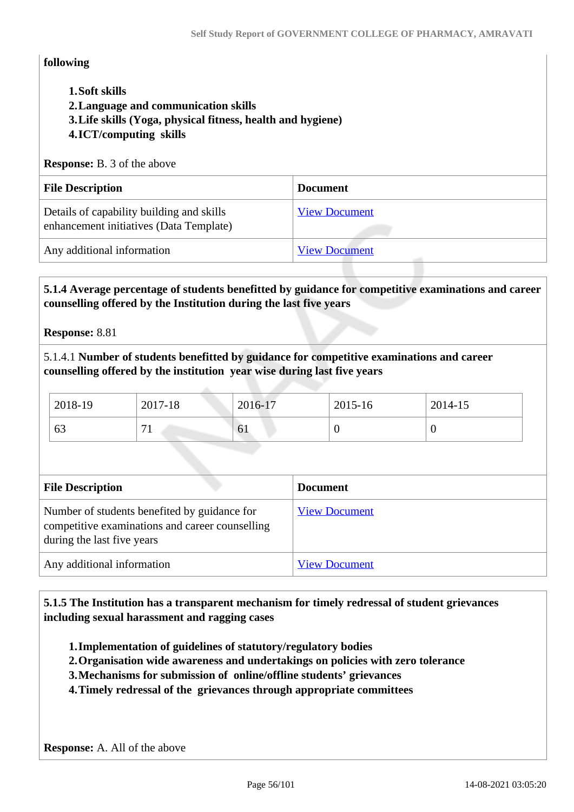#### **following**

- **1.Soft skills**
- **2.Language and communication skills**
- **3.Life skills (Yoga, physical fitness, health and hygiene)**
- **4.ICT/computing skills**

#### **Response:** B. 3 of the above

| <b>File Description</b>                                                              | <b>Document</b>      |
|--------------------------------------------------------------------------------------|----------------------|
| Details of capability building and skills<br>enhancement initiatives (Data Template) | <b>View Document</b> |
| Any additional information                                                           | <b>View Document</b> |

 **5.1.4 Average percentage of students benefitted by guidance for competitive examinations and career counselling offered by the Institution during the last five years**

**Response:** 8.81

5.1.4.1 **Number of students benefitted by guidance for competitive examinations and career counselling offered by the institution year wise during last five years**

| 2018-19 | 2017-18 | 2016-17 | 2015-16 | 2014-15 |
|---------|---------|---------|---------|---------|
| 63      |         | 61      | ν       |         |

| <b>File Description</b>                                                                                                       | <b>Document</b>      |
|-------------------------------------------------------------------------------------------------------------------------------|----------------------|
| Number of students benefited by guidance for<br>competitive examinations and career counselling<br>during the last five years | <b>View Document</b> |
| Any additional information                                                                                                    | <b>View Document</b> |

 **5.1.5 The Institution has a transparent mechanism for timely redressal of student grievances including sexual harassment and ragging cases**

- **1.Implementation of guidelines of statutory/regulatory bodies**
- **2.Organisation wide awareness and undertakings on policies with zero tolerance**
- **3.Mechanisms for submission of online/offline students' grievances**
- **4.Timely redressal of the grievances through appropriate committees**

**Response:** A. All of the above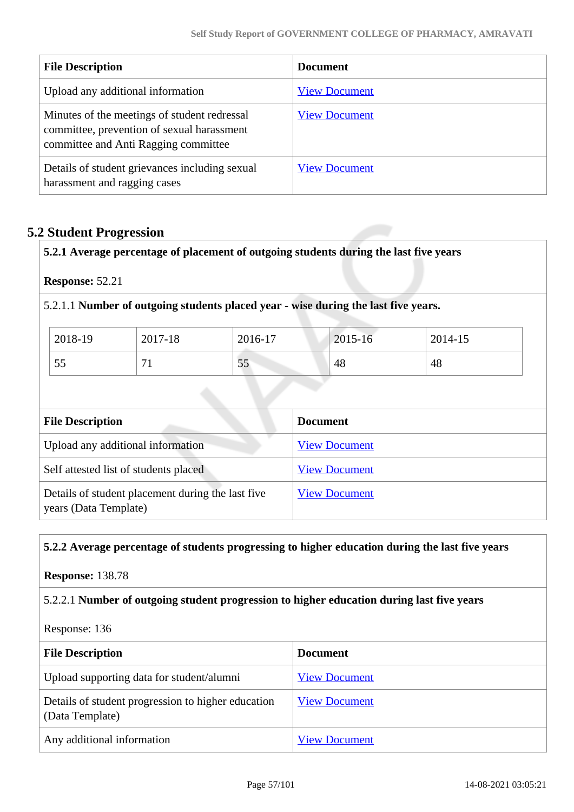| <b>File Description</b>                                                                                                            | <b>Document</b>      |
|------------------------------------------------------------------------------------------------------------------------------------|----------------------|
| Upload any additional information                                                                                                  | <b>View Document</b> |
| Minutes of the meetings of student redressal<br>committee, prevention of sexual harassment<br>committee and Anti Ragging committee | <b>View Document</b> |
| Details of student grievances including sexual<br>harassment and ragging cases                                                     | <b>View Document</b> |

# **5.2 Student Progression**

**5.2.1 Average percentage of placement of outgoing students during the last five years**

**Response:** 52.21

5.2.1.1 **Number of outgoing students placed year - wise during the last five years.**

| 2018-19 | 2017-18                       | 2016-17  | 2015-16 | 2014-15 |
|---------|-------------------------------|----------|---------|---------|
| 55      | $\overline{\phantom{a}}$<br>- | 55<br>IJ | 48      | 48      |

| <b>File Description</b>                                                    | <b>Document</b>      |
|----------------------------------------------------------------------------|----------------------|
| Upload any additional information                                          | <b>View Document</b> |
| Self attested list of students placed                                      | <b>View Document</b> |
| Details of student placement during the last five<br>years (Data Template) | <b>View Document</b> |

#### **5.2.2 Average percentage of students progressing to higher education during the last five years**

**Response:** 138.78

5.2.2.1 **Number of outgoing student progression to higher education during last five years**

Response: 136

| <b>File Description</b>                                               | <b>Document</b>      |
|-----------------------------------------------------------------------|----------------------|
| Upload supporting data for student/alumni                             | <b>View Document</b> |
| Details of student progression to higher education<br>(Data Template) | <b>View Document</b> |
| Any additional information                                            | <b>View Document</b> |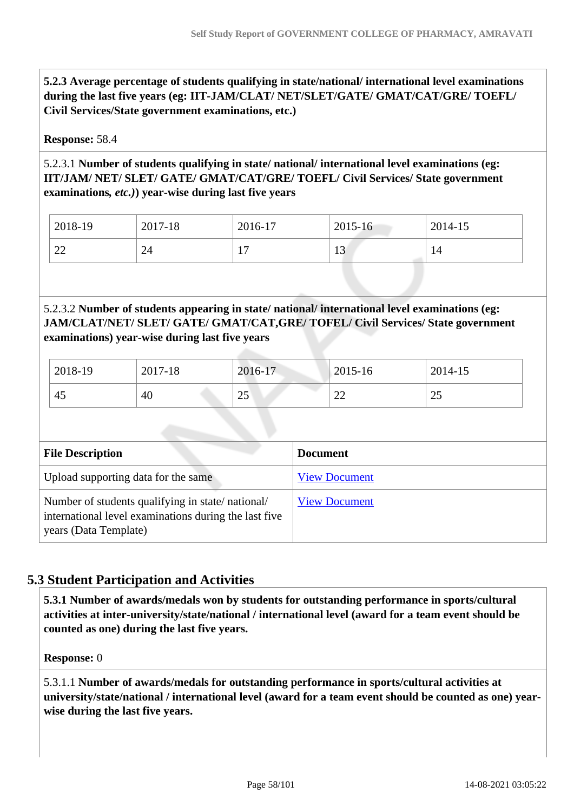**5.2.3 Average percentage of students qualifying in state/national/ international level examinations during the last five years (eg: IIT-JAM/CLAT/ NET/SLET/GATE/ GMAT/CAT/GRE/ TOEFL/ Civil Services/State government examinations, etc.)**

#### **Response:** 58.4

#### 5.2.3.1 **Number of students qualifying in state/ national/ international level examinations (eg: IIT/JAM/ NET/ SLET/ GATE/ GMAT/CAT/GRE/ TOEFL/ Civil Services/ State government examinations***, etc.)***) year-wise during last five years**

| 2018-19      | 2017-18 | 2016-17              | 2015-16     | 2014-15 |
|--------------|---------|----------------------|-------------|---------|
| $\cap$<br>44 | 24      | 1 <sub>7</sub><br>л. | $1^{\circ}$ | 14      |

#### 5.2.3.2 **Number of students appearing in state/ national/ international level examinations (eg: JAM/CLAT/NET/ SLET/ GATE/ GMAT/CAT,GRE/ TOFEL/ Civil Services/ State government examinations) year-wise during last five years**

| 2018-19 | 2017-18 | 2016-17   | 2015-16      | 2014-15        |
|---------|---------|-----------|--------------|----------------|
| 45      | 40      | つぐ<br>ر ے | $\sim$<br>∠∠ | $\Omega$<br>رے |

| <b>File Description</b>                                                                                                            | <b>Document</b>      |
|------------------------------------------------------------------------------------------------------------------------------------|----------------------|
| Upload supporting data for the same                                                                                                | <b>View Document</b> |
| Number of students qualifying in state/national/<br>international level examinations during the last five<br>years (Data Template) | <b>View Document</b> |

# **5.3 Student Participation and Activities**

 **5.3.1 Number of awards/medals won by students for outstanding performance in sports/cultural activities at inter-university/state/national / international level (award for a team event should be counted as one) during the last five years.**

**Response:** 0

5.3.1.1 **Number of awards/medals for outstanding performance in sports/cultural activities at university/state/national / international level (award for a team event should be counted as one) yearwise during the last five years.**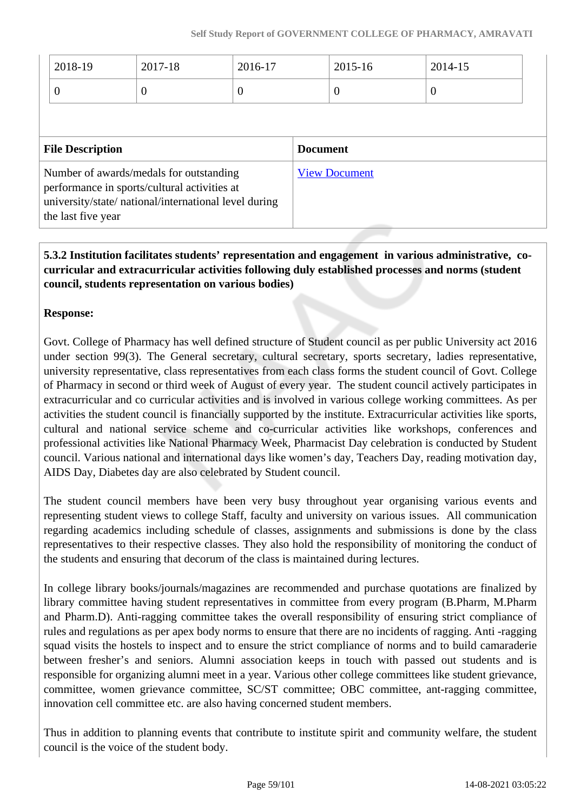| $ 2018-19 $ | 2017-18 | 2016-17 | $2015 - 16$ | 2014-15 |
|-------------|---------|---------|-------------|---------|
|             |         |         |             | U       |

| <b>File Description</b>                                                                                                                                                | <b>Document</b>      |
|------------------------------------------------------------------------------------------------------------------------------------------------------------------------|----------------------|
| Number of awards/medals for outstanding<br>performance in sports/cultural activities at<br>university/state/ national/international level during<br>the last five year | <b>View Document</b> |

#### **5.3.2 Institution facilitates students' representation and engagement in various administrative, cocurricular and extracurricular activities following duly established processes and norms (student council, students representation on various bodies)**

#### **Response:**

Govt. College of Pharmacy has well defined structure of Student council as per public University act 2016 under section 99(3). The General secretary, cultural secretary, sports secretary, ladies representative, university representative, class representatives from each class forms the student council of Govt. College of Pharmacy in second or third week of August of every year. The student council actively participates in extracurricular and co curricular activities and is involved in various college working committees. As per activities the student council is financially supported by the institute. Extracurricular activities like sports, cultural and national service scheme and co-curricular activities like workshops, conferences and professional activities like National Pharmacy Week, Pharmacist Day celebration is conducted by Student council. Various national and international days like women's day, Teachers Day, reading motivation day, AIDS Day, Diabetes day are also celebrated by Student council.

The student council members have been very busy throughout year organising various events and representing student views to college Staff, faculty and university on various issues. All communication regarding academics including schedule of classes, assignments and submissions is done by the class representatives to their respective classes. They also hold the responsibility of monitoring the conduct of the students and ensuring that decorum of the class is maintained during lectures.

In college library books/journals/magazines are recommended and purchase quotations are finalized by library committee having student representatives in committee from every program (B.Pharm, M.Pharm and Pharm.D). Anti-ragging committee takes the overall responsibility of ensuring strict compliance of rules and regulations as per apex body norms to ensure that there are no incidents of ragging. Anti -ragging squad visits the hostels to inspect and to ensure the strict compliance of norms and to build camaraderie between fresher's and seniors. Alumni association keeps in touch with passed out students and is responsible for organizing alumni meet in a year. Various other college committees like student grievance, committee, women grievance committee, SC/ST committee; OBC committee, ant-ragging committee, innovation cell committee etc. are also having concerned student members.

Thus in addition to planning events that contribute to institute spirit and community welfare, the student council is the voice of the student body.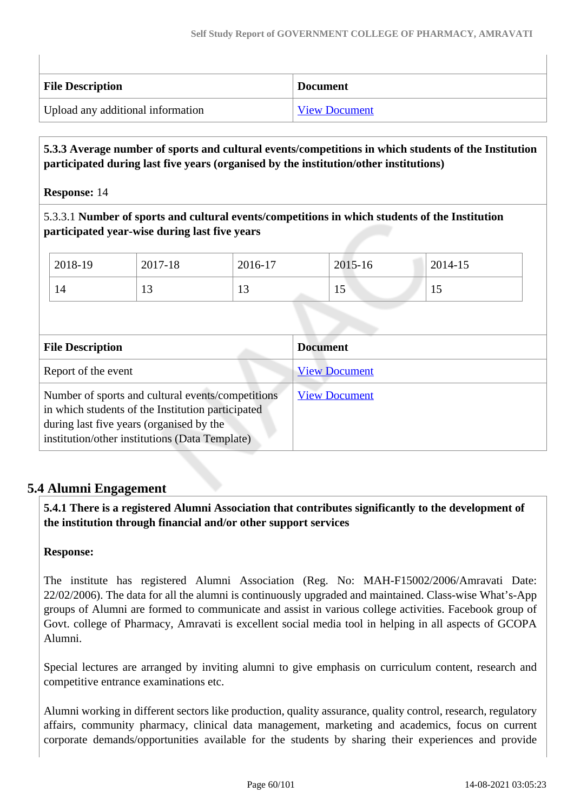| <b>File Description</b>           | <b>Document</b>      |
|-----------------------------------|----------------------|
| Upload any additional information | <b>View Document</b> |

#### **5.3.3 Average number of sports and cultural events/competitions in which students of the Institution participated during last five years (organised by the institution/other institutions)**

#### **Response:** 14

5.3.3.1 **Number of sports and cultural events/competitions in which students of the Institution participated year-wise during last five years**

|                         | 2018-19                                                                                                                                                                                              | 2017-18 | 2016-17 |                      | 2015-16              | 2014-15 |  |
|-------------------------|------------------------------------------------------------------------------------------------------------------------------------------------------------------------------------------------------|---------|---------|----------------------|----------------------|---------|--|
|                         | 14                                                                                                                                                                                                   | 13      | 13      |                      | 15                   | 15      |  |
|                         |                                                                                                                                                                                                      |         |         |                      |                      |         |  |
| <b>File Description</b> |                                                                                                                                                                                                      |         |         | <b>Document</b>      |                      |         |  |
| Report of the event     |                                                                                                                                                                                                      |         |         | <b>View Document</b> |                      |         |  |
|                         | Number of sports and cultural events/competitions<br>in which students of the Institution participated<br>during last five years (organised by the<br>institution/other institutions (Data Template) |         |         |                      | <b>View Document</b> |         |  |

# **5.4 Alumni Engagement**

 **5.4.1 There is a registered Alumni Association that contributes significantly to the development of the institution through financial and/or other support services**

#### **Response:**

The institute has registered Alumni Association (Reg. No: MAH-F15002/2006/Amravati Date: 22/02/2006). The data for all the alumni is continuously upgraded and maintained. Class-wise What's-App groups of Alumni are formed to communicate and assist in various college activities. Facebook group of Govt. college of Pharmacy, Amravati is excellent social media tool in helping in all aspects of GCOPA Alumni.

Special lectures are arranged by inviting alumni to give emphasis on curriculum content, research and competitive entrance examinations etc.

Alumni working in different sectors like production, quality assurance, quality control, research, regulatory affairs, community pharmacy, clinical data management, marketing and academics, focus on current corporate demands/opportunities available for the students by sharing their experiences and provide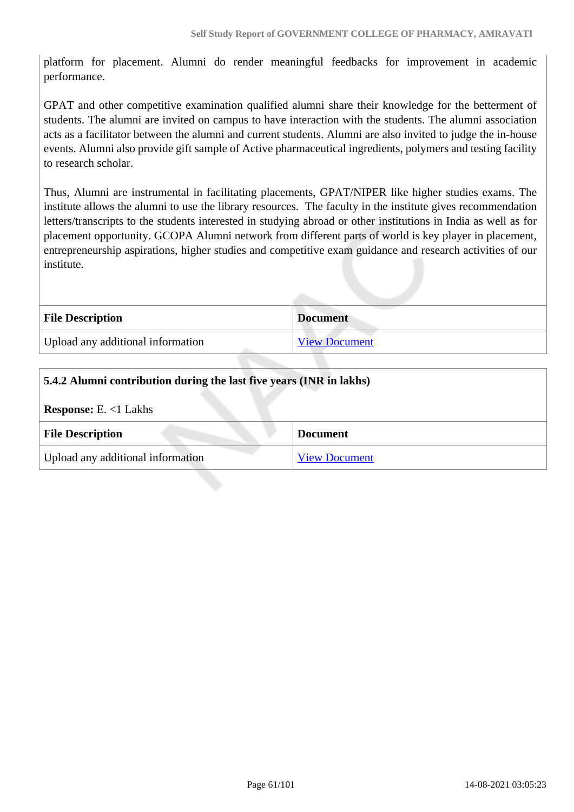platform for placement. Alumni do render meaningful feedbacks for improvement in academic performance.

GPAT and other competitive examination qualified alumni share their knowledge for the betterment of students. The alumni are invited on campus to have interaction with the students. The alumni association acts as a facilitator between the alumni and current students. Alumni are also invited to judge the in-house events. Alumni also provide gift sample of Active pharmaceutical ingredients, polymers and testing facility to research scholar.

Thus, Alumni are instrumental in facilitating placements, GPAT/NIPER like higher studies exams. The institute allows the alumni to use the library resources. The faculty in the institute gives recommendation letters/transcripts to the students interested in studying abroad or other institutions in India as well as for placement opportunity. GCOPA Alumni network from different parts of world is key player in placement, entrepreneurship aspirations, higher studies and competitive exam guidance and research activities of our institute.

| <b>File Description</b>           | <b>Document</b>      |
|-----------------------------------|----------------------|
| Upload any additional information | <b>View Document</b> |

| 5.4.2 Alumni contribution during the last five years (INR in lakhs) |                      |  |
|---------------------------------------------------------------------|----------------------|--|
| <b>Response:</b> E. $<1$ Lakhs                                      |                      |  |
| <b>File Description</b>                                             | <b>Document</b>      |  |
| Upload any additional information                                   | <b>View Document</b> |  |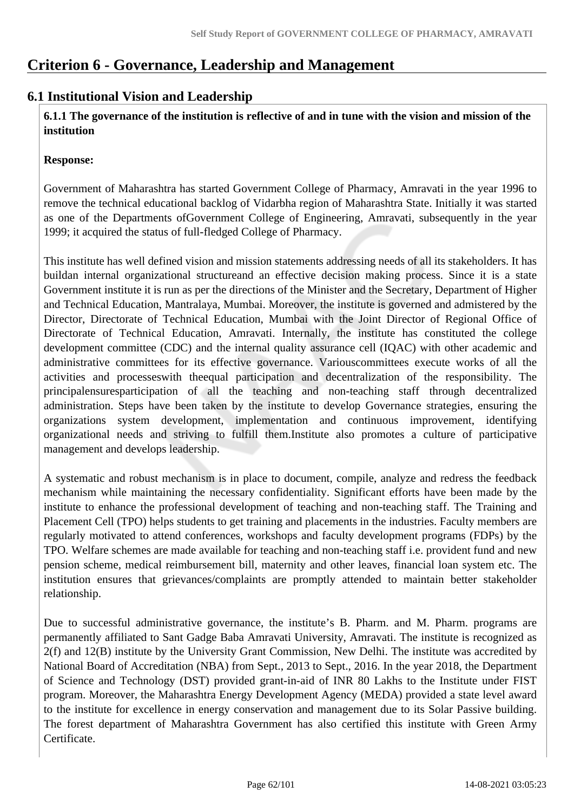# **Criterion 6 - Governance, Leadership and Management**

# **6.1 Institutional Vision and Leadership**

 **6.1.1 The governance of the institution is reflective of and in tune with the vision and mission of the institution**

#### **Response:**

Government of Maharashtra has started Government College of Pharmacy, Amravati in the year 1996 to remove the technical educational backlog of Vidarbha region of Maharashtra State. Initially it was started as one of the Departments ofGovernment College of Engineering, Amravati, subsequently in the year 1999; it acquired the status of full-fledged College of Pharmacy.

This institute has well defined vision and mission statements addressing needs of all its stakeholders. It has buildan internal organizational structureand an effective decision making process. Since it is a state Government institute it is run as per the directions of the Minister and the Secretary, Department of Higher and Technical Education, Mantralaya, Mumbai. Moreover, the institute is governed and admistered by the Director, Directorate of Technical Education, Mumbai with the Joint Director of Regional Office of Directorate of Technical Education, Amravati. Internally, the institute has constituted the college development committee (CDC) and the internal quality assurance cell (IQAC) with other academic and administrative committees for its effective governance. Variouscommittees execute works of all the activities and processeswith theequal participation and decentralization of the responsibility. The principalensuresparticipation of all the teaching and non-teaching staff through decentralized administration. Steps have been taken by the institute to develop Governance strategies, ensuring the organizations system development, implementation and continuous improvement, identifying organizational needs and striving to fulfill them.Institute also promotes a culture of participative management and develops leadership.

A systematic and robust mechanism is in place to document, compile, analyze and redress the feedback mechanism while maintaining the necessary confidentiality. Significant efforts have been made by the institute to enhance the professional development of teaching and non-teaching staff. The Training and Placement Cell (TPO) helps students to get training and placements in the industries. Faculty members are regularly motivated to attend conferences, workshops and faculty development programs (FDPs) by the TPO. Welfare schemes are made available for teaching and non-teaching staff i.e. provident fund and new pension scheme, medical reimbursement bill, maternity and other leaves, financial loan system etc. The institution ensures that grievances/complaints are promptly attended to maintain better stakeholder relationship.

Due to successful administrative governance, the institute's B. Pharm. and M. Pharm. programs are permanently affiliated to Sant Gadge Baba Amravati University, Amravati. The institute is recognized as 2(f) and 12(B) institute by the University Grant Commission, New Delhi. The institute was accredited by National Board of Accreditation (NBA) from Sept., 2013 to Sept., 2016. In the year 2018, the Department of Science and Technology (DST) provided grant-in-aid of INR 80 Lakhs to the Institute under FIST program. Moreover, the Maharashtra Energy Development Agency (MEDA) provided a state level award to the institute for excellence in energy conservation and management due to its Solar Passive building. The forest department of Maharashtra Government has also certified this institute with Green Army Certificate.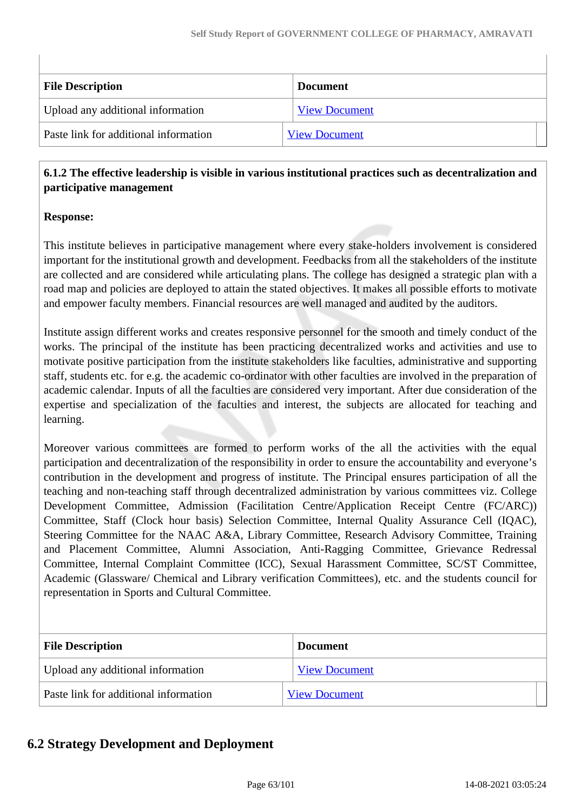| <b>File Description</b>               | <b>Document</b>      |
|---------------------------------------|----------------------|
| Upload any additional information     | <b>View Document</b> |
| Paste link for additional information | <b>View Document</b> |

#### **6.1.2 The effective leadership is visible in various institutional practices such as decentralization and participative management**

#### **Response:**

This institute believes in participative management where every stake-holders involvement is considered important for the institutional growth and development. Feedbacks from all the stakeholders of the institute are collected and are considered while articulating plans. The college has designed a strategic plan with a road map and policies are deployed to attain the stated objectives. It makes all possible efforts to motivate and empower faculty members. Financial resources are well managed and audited by the auditors.

Institute assign different works and creates responsive personnel for the smooth and timely conduct of the works. The principal of the institute has been practicing decentralized works and activities and use to motivate positive participation from the institute stakeholders like faculties, administrative and supporting staff, students etc. for e.g. the academic co-ordinator with other faculties are involved in the preparation of academic calendar. Inputs of all the faculties are considered very important. After due consideration of the expertise and specialization of the faculties and interest, the subjects are allocated for teaching and learning.

Moreover various committees are formed to perform works of the all the activities with the equal participation and decentralization of the responsibility in order to ensure the accountability and everyone's contribution in the development and progress of institute. The Principal ensures participation of all the teaching and non-teaching staff through decentralized administration by various committees viz. College Development Committee, Admission (Facilitation Centre/Application Receipt Centre (FC/ARC)) Committee, Staff (Clock hour basis) Selection Committee, Internal Quality Assurance Cell (IQAC), Steering Committee for the NAAC A&A, Library Committee, Research Advisory Committee, Training and Placement Committee, Alumni Association, Anti-Ragging Committee, Grievance Redressal Committee, Internal Complaint Committee (ICC), Sexual Harassment Committee, SC/ST Committee, Academic (Glassware/ Chemical and Library verification Committees), etc. and the students council for representation in Sports and Cultural Committee.

| <b>File Description</b>               | <b>Document</b>      |
|---------------------------------------|----------------------|
| Upload any additional information     | <b>View Document</b> |
| Paste link for additional information | <b>View Document</b> |

# **6.2 Strategy Development and Deployment**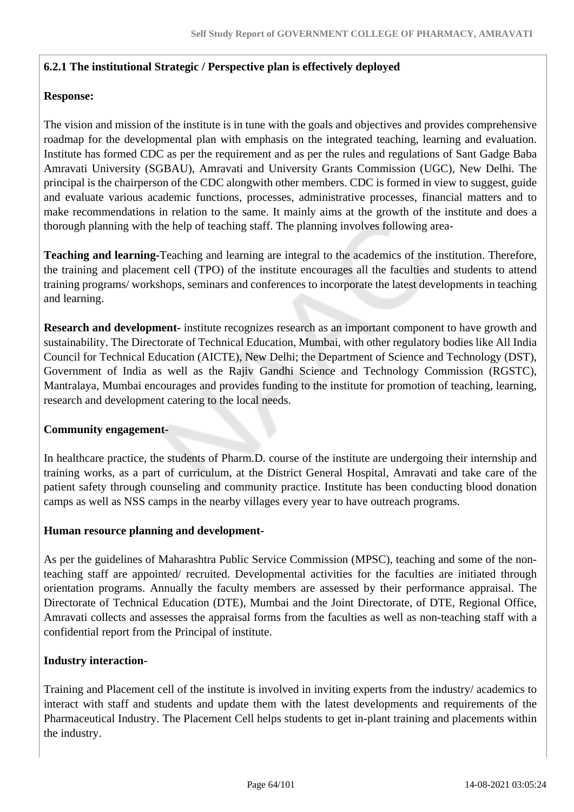#### **6.2.1 The institutional Strategic / Perspective plan is effectively deployed**

#### **Response:**

The vision and mission of the institute is in tune with the goals and objectives and provides comprehensive roadmap for the developmental plan with emphasis on the integrated teaching, learning and evaluation. Institute has formed CDC as per the requirement and as per the rules and regulations of Sant Gadge Baba Amravati University (SGBAU), Amravati and University Grants Commission (UGC), New Delhi. The principal is the chairperson of the CDC alongwith other members. CDC is formed in view to suggest, guide and evaluate various academic functions, processes, administrative processes, financial matters and to make recommendations in relation to the same. It mainly aims at the growth of the institute and does a thorough planning with the help of teaching staff. The planning involves following area-

**Teaching and learning-**Teaching and learning are integral to the academics of the institution. Therefore, the training and placement cell (TPO) of the institute encourages all the faculties and students to attend training programs/ workshops, seminars and conferences to incorporate the latest developments in teaching and learning.

**Research and development-** institute recognizes research as an important component to have growth and sustainability. The Directorate of Technical Education, Mumbai, with other regulatory bodies like All India Council for Technical Education (AICTE), New Delhi; the Department of Science and Technology (DST), Government of India as well as the Rajiv Gandhi Science and Technology Commission (RGSTC), Mantralaya, Mumbai encourages and provides funding to the institute for promotion of teaching, learning, research and development catering to the local needs.

#### **Community engagement-**

In healthcare practice, the students of Pharm.D. course of the institute are undergoing their internship and training works, as a part of curriculum, at the District General Hospital, Amravati and take care of the patient safety through counseling and community practice. Institute has been conducting blood donation camps as well as NSS camps in the nearby villages every year to have outreach programs.

#### **Human resource planning and development-**

As per the guidelines of Maharashtra Public Service Commission (MPSC), teaching and some of the nonteaching staff are appointed/ recruited. Developmental activities for the faculties are initiated through orientation programs. Annually the faculty members are assessed by their performance appraisal. The Directorate of Technical Education (DTE), Mumbai and the Joint Directorate, of DTE, Regional Office, Amravati collects and assesses the appraisal forms from the faculties as well as non-teaching staff with a confidential report from the Principal of institute.

#### **Industry interaction-**

Training and Placement cell of the institute is involved in inviting experts from the industry/ academics to interact with staff and students and update them with the latest developments and requirements of the Pharmaceutical Industry. The Placement Cell helps students to get in-plant training and placements within the industry.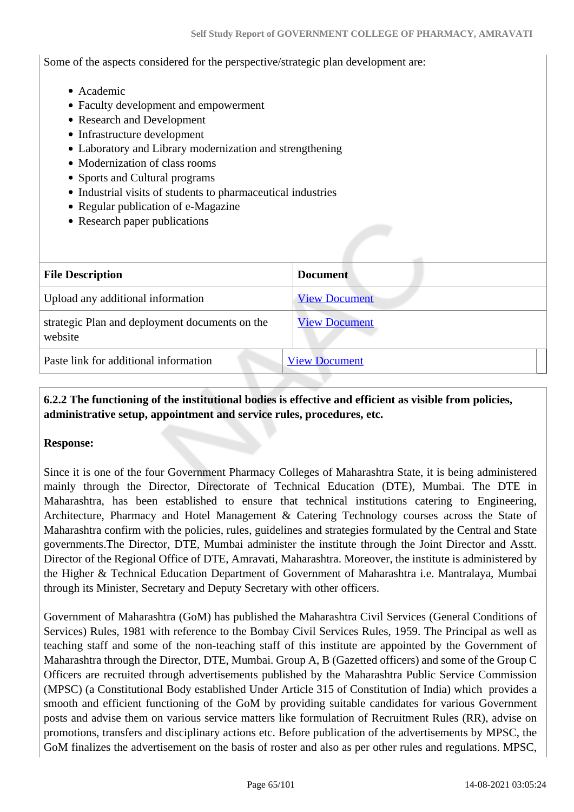Some of the aspects considered for the perspective/strategic plan development are:

- Academic
- Faculty development and empowerment
- Research and Development
- Infrastructure development
- Laboratory and Library modernization and strengthening
- Modernization of class rooms
- Sports and Cultural programs
- Industrial visits of students to pharmaceutical industries
- Regular publication of e-Magazine
- Research paper publications

| <b>File Description</b>                                   | <b>Document</b>      |
|-----------------------------------------------------------|----------------------|
| Upload any additional information                         | <b>View Document</b> |
| strategic Plan and deployment documents on the<br>website | <b>View Document</b> |
| Paste link for additional information                     | <b>View Document</b> |

#### **6.2.2 The functioning of the institutional bodies is effective and efficient as visible from policies, administrative setup, appointment and service rules, procedures, etc.**

#### **Response:**

Since it is one of the four Government Pharmacy Colleges of Maharashtra State, it is being administered mainly through the Director, Directorate of Technical Education (DTE), Mumbai. The DTE in Maharashtra, has been established to ensure that technical institutions catering to Engineering, Architecture, Pharmacy and Hotel Management & Catering Technology courses across the State of Maharashtra confirm with the policies, rules, guidelines and strategies formulated by the Central and State governments.The Director, DTE, Mumbai administer the institute through the Joint Director and Asstt. Director of the Regional Office of DTE, Amravati, Maharashtra. Moreover, the institute is administered by the Higher & Technical Education Department of Government of Maharashtra i.e. Mantralaya, Mumbai through its Minister, Secretary and Deputy Secretary with other officers.

Government of Maharashtra (GoM) has published the Maharashtra Civil Services (General Conditions of Services) Rules, 1981 with reference to the Bombay Civil Services Rules, 1959. The Principal as well as teaching staff and some of the non-teaching staff of this institute are appointed by the Government of Maharashtra through the Director, DTE, Mumbai. Group A, B (Gazetted officers) and some of the Group C Officers are recruited through advertisements published by the Maharashtra Public Service Commission (MPSC) (a Constitutional Body established Under Article 315 of Constitution of India) which provides a smooth and efficient functioning of the GoM by providing suitable candidates for various Government posts and advise them on various service matters like formulation of Recruitment Rules (RR), advise on promotions, transfers and disciplinary actions etc. Before publication of the advertisements by MPSC, the GoM finalizes the advertisement on the basis of roster and also as per other rules and regulations. MPSC,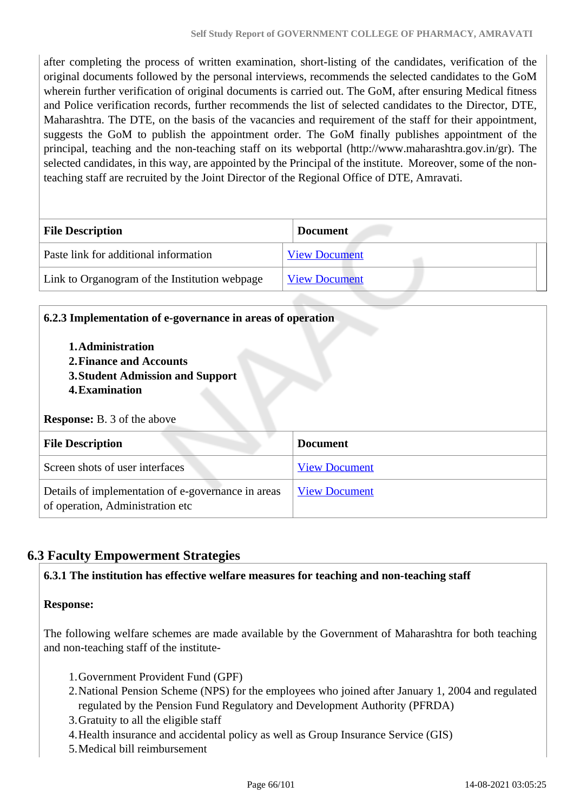after completing the process of written examination, short-listing of the candidates, verification of the original documents followed by the personal interviews, recommends the selected candidates to the GoM wherein further verification of original documents is carried out. The GoM, after ensuring Medical fitness and Police verification records, further recommends the list of selected candidates to the Director, DTE, Maharashtra. The DTE, on the basis of the vacancies and requirement of the staff for their appointment, suggests the GoM to publish the appointment order. The GoM finally publishes appointment of the principal, teaching and the non-teaching staff on its webportal (http://www.maharashtra.gov.in/gr). The selected candidates, in this way, are appointed by the Principal of the institute. Moreover, some of the nonteaching staff are recruited by the Joint Director of the Regional Office of DTE, Amravati.

| <b>File Description</b>                       | <b>Document</b>      |
|-----------------------------------------------|----------------------|
| Paste link for additional information         | <b>View Document</b> |
| Link to Organogram of the Institution webpage | <b>View Document</b> |

| 6.2.3 Implementation of e-governance in areas of operation<br>1. Administration<br>2. Finance and Accounts<br>3. Student Admission and Support<br>4. Examination<br><b>Response:</b> B. 3 of the above |                      |  |
|--------------------------------------------------------------------------------------------------------------------------------------------------------------------------------------------------------|----------------------|--|
| <b>File Description</b>                                                                                                                                                                                | <b>Document</b>      |  |
| Screen shots of user interfaces                                                                                                                                                                        | <b>View Document</b> |  |
| Details of implementation of e-governance in areas                                                                                                                                                     | <b>View Document</b> |  |

# **6.3 Faculty Empowerment Strategies**

#### **6.3.1 The institution has effective welfare measures for teaching and non-teaching staff**

#### **Response:**

The following welfare schemes are made available by the Government of Maharashtra for both teaching and non-teaching staff of the institute-

- 1.Government Provident Fund (GPF)
- 2.National Pension Scheme (NPS) for the employees who joined after January 1, 2004 and regulated regulated by the Pension Fund Regulatory and Development Authority (PFRDA)
- 3.Gratuity to all the eligible staff
- 4.Health insurance and accidental policy as well as Group Insurance Service (GIS)
- 5.Medical bill reimbursement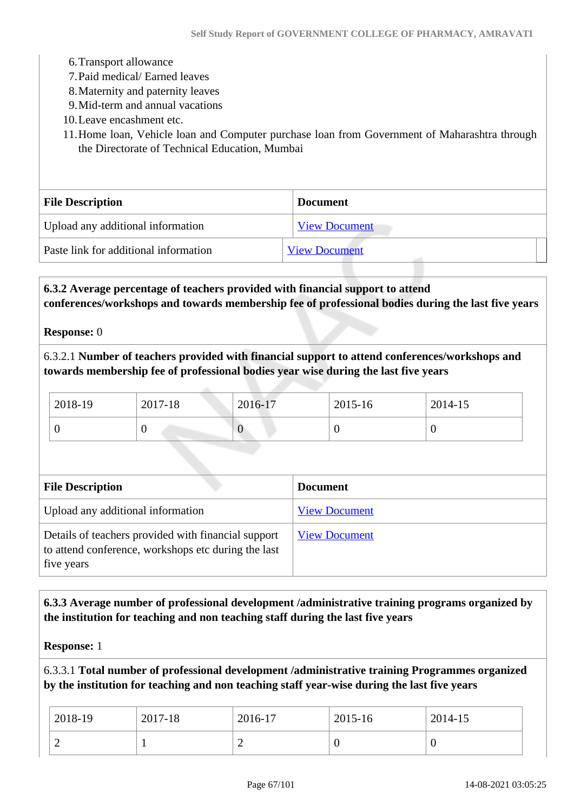- 6.Transport allowance
- 7.Paid medical/ Earned leaves
- 8.Maternity and paternity leaves
- 9.Mid-term and annual vacations
- 10.Leave encashment etc.
- 11.Home loan, Vehicle loan and Computer purchase loan from Government of Maharashtra through the Directorate of Technical Education, Mumbai

| <b>File Description</b>               | <b>Document</b>      |
|---------------------------------------|----------------------|
| Upload any additional information     | <b>View Document</b> |
| Paste link for additional information | <b>View Document</b> |

 **6.3.2 Average percentage of teachers provided with financial support to attend conferences/workshops and towards membership fee of professional bodies during the last five years**

**Response:** 0

6.3.2.1 **Number of teachers provided with financial support to attend conferences/workshops and towards membership fee of professional bodies year wise during the last five years**

| 2018-19 | 2017-18 | 2016-17 | 2015-16 | 2014-15 |  |
|---------|---------|---------|---------|---------|--|
|         | ິ       | $\rm 0$ |         |         |  |

| <b>File Description</b>                                                                                                  | <b>Document</b>      |
|--------------------------------------------------------------------------------------------------------------------------|----------------------|
| Upload any additional information                                                                                        | <b>View Document</b> |
| Details of teachers provided with financial support<br>to attend conference, workshops etc during the last<br>five years | <b>View Document</b> |

#### **6.3.3 Average number of professional development /administrative training programs organized by the institution for teaching and non teaching staff during the last five years**

**Response:** 1

6.3.3.1 **Total number of professional development /administrative training Programmes organized by the institution for teaching and non teaching staff year-wise during the last five years**

| 2018-19 | 2017-18 | 2016-17 | 2015-16 | 2014-15 |
|---------|---------|---------|---------|---------|
| ∼       |         | ∽       | ◡       | v       |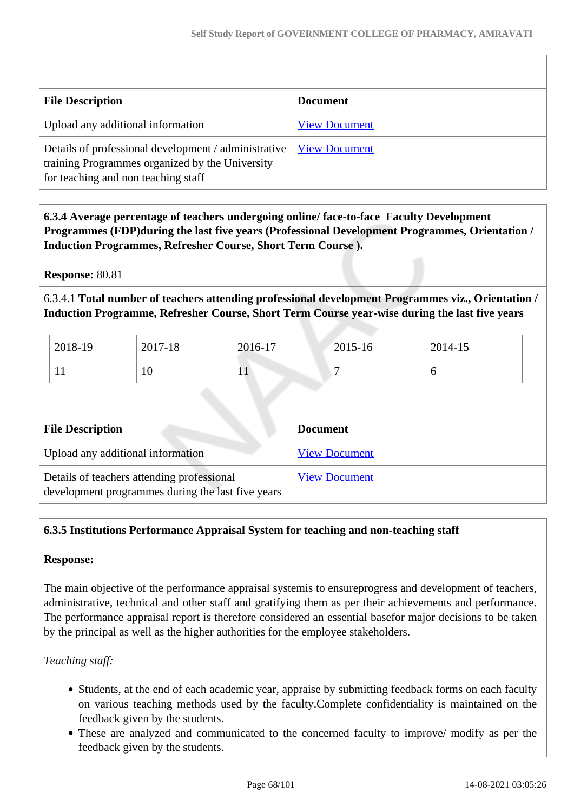| <b>File Description</b>                                                                                                                        | <b>Document</b>      |
|------------------------------------------------------------------------------------------------------------------------------------------------|----------------------|
| Upload any additional information                                                                                                              | <b>View Document</b> |
| Details of professional development / administrative<br>training Programmes organized by the University<br>for teaching and non teaching staff | <b>View Document</b> |

 **6.3.4 Average percentage of teachers undergoing online/ face-to-face Faculty Development Programmes (FDP)during the last five years (Professional Development Programmes, Orientation / Induction Programmes, Refresher Course, Short Term Course ).**

**Response:** 80.81

6.3.4.1 **Total number of teachers attending professional development Programmes viz., Orientation / Induction Programme, Refresher Course, Short Term Course year-wise during the last five years**

| 2018-19 | 2017-18 | 2016-17 | 2015-16 | 2014-15 |
|---------|---------|---------|---------|---------|
| . .     | 10      | 1 L     |         | O       |

| <b>File Description</b>                                                                         | <b>Document</b>      |
|-------------------------------------------------------------------------------------------------|----------------------|
| Upload any additional information                                                               | <b>View Document</b> |
| Details of teachers attending professional<br>development programmes during the last five years | <b>View Document</b> |

#### **6.3.5 Institutions Performance Appraisal System for teaching and non-teaching staff**

#### **Response:**

The main objective of the performance appraisal systemis to ensureprogress and development of teachers, administrative, technical and other staff and gratifying them as per their achievements and performance. The performance appraisal report is therefore considered an essential basefor major decisions to be taken by the principal as well as the higher authorities for the employee stakeholders.

*Teaching staff:*

- Students, at the end of each academic year, appraise by submitting feedback forms on each faculty on various teaching methods used by the faculty.Complete confidentiality is maintained on the feedback given by the students.
- These are analyzed and communicated to the concerned faculty to improve/ modify as per the feedback given by the students.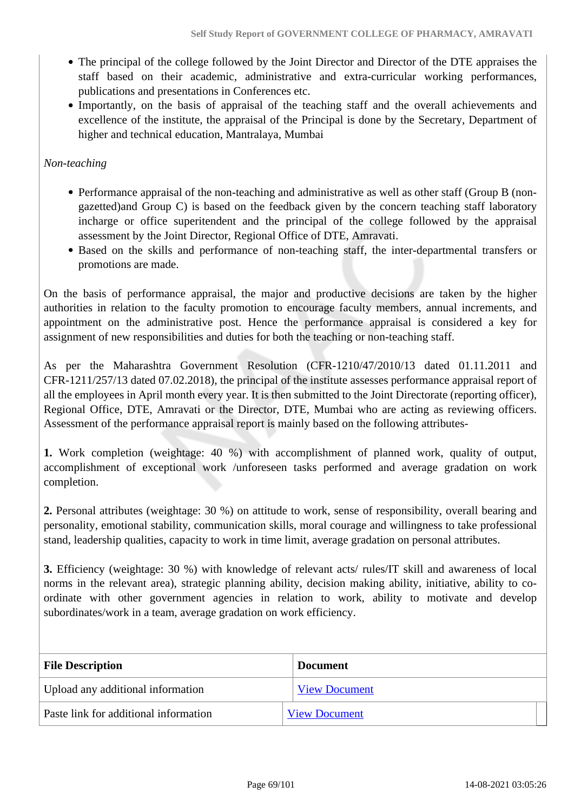- The principal of the college followed by the Joint Director and Director of the DTE appraises the staff based on their academic, administrative and extra-curricular working performances, publications and presentations in Conferences etc.
- Importantly, on the basis of appraisal of the teaching staff and the overall achievements and excellence of the institute, the appraisal of the Principal is done by the Secretary, Department of higher and technical education, Mantralaya, Mumbai

#### *Non-teaching*

- Performance appraisal of the non-teaching and administrative as well as other staff (Group B (nongazetted)and Group C) is based on the feedback given by the concern teaching staff laboratory incharge or office superitendent and the principal of the college followed by the appraisal assessment by the Joint Director, Regional Office of DTE, Amravati.
- Based on the skills and performance of non-teaching staff, the inter-departmental transfers or promotions are made.

On the basis of performance appraisal, the major and productive decisions are taken by the higher authorities in relation to the faculty promotion to encourage faculty members, annual increments, and appointment on the administrative post. Hence the performance appraisal is considered a key for assignment of new responsibilities and duties for both the teaching or non-teaching staff.

As per the Maharashtra Government Resolution (CFR-1210/47/2010/13 dated 01.11.2011 and CFR-1211/257/13 dated 07.02.2018), the principal of the institute assesses performance appraisal report of all the employees in April month every year. It is then submitted to the Joint Directorate (reporting officer), Regional Office, DTE, Amravati or the Director, DTE, Mumbai who are acting as reviewing officers. Assessment of the performance appraisal report is mainly based on the following attributes-

**1.** Work completion (weightage: 40 %) with accomplishment of planned work, quality of output, accomplishment of exceptional work /unforeseen tasks performed and average gradation on work completion.

**2.** Personal attributes (weightage: 30 %) on attitude to work, sense of responsibility, overall bearing and personality, emotional stability, communication skills, moral courage and willingness to take professional stand, leadership qualities, capacity to work in time limit, average gradation on personal attributes.

**3.** Efficiency (weightage: 30 %) with knowledge of relevant acts/ rules/IT skill and awareness of local norms in the relevant area), strategic planning ability, decision making ability, initiative, ability to coordinate with other government agencies in relation to work, ability to motivate and develop subordinates/work in a team, average gradation on work efficiency.

| <b>File Description</b>               | <b>Document</b>      |  |
|---------------------------------------|----------------------|--|
| Upload any additional information     | <b>View Document</b> |  |
| Paste link for additional information | <b>View Document</b> |  |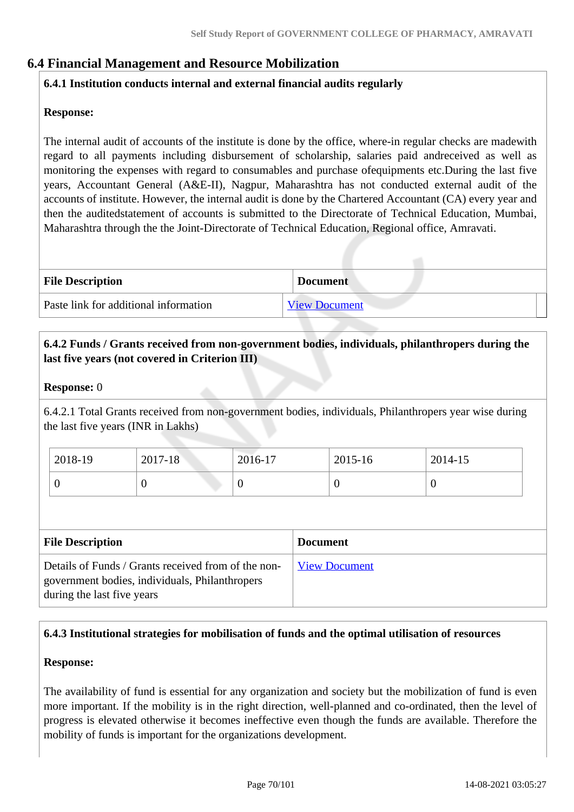# **6.4 Financial Management and Resource Mobilization**

#### **6.4.1 Institution conducts internal and external financial audits regularly**

#### **Response:**

The internal audit of accounts of the institute is done by the office, where-in regular checks are madewith regard to all payments including disbursement of scholarship, salaries paid andreceived as well as monitoring the expenses with regard to consumables and purchase ofequipments etc.During the last five years, Accountant General (A&E-II), Nagpur, Maharashtra has not conducted external audit of the accounts of institute. However, the internal audit is done by the Chartered Accountant (CA) every year and then the auditedstatement of accounts is submitted to the Directorate of Technical Education, Mumbai, Maharashtra through the the Joint-Directorate of Technical Education, Regional office, Amravati.

| <b>File Description</b>               | <b>Document</b>      |
|---------------------------------------|----------------------|
| Paste link for additional information | <b>View Document</b> |

#### **6.4.2 Funds / Grants received from non-government bodies, individuals, philanthropers during the last five years (not covered in Criterion III)**

#### **Response:** 0

6.4.2.1 Total Grants received from non-government bodies, individuals, Philanthropers year wise during the last five years (INR in Lakhs)

| 2018-19 | 2017-18 | 2016-17 | 2015-16 | 2014-15 |
|---------|---------|---------|---------|---------|
|         |         | ν       |         | ν       |

| <b>File Description</b>                                                                                                             | <b>Document</b>      |
|-------------------------------------------------------------------------------------------------------------------------------------|----------------------|
| Details of Funds / Grants received from of the non-<br>government bodies, individuals, Philanthropers<br>during the last five years | <b>View Document</b> |

#### **6.4.3 Institutional strategies for mobilisation of funds and the optimal utilisation of resources**

#### **Response:**

The availability of fund is essential for any organization and society but the mobilization of fund is even more important. If the mobility is in the right direction, well-planned and co-ordinated, then the level of progress is elevated otherwise it becomes ineffective even though the funds are available. Therefore the mobility of funds is important for the organizations development.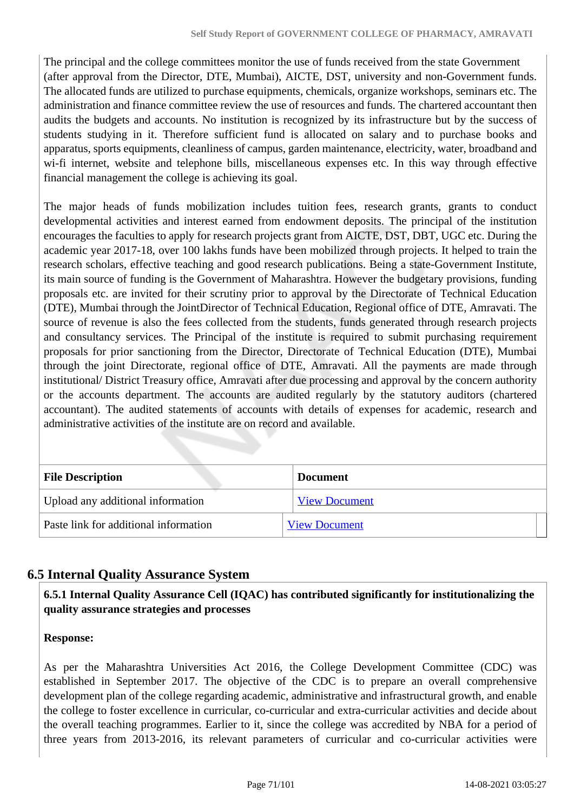The principal and the college committees monitor the use of funds received from the state Government (after approval from the Director, DTE, Mumbai), AICTE, DST, university and non-Government funds. The allocated funds are utilized to purchase equipments, chemicals, organize workshops, seminars etc. The administration and finance committee review the use of resources and funds. The chartered accountant then audits the budgets and accounts. No institution is recognized by its infrastructure but by the success of students studying in it. Therefore sufficient fund is allocated on salary and to purchase books and apparatus, sports equipments, cleanliness of campus, garden maintenance, electricity, water, broadband and wi-fi internet, website and telephone bills, miscellaneous expenses etc. In this way through effective financial management the college is achieving its goal.

The major heads of funds mobilization includes tuition fees, research grants, grants to conduct developmental activities and interest earned from endowment deposits. The principal of the institution encourages the faculties to apply for research projects grant from AICTE, DST, DBT, UGC etc. During the academic year 2017-18, over 100 lakhs funds have been mobilized through projects. It helped to train the research scholars, effective teaching and good research publications. Being a state-Government Institute, its main source of funding is the Government of Maharashtra. However the budgetary provisions, funding proposals etc. are invited for their scrutiny prior to approval by the Directorate of Technical Education (DTE), Mumbai through the JointDirector of Technical Education, Regional office of DTE, Amravati. The source of revenue is also the fees collected from the students, funds generated through research projects and consultancy services. The Principal of the institute is required to submit purchasing requirement proposals for prior sanctioning from the Director, Directorate of Technical Education (DTE), Mumbai through the joint Directorate, regional office of DTE, Amravati. All the payments are made through institutional/ District Treasury office, Amravati after due processing and approval by the concern authority or the accounts department. The accounts are audited regularly by the statutory auditors (chartered accountant). The audited statements of accounts with details of expenses for academic, research and administrative activities of the institute are on record and available.

| <b>File Description</b>               | <b>Document</b>      |
|---------------------------------------|----------------------|
| Upload any additional information     | <b>View Document</b> |
| Paste link for additional information | <b>View Document</b> |

# **6.5 Internal Quality Assurance System**

 **6.5.1 Internal Quality Assurance Cell (IQAC) has contributed significantly for institutionalizing the quality assurance strategies and processes**

**Response:** 

As per the Maharashtra Universities Act 2016, the College Development Committee (CDC) was established in September 2017. The objective of the CDC is to prepare an overall comprehensive development plan of the college regarding academic, administrative and infrastructural growth, and enable the college to foster excellence in curricular, co-curricular and extra-curricular activities and decide about the overall teaching programmes. Earlier to it, since the college was accredited by NBA for a period of three years from 2013-2016, its relevant parameters of curricular and co-curricular activities were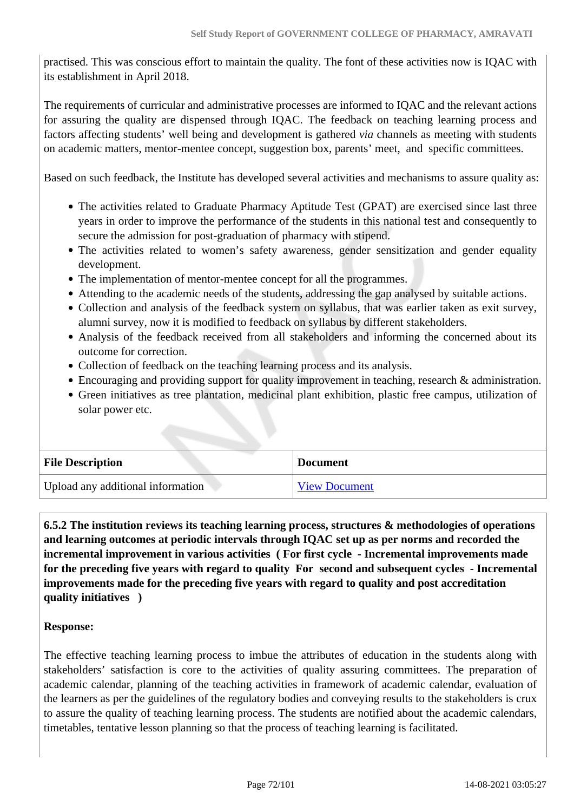practised. This was conscious effort to maintain the quality. The font of these activities now is IQAC with its establishment in April 2018.

The requirements of curricular and administrative processes are informed to IQAC and the relevant actions for assuring the quality are dispensed through IQAC. The feedback on teaching learning process and factors affecting students' well being and development is gathered *via* channels as meeting with students on academic matters, mentor-mentee concept, suggestion box, parents' meet, and specific committees.

Based on such feedback, the Institute has developed several activities and mechanisms to assure quality as:

- The activities related to Graduate Pharmacy Aptitude Test (GPAT) are exercised since last three years in order to improve the performance of the students in this national test and consequently to secure the admission for post-graduation of pharmacy with stipend.
- The activities related to women's safety awareness, gender sensitization and gender equality development.
- The implementation of mentor-mentee concept for all the programmes.
- Attending to the academic needs of the students, addressing the gap analysed by suitable actions.
- Collection and analysis of the feedback system on syllabus, that was earlier taken as exit survey, alumni survey, now it is modified to feedback on syllabus by different stakeholders.
- Analysis of the feedback received from all stakeholders and informing the concerned about its outcome for correction.
- Collection of feedback on the teaching learning process and its analysis.
- Encouraging and providing support for quality improvement in teaching, research & administration.
- Green initiatives as tree plantation, medicinal plant exhibition, plastic free campus, utilization of solar power etc.

| <b>File Description</b>           | <b>Document</b>      |
|-----------------------------------|----------------------|
| Upload any additional information | <b>View Document</b> |

 **6.5.2 The institution reviews its teaching learning process, structures & methodologies of operations and learning outcomes at periodic intervals through IQAC set up as per norms and recorded the incremental improvement in various activities ( For first cycle - Incremental improvements made for the preceding five years with regard to quality For second and subsequent cycles - Incremental improvements made for the preceding five years with regard to quality and post accreditation quality initiatives )** 

#### **Response:**

The effective teaching learning process to imbue the attributes of education in the students along with stakeholders' satisfaction is core to the activities of quality assuring committees. The preparation of academic calendar, planning of the teaching activities in framework of academic calendar, evaluation of the learners as per the guidelines of the regulatory bodies and conveying results to the stakeholders is crux to assure the quality of teaching learning process. The students are notified about the academic calendars, timetables, tentative lesson planning so that the process of teaching learning is facilitated.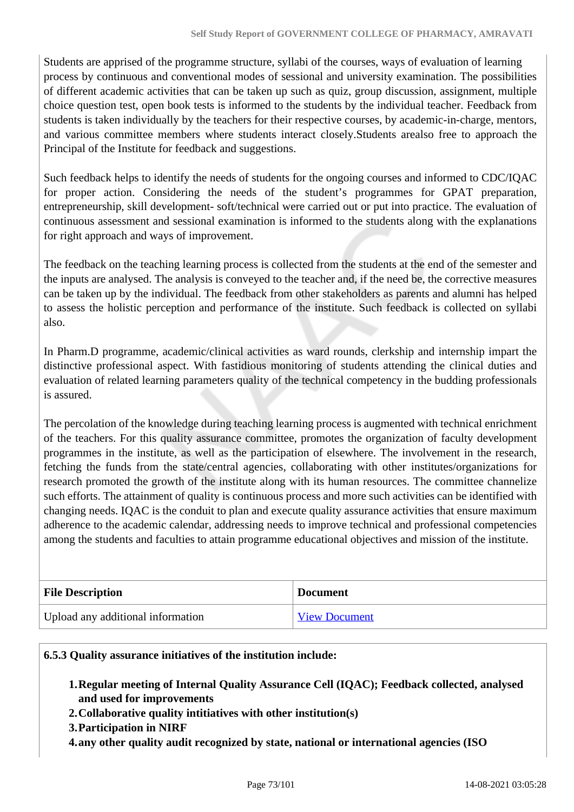Students are apprised of the programme structure, syllabi of the courses, ways of evaluation of learning process by continuous and conventional modes of sessional and university examination. The possibilities of different academic activities that can be taken up such as quiz, group discussion, assignment, multiple choice question test, open book tests is informed to the students by the individual teacher. Feedback from students is taken individually by the teachers for their respective courses, by academic-in-charge, mentors, and various committee members where students interact closely.Students arealso free to approach the Principal of the Institute for feedback and suggestions.

Such feedback helps to identify the needs of students for the ongoing courses and informed to CDC/IQAC for proper action. Considering the needs of the student's programmes for GPAT preparation, entrepreneurship, skill development- soft/technical were carried out or put into practice. The evaluation of continuous assessment and sessional examination is informed to the students along with the explanations for right approach and ways of improvement.

The feedback on the teaching learning process is collected from the students at the end of the semester and the inputs are analysed. The analysis is conveyed to the teacher and, if the need be, the corrective measures can be taken up by the individual. The feedback from other stakeholders as parents and alumni has helped to assess the holistic perception and performance of the institute. Such feedback is collected on syllabi also.

In Pharm.D programme, academic/clinical activities as ward rounds, clerkship and internship impart the distinctive professional aspect. With fastidious monitoring of students attending the clinical duties and evaluation of related learning parameters quality of the technical competency in the budding professionals is assured.

The percolation of the knowledge during teaching learning process is augmented with technical enrichment of the teachers. For this quality assurance committee, promotes the organization of faculty development programmes in the institute, as well as the participation of elsewhere. The involvement in the research, fetching the funds from the state/central agencies, collaborating with other institutes/organizations for research promoted the growth of the institute along with its human resources. The committee channelize such efforts. The attainment of quality is continuous process and more such activities can be identified with changing needs. IQAC is the conduit to plan and execute quality assurance activities that ensure maximum adherence to the academic calendar, addressing needs to improve technical and professional competencies among the students and faculties to attain programme educational objectives and mission of the institute.

| <b>File Description</b>           | <b>Document</b>      |
|-----------------------------------|----------------------|
| Upload any additional information | <b>View Document</b> |

#### **6.5.3 Quality assurance initiatives of the institution include:**

- **1.Regular meeting of Internal Quality Assurance Cell (IQAC); Feedback collected, analysed and used for improvements**
- **2.Collaborative quality intitiatives with other institution(s)**
- **3.Participation in NIRF**
- **4.any other quality audit recognized by state, national or international agencies (ISO**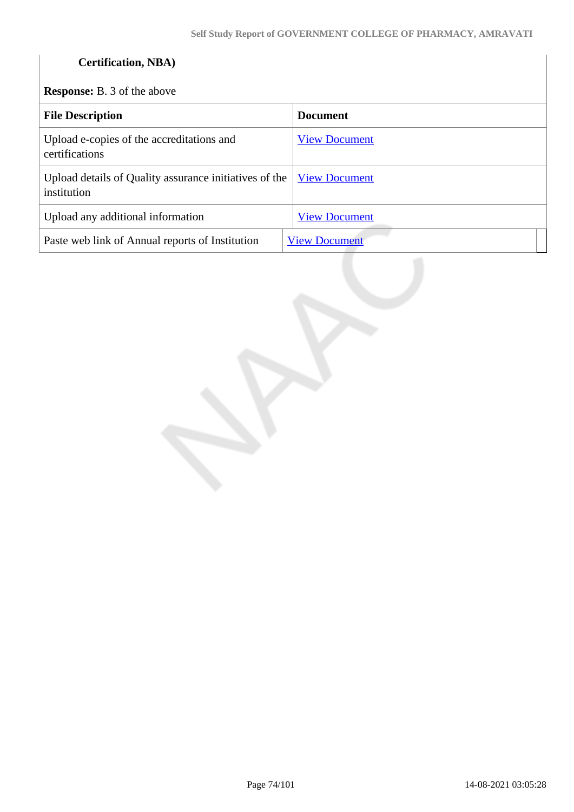# **Certification, NBA)**

**Response:** B. 3 of the above

| <b>File Description</b>                                               | <b>Document</b>      |
|-----------------------------------------------------------------------|----------------------|
| Upload e-copies of the accreditations and<br>certifications           | <b>View Document</b> |
| Upload details of Quality assurance initiatives of the<br>institution | <b>View Document</b> |
| Upload any additional information                                     | <b>View Document</b> |
| Paste web link of Annual reports of Institution                       | <b>View Document</b> |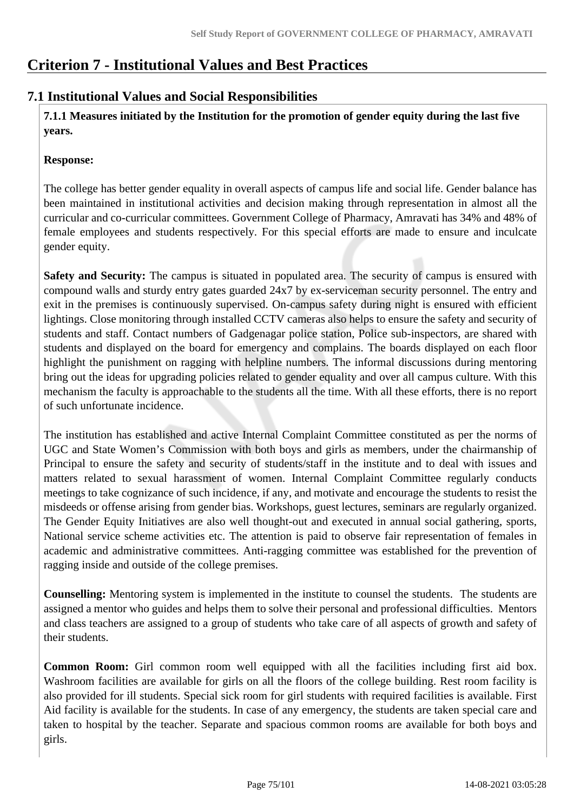# **Criterion 7 - Institutional Values and Best Practices**

# **7.1 Institutional Values and Social Responsibilities**

 **7.1.1 Measures initiated by the Institution for the promotion of gender equity during the last five years.**

#### **Response:**

The college has better gender equality in overall aspects of campus life and social life. Gender balance has been maintained in institutional activities and decision making through representation in almost all the curricular and co-curricular committees. Government College of Pharmacy, Amravati has 34% and 48% of female employees and students respectively. For this special efforts are made to ensure and inculcate gender equity.

**Safety and Security:** The campus is situated in populated area. The security of campus is ensured with compound walls and sturdy entry gates guarded 24x7 by ex-serviceman security personnel. The entry and exit in the premises is continuously supervised. On-campus safety during night is ensured with efficient lightings. Close monitoring through installed CCTV cameras also helps to ensure the safety and security of students and staff. Contact numbers of Gadgenagar police station, Police sub-inspectors, are shared with students and displayed on the board for emergency and complains. The boards displayed on each floor highlight the punishment on ragging with helpline numbers. The informal discussions during mentoring bring out the ideas for upgrading policies related to gender equality and over all campus culture. With this mechanism the faculty is approachable to the students all the time. With all these efforts, there is no report of such unfortunate incidence.

The institution has established and active Internal Complaint Committee constituted as per the norms of UGC and State Women's Commission with both boys and girls as members, under the chairmanship of Principal to ensure the safety and security of students/staff in the institute and to deal with issues and matters related to sexual harassment of women. Internal Complaint Committee regularly conducts meetings to take cognizance of such incidence, if any, and motivate and encourage the students to resist the misdeeds or offense arising from gender bias. Workshops, guest lectures, seminars are regularly organized. The Gender Equity Initiatives are also well thought-out and executed in annual social gathering, sports, National service scheme activities etc. The attention is paid to observe fair representation of females in academic and administrative committees. Anti-ragging committee was established for the prevention of ragging inside and outside of the college premises.

**Counselling:** Mentoring system is implemented in the institute to counsel the students. The students are assigned a mentor who guides and helps them to solve their personal and professional difficulties. Mentors and class teachers are assigned to a group of students who take care of all aspects of growth and safety of their students.

**Common Room:** Girl common room well equipped with all the facilities including first aid box. Washroom facilities are available for girls on all the floors of the college building. Rest room facility is also provided for ill students. Special sick room for girl students with required facilities is available. First Aid facility is available for the students. In case of any emergency, the students are taken special care and taken to hospital by the teacher. Separate and spacious common rooms are available for both boys and girls.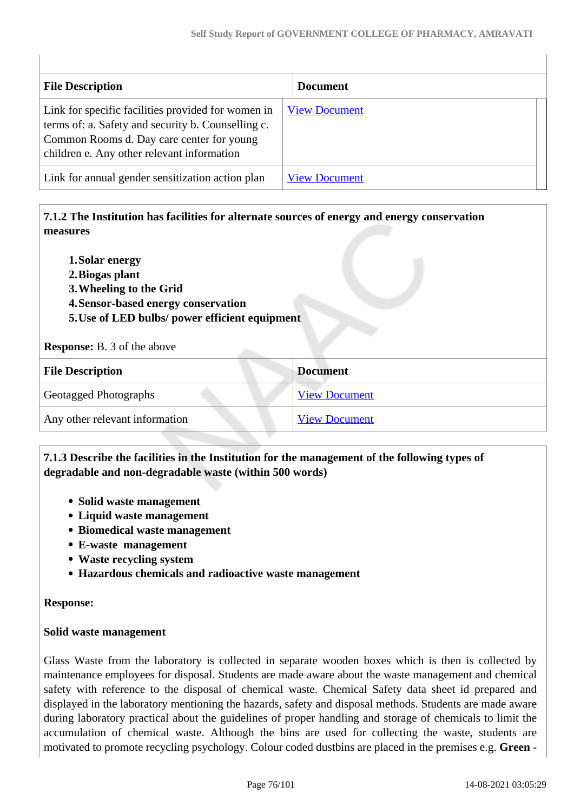| <b>File Description</b>                                                                                                                                                                             | <b>Document</b>      |
|-----------------------------------------------------------------------------------------------------------------------------------------------------------------------------------------------------|----------------------|
| Link for specific facilities provided for women in<br>terms of: a. Safety and security b. Counselling c.<br>Common Rooms d. Day care center for young<br>children e. Any other relevant information | <b>View Document</b> |
| Link for annual gender sensitization action plan                                                                                                                                                    | <b>View Document</b> |

 **7.1.2 The Institution has facilities for alternate sources of energy and energy conservation measures** 

- **1.Solar energy**
- **2.Biogas plant**
- **3.Wheeling to the Grid**
- **4.Sensor-based energy conservation**
- **5.Use of LED bulbs/ power efficient equipment**

**Response:** B. 3 of the above

| <b>File Description</b>        | <b>Document</b>      |
|--------------------------------|----------------------|
| <b>Geotagged Photographs</b>   | <b>View Document</b> |
| Any other relevant information | <b>View Document</b> |

#### **7.1.3 Describe the facilities in the Institution for the management of the following types of degradable and non-degradable waste (within 500 words)**

- **Solid waste management**
- **Liquid waste management**
- **Biomedical waste management**
- **E-waste management**
- **Waste recycling system**
- **Hazardous chemicals and radioactive waste management**

#### **Response:**

#### **Solid waste management**

Glass Waste from the laboratory is collected in separate wooden boxes which is then is collected by maintenance employees for disposal. Students are made aware about the waste management and chemical safety with reference to the disposal of chemical waste. Chemical Safety data sheet id prepared and displayed in the laboratory mentioning the hazards, safety and disposal methods. Students are made aware during laboratory practical about the guidelines of proper handling and storage of chemicals to limit the accumulation of chemical waste. Although the bins are used for collecting the waste, students are motivated to promote recycling psychology. Colour coded dustbins are placed in the premises e.g. **Green** -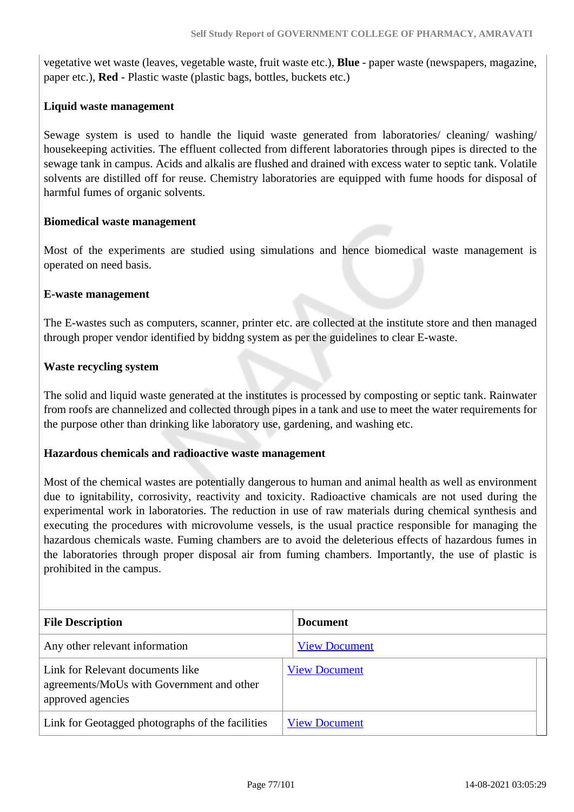vegetative wet waste (leaves, vegetable waste, fruit waste etc.), **Blue** - paper waste (newspapers, magazine, paper etc.), **Red** - Plastic waste (plastic bags, bottles, buckets etc.)

#### **Liquid waste management**

Sewage system is used to handle the liquid waste generated from laboratories/ cleaning/ washing/ housekeeping activities. The effluent collected from different laboratories through pipes is directed to the sewage tank in campus. Acids and alkalis are flushed and drained with excess water to septic tank. Volatile solvents are distilled off for reuse. Chemistry laboratories are equipped with fume hoods for disposal of harmful fumes of organic solvents.

#### **Biomedical waste management**

Most of the experiments are studied using simulations and hence biomedical waste management is operated on need basis.

#### **E-waste management**

The E-wastes such as computers, scanner, printer etc. are collected at the institute store and then managed through proper vendor identified by biddng system as per the guidelines to clear E-waste.

#### **Waste recycling system**

The solid and liquid waste generated at the institutes is processed by composting or septic tank. Rainwater from roofs are channelized and collected through pipes in a tank and use to meet the water requirements for the purpose other than drinking like laboratory use, gardening, and washing etc.

#### **Hazardous chemicals and radioactive waste management**

Most of the chemical wastes are potentially dangerous to human and animal health as well as environment due to ignitability, corrosivity, reactivity and toxicity. Radioactive chamicals are not used during the experimental work in laboratories. The reduction in use of raw materials during chemical synthesis and executing the procedures with microvolume vessels, is the usual practice responsible for managing the hazardous chemicals waste. Fuming chambers are to avoid the deleterious effects of hazardous fumes in the laboratories through proper disposal air from fuming chambers. Importantly, the use of plastic is prohibited in the campus.

| <b>File Description</b>                                                                            | <b>Document</b>      |
|----------------------------------------------------------------------------------------------------|----------------------|
| Any other relevant information                                                                     | <b>View Document</b> |
| Link for Relevant documents like<br>agreements/MoUs with Government and other<br>approved agencies | <b>View Document</b> |
| Link for Geotagged photographs of the facilities                                                   | <b>View Document</b> |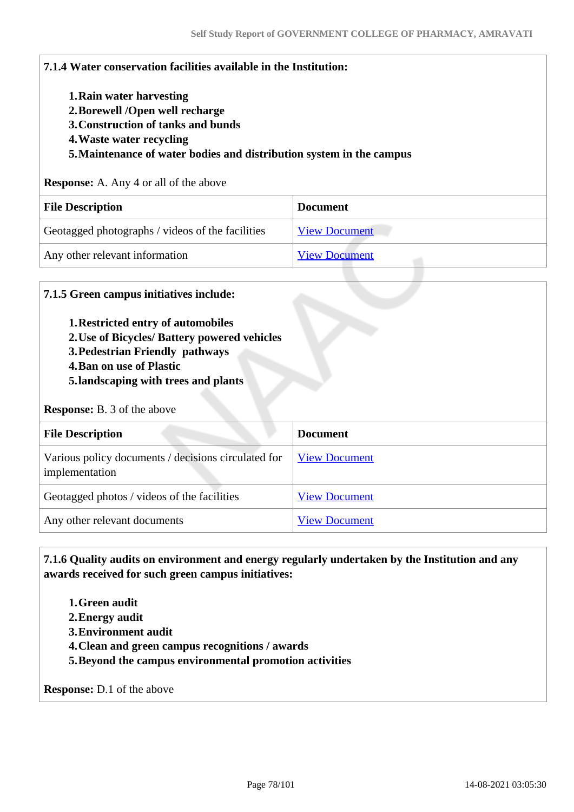| 7.1.4 Water conservation facilities available in the Institution:                                                                                                                                     |                      |
|-------------------------------------------------------------------------------------------------------------------------------------------------------------------------------------------------------|----------------------|
| 1. Rain water harvesting<br>2. Borewell /Open well recharge<br>3. Construction of tanks and bunds<br>4. Waste water recycling<br>5. Maintenance of water bodies and distribution system in the campus |                      |
|                                                                                                                                                                                                       |                      |
| <b>Response:</b> A. Any 4 or all of the above                                                                                                                                                         |                      |
| <b>File Description</b>                                                                                                                                                                               | <b>Document</b>      |
| Geotagged photographs / videos of the facilities                                                                                                                                                      | <b>View Document</b> |

#### **7.1.5 Green campus initiatives include:**

- **1.Restricted entry of automobiles**
- **2.Use of Bicycles/ Battery powered vehicles**
- **3.Pedestrian Friendly pathways**
- **4.Ban on use of Plastic**
- **5.landscaping with trees and plants**

#### **Response:** B. 3 of the above

| <b>File Description</b>                                               | <b>Document</b>      |
|-----------------------------------------------------------------------|----------------------|
| Various policy documents / decisions circulated for<br>implementation | <b>View Document</b> |
| Geotagged photos / videos of the facilities                           | <b>View Document</b> |
| Any other relevant documents                                          | <b>View Document</b> |

 **7.1.6 Quality audits on environment and energy regularly undertaken by the Institution and any awards received for such green campus initiatives:**

- **1.Green audit**
- **2.Energy audit**
- **3.Environment audit**
- **4.Clean and green campus recognitions / awards**
- **5.Beyond the campus environmental promotion activities**

**Response:** D.1 of the above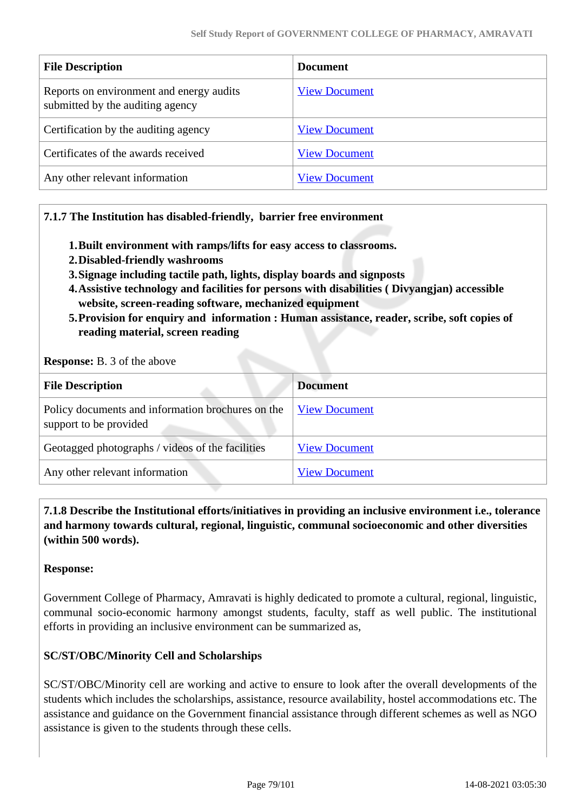| <b>File Description</b>                                                      | <b>Document</b>      |
|------------------------------------------------------------------------------|----------------------|
| Reports on environment and energy audits<br>submitted by the auditing agency | <b>View Document</b> |
| Certification by the auditing agency                                         | <b>View Document</b> |
| Certificates of the awards received                                          | <b>View Document</b> |
| Any other relevant information                                               | <b>View Document</b> |

#### **7.1.7 The Institution has disabled-friendly, barrier free environment**

- **1.Built environment with ramps/lifts for easy access to classrooms.**
- **2.Disabled-friendly washrooms**
- **3.Signage including tactile path, lights, display boards and signposts**
- **4.Assistive technology and facilities for persons with disabilities ( Divyangjan) accessible website, screen-reading software, mechanized equipment**
- **5.Provision for enquiry and information : Human assistance, reader, scribe, soft copies of reading material, screen reading**

**Response:** B. 3 of the above

| <b>File Description</b>                                                     | <b>Document</b>      |
|-----------------------------------------------------------------------------|----------------------|
| Policy documents and information brochures on the<br>support to be provided | <b>View Document</b> |
| Geotagged photographs / videos of the facilities                            | <b>View Document</b> |
| Any other relevant information                                              | <b>View Document</b> |

 **7.1.8 Describe the Institutional efforts/initiatives in providing an inclusive environment i.e., tolerance and harmony towards cultural, regional, linguistic, communal socioeconomic and other diversities (within 500 words).**

#### **Response:**

Government College of Pharmacy, Amravati is highly dedicated to promote a cultural, regional, linguistic, communal socio-economic harmony amongst students, faculty, staff as well public. The institutional efforts in providing an inclusive environment can be summarized as,

#### **SC/ST/OBC/Minority Cell and Scholarships**

SC/ST/OBC/Minority cell are working and active to ensure to look after the overall developments of the students which includes the scholarships, assistance, resource availability, hostel accommodations etc. The assistance and guidance on the Government financial assistance through different schemes as well as NGO assistance is given to the students through these cells.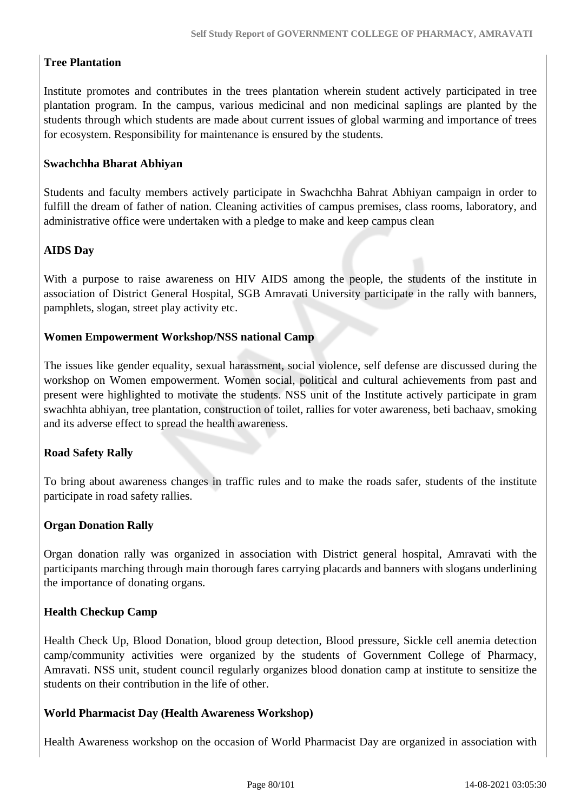### **Tree Plantation**

Institute promotes and contributes in the trees plantation wherein student actively participated in tree plantation program. In the campus, various medicinal and non medicinal saplings are planted by the students through which students are made about current issues of global warming and importance of trees for ecosystem. Responsibility for maintenance is ensured by the students.

#### **Swachchha Bharat Abhiyan**

Students and faculty members actively participate in Swachchha Bahrat Abhiyan campaign in order to fulfill the dream of father of nation. Cleaning activities of campus premises, class rooms, laboratory, and administrative office were undertaken with a pledge to make and keep campus clean

#### **AIDS Day**

With a purpose to raise awareness on HIV AIDS among the people, the students of the institute in association of District General Hospital, SGB Amravati University participate in the rally with banners, pamphlets, slogan, street play activity etc.

#### **Women Empowerment Workshop/NSS national Camp**

The issues like gender equality, sexual harassment, social violence, self defense are discussed during the workshop on Women empowerment. Women social, political and cultural achievements from past and present were highlighted to motivate the students. NSS unit of the Institute actively participate in gram swachhta abhiyan, tree plantation, construction of toilet, rallies for voter awareness, beti bachaav, smoking and its adverse effect to spread the health awareness.

#### **Road Safety Rally**

To bring about awareness changes in traffic rules and to make the roads safer, students of the institute participate in road safety rallies.

#### **Organ Donation Rally**

Organ donation rally was organized in association with District general hospital, Amravati with the participants marching through main thorough fares carrying placards and banners with slogans underlining the importance of donating organs.

#### **Health Checkup Camp**

Health Check Up, Blood Donation, blood group detection, Blood pressure, Sickle cell anemia detection camp/community activities were organized by the students of Government College of Pharmacy, Amravati. NSS unit, student council regularly organizes blood donation camp at institute to sensitize the students on their contribution in the life of other.

#### **World Pharmacist Day (Health Awareness Workshop)**

Health Awareness workshop on the occasion of World Pharmacist Day are organized in association with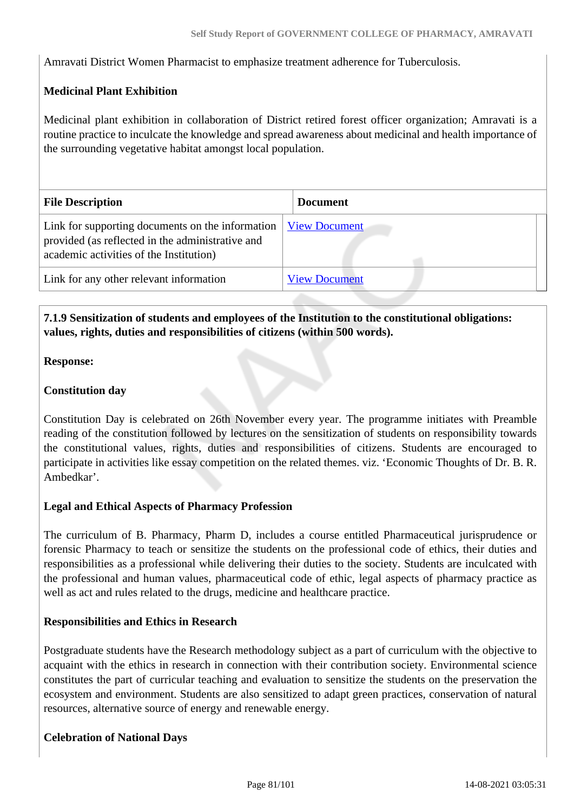Amravati District Women Pharmacist to emphasize treatment adherence for Tuberculosis.

### **Medicinal Plant Exhibition**

Medicinal plant exhibition in collaboration of District retired forest officer organization; Amravati is a routine practice to inculcate the knowledge and spread awareness about medicinal and health importance of the surrounding vegetative habitat amongst local population.

| <b>File Description</b>                                                                                                                         | <b>Document</b>      |
|-------------------------------------------------------------------------------------------------------------------------------------------------|----------------------|
| Link for supporting documents on the information<br>provided (as reflected in the administrative and<br>academic activities of the Institution) | <b>View Document</b> |
| Link for any other relevant information                                                                                                         | <b>View Document</b> |

#### **7.1.9 Sensitization of students and employees of the Institution to the constitutional obligations: values, rights, duties and responsibilities of citizens (within 500 words).**

#### **Response:**

#### **Constitution day**

Constitution Day is celebrated on 26th November every year. The programme initiates with Preamble reading of the constitution followed by lectures on the sensitization of students on responsibility towards the constitutional values, rights, duties and responsibilities of citizens. Students are encouraged to participate in activities like essay competition on the related themes. viz. 'Economic Thoughts of Dr. B. R. Ambedkar'.

#### **Legal and Ethical Aspects of Pharmacy Profession**

The curriculum of B. Pharmacy, Pharm D, includes a course entitled Pharmaceutical jurisprudence or forensic Pharmacy to teach or sensitize the students on the professional code of ethics, their duties and responsibilities as a professional while delivering their duties to the society. Students are inculcated with the professional and human values, pharmaceutical code of ethic, legal aspects of pharmacy practice as well as act and rules related to the drugs, medicine and healthcare practice.

#### **Responsibilities and Ethics in Research**

Postgraduate students have the Research methodology subject as a part of curriculum with the objective to acquaint with the ethics in research in connection with their contribution society. Environmental science constitutes the part of curricular teaching and evaluation to sensitize the students on the preservation the ecosystem and environment. Students are also sensitized to adapt green practices, conservation of natural resources, alternative source of energy and renewable energy.

#### **Celebration of National Days**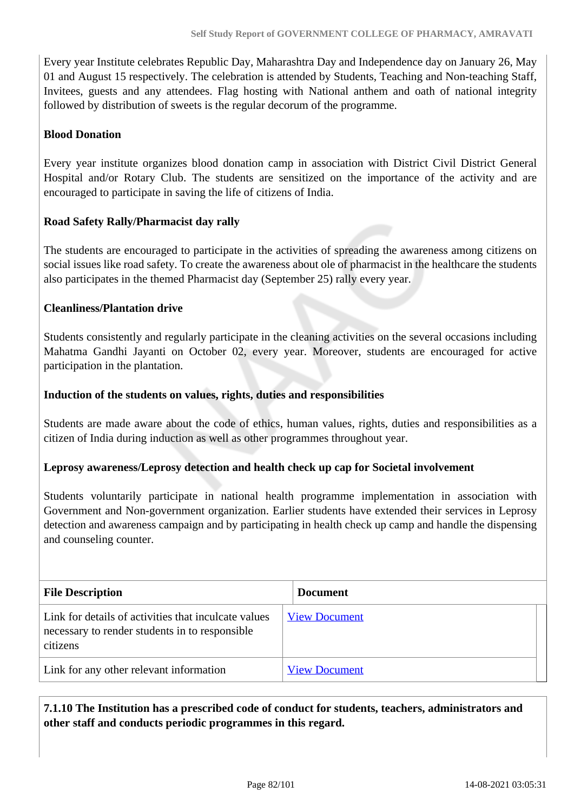Every year Institute celebrates Republic Day, Maharashtra Day and Independence day on January 26, May 01 and August 15 respectively. The celebration is attended by Students, Teaching and Non-teaching Staff, Invitees, guests and any attendees. Flag hosting with National anthem and oath of national integrity followed by distribution of sweets is the regular decorum of the programme.

#### **Blood Donation**

Every year institute organizes blood donation camp in association with District Civil District General Hospital and/or Rotary Club. The students are sensitized on the importance of the activity and are encouraged to participate in saving the life of citizens of India.

#### **Road Safety Rally/Pharmacist day rally**

The students are encouraged to participate in the activities of spreading the awareness among citizens on social issues like road safety. To create the awareness about ole of pharmacist in the healthcare the students also participates in the themed Pharmacist day (September 25) rally every year.

#### **Cleanliness/Plantation drive**

Students consistently and regularly participate in the cleaning activities on the several occasions including Mahatma Gandhi Jayanti on October 02, every year. Moreover, students are encouraged for active participation in the plantation.

#### **Induction of the students on values, rights, duties and responsibilities**

Students are made aware about the code of ethics, human values, rights, duties and responsibilities as a citizen of India during induction as well as other programmes throughout year.

#### **Leprosy awareness/Leprosy detection and health check up cap for Societal involvement**

Students voluntarily participate in national health programme implementation in association with Government and Non-government organization. Earlier students have extended their services in Leprosy detection and awareness campaign and by participating in health check up camp and handle the dispensing and counseling counter.

| <b>File Description</b>                                                                                            | <b>Document</b>      |
|--------------------------------------------------------------------------------------------------------------------|----------------------|
| Link for details of activities that inculcate values<br>necessary to render students in to responsible<br>citizens | <b>View Document</b> |
| Link for any other relevant information                                                                            | <b>View Document</b> |

 **7.1.10 The Institution has a prescribed code of conduct for students, teachers, administrators and other staff and conducts periodic programmes in this regard.**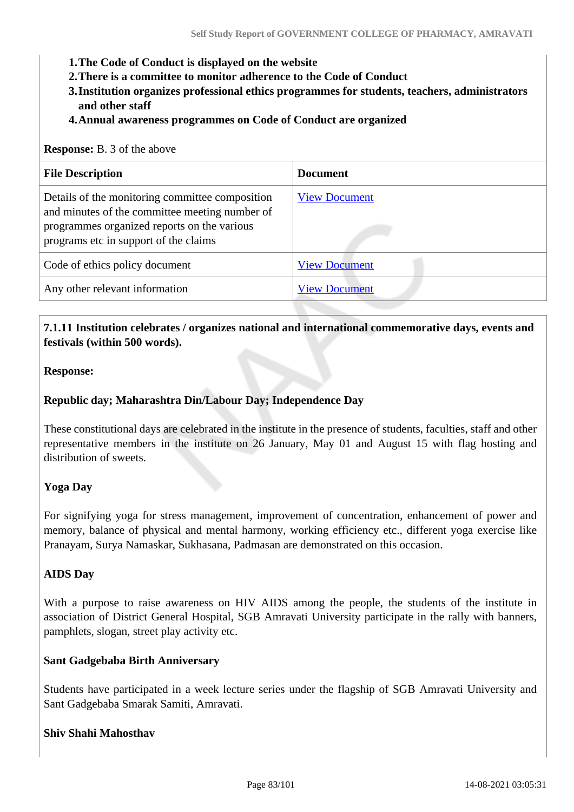- **1.The Code of Conduct is displayed on the website**
- **2.There is a committee to monitor adherence to the Code of Conduct**
- **3.Institution organizes professional ethics programmes for students, teachers, administrators and other staff**
- **4.Annual awareness programmes on Code of Conduct are organized**

#### **Response:** B. 3 of the above

| <b>File Description</b>                                                                                                                                                                   | <b>Document</b>      |
|-------------------------------------------------------------------------------------------------------------------------------------------------------------------------------------------|----------------------|
| Details of the monitoring committee composition<br>and minutes of the committee meeting number of<br>programmes organized reports on the various<br>programs etc in support of the claims | <b>View Document</b> |
| Code of ethics policy document                                                                                                                                                            | <b>View Document</b> |
| Any other relevant information                                                                                                                                                            | <b>View Document</b> |

#### **7.1.11 Institution celebrates / organizes national and international commemorative days, events and festivals (within 500 words).**

#### **Response:**

#### **Republic day; Maharashtra Din/Labour Day; Independence Day**

These constitutional days are celebrated in the institute in the presence of students, faculties, staff and other representative members in the institute on 26 January, May 01 and August 15 with flag hosting and distribution of sweets.

#### **Yoga Day**

For signifying yoga for stress management, improvement of concentration, enhancement of power and memory, balance of physical and mental harmony, working efficiency etc., different yoga exercise like Pranayam, Surya Namaskar, Sukhasana, Padmasan are demonstrated on this occasion.

#### **AIDS Day**

With a purpose to raise awareness on HIV AIDS among the people, the students of the institute in association of District General Hospital, SGB Amravati University participate in the rally with banners, pamphlets, slogan, street play activity etc.

#### **Sant Gadgebaba Birth Anniversary**

Students have participated in a week lecture series under the flagship of SGB Amravati University and Sant Gadgebaba Smarak Samiti, Amravati.

#### **Shiv Shahi Mahosthav**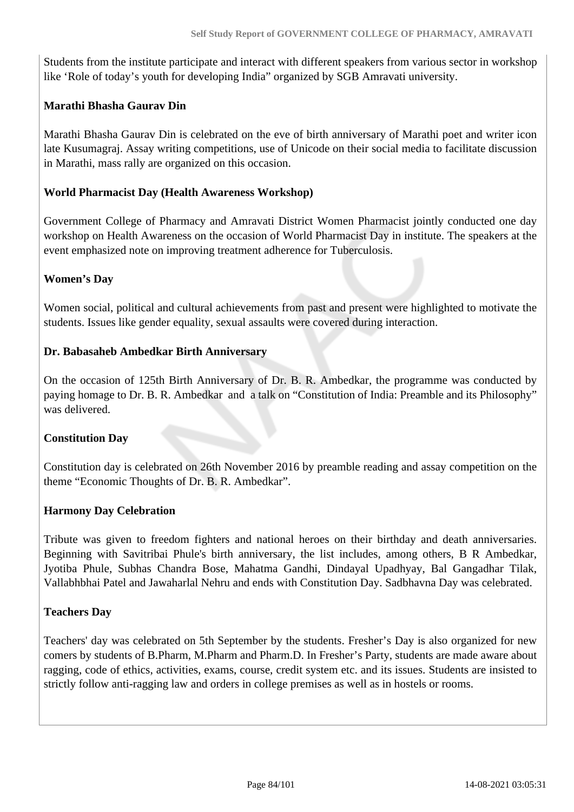Students from the institute participate and interact with different speakers from various sector in workshop like 'Role of today's youth for developing India" organized by SGB Amravati university.

#### **Marathi Bhasha Gaurav Din**

Marathi Bhasha Gaurav Din is celebrated on the eve of birth anniversary of Marathi poet and writer icon late Kusumagraj. Assay writing competitions, use of Unicode on their social media to facilitate discussion in Marathi, mass rally are organized on this occasion.

#### **World Pharmacist Day (Health Awareness Workshop)**

Government College of Pharmacy and Amravati District Women Pharmacist jointly conducted one day workshop on Health Awareness on the occasion of World Pharmacist Day in institute. The speakers at the event emphasized note on improving treatment adherence for Tuberculosis.

#### **Women's Day**

Women social, political and cultural achievements from past and present were highlighted to motivate the students. Issues like gender equality, sexual assaults were covered during interaction.

#### **Dr. Babasaheb Ambedkar Birth Anniversary**

On the occasion of 125th Birth Anniversary of Dr. B. R. Ambedkar, the programme was conducted by paying homage to Dr. B. R. Ambedkar and a talk on "Constitution of India: Preamble and its Philosophy" was delivered.

#### **Constitution Day**

Constitution day is celebrated on 26th November 2016 by preamble reading and assay competition on the theme "Economic Thoughts of Dr. B. R. Ambedkar".

#### **Harmony Day Celebration**

Tribute was given to freedom fighters and national heroes on their birthday and death anniversaries. Beginning with Savitribai Phule's birth anniversary, the list includes, among others, B R Ambedkar, Jyotiba Phule, Subhas Chandra Bose, Mahatma Gandhi, Dindayal Upadhyay, Bal Gangadhar Tilak, Vallabhbhai Patel and Jawaharlal Nehru and ends with Constitution Day. Sadbhavna Day was celebrated.

#### **Teachers Day**

Teachers' day was celebrated on 5th September by the students. Fresher's Day is also organized for new comers by students of B.Pharm, M.Pharm and Pharm.D. In Fresher's Party, students are made aware about ragging, code of ethics, activities, exams, course, credit system etc. and its issues. Students are insisted to strictly follow anti-ragging law and orders in college premises as well as in hostels or rooms.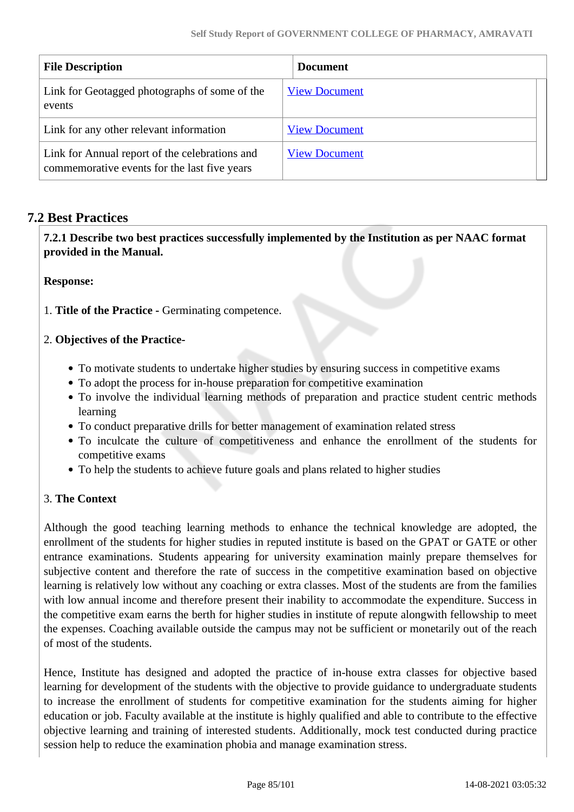| <b>File Description</b>                                                                        | <b>Document</b>      |
|------------------------------------------------------------------------------------------------|----------------------|
| Link for Geotagged photographs of some of the<br>events                                        | <b>View Document</b> |
| Link for any other relevant information                                                        | <b>View Document</b> |
| Link for Annual report of the celebrations and<br>commemorative events for the last five years | <b>View Document</b> |

## **7.2 Best Practices**

 **7.2.1 Describe two best practices successfully implemented by the Institution as per NAAC format provided in the Manual.**

**Response:** 

1. **Title of the Practice -** Germinating competence.

#### 2. **Objectives of the Practice-**

- To motivate students to undertake higher studies by ensuring success in competitive exams
- To adopt the process for in-house preparation for competitive examination
- To involve the individual learning methods of preparation and practice student centric methods learning
- To conduct preparative drills for better management of examination related stress
- To inculcate the culture of competitiveness and enhance the enrollment of the students for competitive exams
- To help the students to achieve future goals and plans related to higher studies

#### 3. **The Context**

Although the good teaching learning methods to enhance the technical knowledge are adopted, the enrollment of the students for higher studies in reputed institute is based on the GPAT or GATE or other entrance examinations. Students appearing for university examination mainly prepare themselves for subjective content and therefore the rate of success in the competitive examination based on objective learning is relatively low without any coaching or extra classes. Most of the students are from the families with low annual income and therefore present their inability to accommodate the expenditure. Success in the competitive exam earns the berth for higher studies in institute of repute alongwith fellowship to meet the expenses. Coaching available outside the campus may not be sufficient or monetarily out of the reach of most of the students.

Hence, Institute has designed and adopted the practice of in-house extra classes for objective based learning for development of the students with the objective to provide guidance to undergraduate students to increase the enrollment of students for competitive examination for the students aiming for higher education or job. Faculty available at the institute is highly qualified and able to contribute to the effective objective learning and training of interested students. Additionally, mock test conducted during practice session help to reduce the examination phobia and manage examination stress.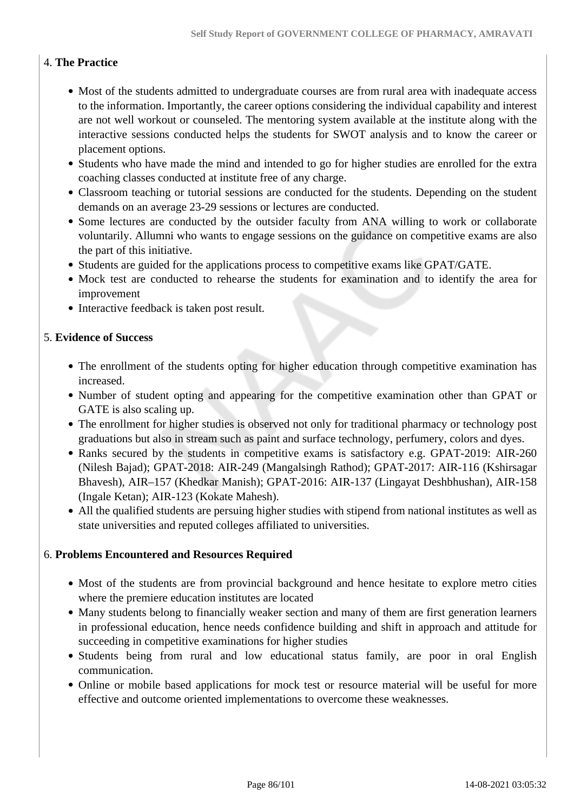# 4. **The Practice**

- Most of the students admitted to undergraduate courses are from rural area with inadequate access to the information. Importantly, the career options considering the individual capability and interest are not well workout or counseled. The mentoring system available at the institute along with the interactive sessions conducted helps the students for SWOT analysis and to know the career or placement options.
- Students who have made the mind and intended to go for higher studies are enrolled for the extra coaching classes conducted at institute free of any charge.
- Classroom teaching or tutorial sessions are conducted for the students. Depending on the student demands on an average 23-29 sessions or lectures are conducted.
- Some lectures are conducted by the outsider faculty from ANA willing to work or collaborate voluntarily. Allumni who wants to engage sessions on the guidance on competitive exams are also the part of this initiative.
- Students are guided for the applications process to competitive exams like GPAT/GATE.
- Mock test are conducted to rehearse the students for examination and to identify the area for improvement
- Interactive feedback is taken post result.

#### 5. **Evidence of Success**

- The enrollment of the students opting for higher education through competitive examination has increased.
- Number of student opting and appearing for the competitive examination other than GPAT or GATE is also scaling up.
- The enrollment for higher studies is observed not only for traditional pharmacy or technology post graduations but also in stream such as paint and surface technology, perfumery, colors and dyes.
- Ranks secured by the students in competitive exams is satisfactory e.g. GPAT-2019: AIR-260 (Nilesh Bajad); GPAT-2018: AIR-249 (Mangalsingh Rathod); GPAT-2017: AIR-116 (Kshirsagar Bhavesh), AIR–157 (Khedkar Manish); GPAT-2016: AIR-137 (Lingayat Deshbhushan), AIR-158 (Ingale Ketan); AIR-123 (Kokate Mahesh).
- All the qualified students are persuing higher studies with stipend from national institutes as well as state universities and reputed colleges affiliated to universities.

#### 6. **Problems Encountered and Resources Required**

- Most of the students are from provincial background and hence hesitate to explore metro cities where the premiere education institutes are located
- Many students belong to financially weaker section and many of them are first generation learners in professional education, hence needs confidence building and shift in approach and attitude for succeeding in competitive examinations for higher studies
- Students being from rural and low educational status family, are poor in oral English communication.
- Online or mobile based applications for mock test or resource material will be useful for more effective and outcome oriented implementations to overcome these weaknesses.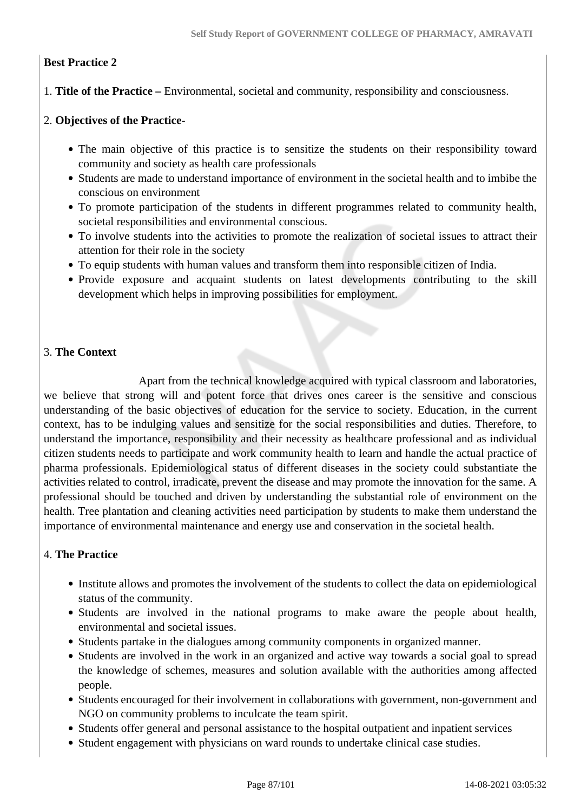#### **Best Practice 2**

1. **Title of the Practice –** Environmental, societal and community, responsibility and consciousness.

#### 2. **Objectives of the Practice-**

- The main objective of this practice is to sensitize the students on their responsibility toward community and society as health care professionals
- Students are made to understand importance of environment in the societal health and to imbibe the conscious on environment
- To promote participation of the students in different programmes related to community health, societal responsibilities and environmental conscious.
- To involve students into the activities to promote the realization of societal issues to attract their attention for their role in the society
- To equip students with human values and transform them into responsible citizen of India.
- Provide exposure and acquaint students on latest developments contributing to the skill development which helps in improving possibilities for employment.

#### 3. **The Context**

 Apart from the technical knowledge acquired with typical classroom and laboratories, we believe that strong will and potent force that drives ones career is the sensitive and conscious understanding of the basic objectives of education for the service to society. Education, in the current context, has to be indulging values and sensitize for the social responsibilities and duties. Therefore, to understand the importance, responsibility and their necessity as healthcare professional and as individual citizen students needs to participate and work community health to learn and handle the actual practice of pharma professionals. Epidemiological status of different diseases in the society could substantiate the activities related to control, irradicate, prevent the disease and may promote the innovation for the same. A professional should be touched and driven by understanding the substantial role of environment on the health. Tree plantation and cleaning activities need participation by students to make them understand the importance of environmental maintenance and energy use and conservation in the societal health.

### 4. **The Practice**

- Institute allows and promotes the involvement of the students to collect the data on epidemiological status of the community.
- Students are involved in the national programs to make aware the people about health, environmental and societal issues.
- Students partake in the dialogues among community components in organized manner.
- Students are involved in the work in an organized and active way towards a social goal to spread the knowledge of schemes, measures and solution available with the authorities among affected people.
- Students encouraged for their involvement in collaborations with government, non-government and NGO on community problems to inculcate the team spirit.
- Students offer general and personal assistance to the hospital outpatient and inpatient services
- Student engagement with physicians on ward rounds to undertake clinical case studies.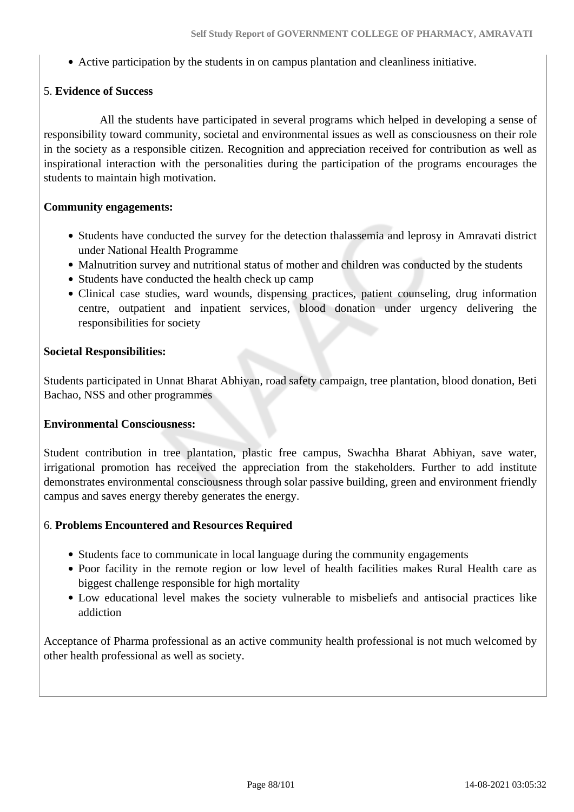Active participation by the students in on campus plantation and cleanliness initiative.

#### 5. **Evidence of Success**

 All the students have participated in several programs which helped in developing a sense of responsibility toward community, societal and environmental issues as well as consciousness on their role in the society as a responsible citizen. Recognition and appreciation received for contribution as well as inspirational interaction with the personalities during the participation of the programs encourages the students to maintain high motivation.

#### **Community engagements:**

- Students have conducted the survey for the detection thalassemia and leprosy in Amravati district under National Health Programme
- Malnutrition survey and nutritional status of mother and children was conducted by the students
- Students have conducted the health check up camp
- Clinical case studies, ward wounds, dispensing practices, patient counseling, drug information centre, outpatient and inpatient services, blood donation under urgency delivering the responsibilities for society

#### **Societal Responsibilities:**

Students participated in Unnat Bharat Abhiyan, road safety campaign, tree plantation, blood donation, Beti Bachao, NSS and other programmes

#### **Environmental Consciousness:**

Student contribution in tree plantation, plastic free campus, Swachha Bharat Abhiyan, save water, irrigational promotion has received the appreciation from the stakeholders. Further to add institute demonstrates environmental consciousness through solar passive building, green and environment friendly campus and saves energy thereby generates the energy.

#### 6. **Problems Encountered and Resources Required**

- Students face to communicate in local language during the community engagements
- Poor facility in the remote region or low level of health facilities makes Rural Health care as biggest challenge responsible for high mortality
- Low educational level makes the society vulnerable to misbeliefs and antisocial practices like addiction

Acceptance of Pharma professional as an active community health professional is not much welcomed by other health professional as well as society.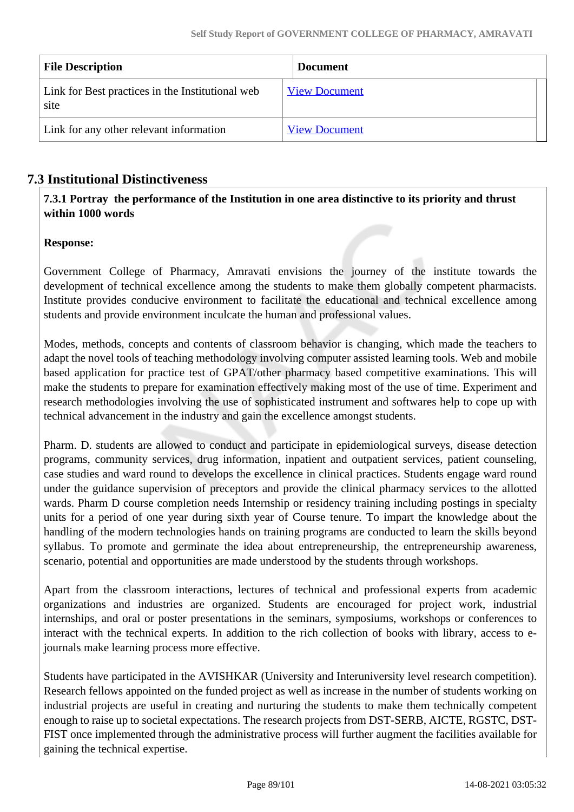| <b>File Description</b>                                  | <b>Document</b>      |
|----------------------------------------------------------|----------------------|
| Link for Best practices in the Institutional web<br>site | <b>View Document</b> |
| Link for any other relevant information                  | <b>View Document</b> |

# **7.3 Institutional Distinctiveness**

 **7.3.1 Portray the performance of the Institution in one area distinctive to its priority and thrust within 1000 words**

#### **Response:**

Government College of Pharmacy, Amravati envisions the journey of the institute towards the development of technical excellence among the students to make them globally competent pharmacists. Institute provides conducive environment to facilitate the educational and technical excellence among students and provide environment inculcate the human and professional values.

Modes, methods, concepts and contents of classroom behavior is changing, which made the teachers to adapt the novel tools of teaching methodology involving computer assisted learning tools. Web and mobile based application for practice test of GPAT/other pharmacy based competitive examinations. This will make the students to prepare for examination effectively making most of the use of time. Experiment and research methodologies involving the use of sophisticated instrument and softwares help to cope up with technical advancement in the industry and gain the excellence amongst students.

Pharm. D. students are allowed to conduct and participate in epidemiological surveys, disease detection programs, community services, drug information, inpatient and outpatient services, patient counseling, case studies and ward round to develops the excellence in clinical practices. Students engage ward round under the guidance supervision of preceptors and provide the clinical pharmacy services to the allotted wards. Pharm D course completion needs Internship or residency training including postings in specialty units for a period of one year during sixth year of Course tenure. To impart the knowledge about the handling of the modern technologies hands on training programs are conducted to learn the skills beyond syllabus. To promote and germinate the idea about entrepreneurship, the entrepreneurship awareness, scenario, potential and opportunities are made understood by the students through workshops.

Apart from the classroom interactions, lectures of technical and professional experts from academic organizations and industries are organized. Students are encouraged for project work, industrial internships, and oral or poster presentations in the seminars, symposiums, workshops or conferences to interact with the technical experts. In addition to the rich collection of books with library, access to ejournals make learning process more effective.

Students have participated in the AVISHKAR (University and Interuniversity level research competition). Research fellows appointed on the funded project as well as increase in the number of students working on industrial projects are useful in creating and nurturing the students to make them technically competent enough to raise up to societal expectations. The research projects from DST-SERB, AICTE, RGSTC, DST-FIST once implemented through the administrative process will further augment the facilities available for gaining the technical expertise.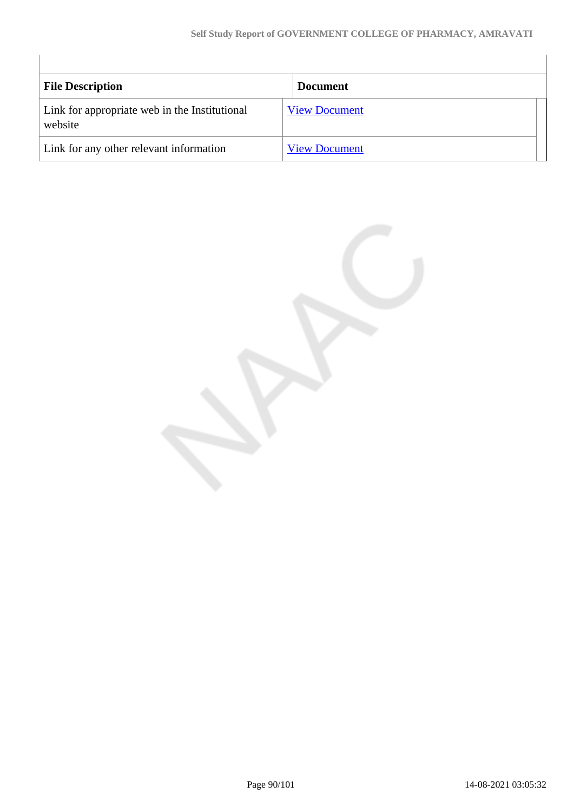| <b>File Description</b>                                  | <b>Document</b>      |
|----------------------------------------------------------|----------------------|
| Link for appropriate web in the Institutional<br>website | <b>View Document</b> |
| Link for any other relevant information                  | <b>View Document</b> |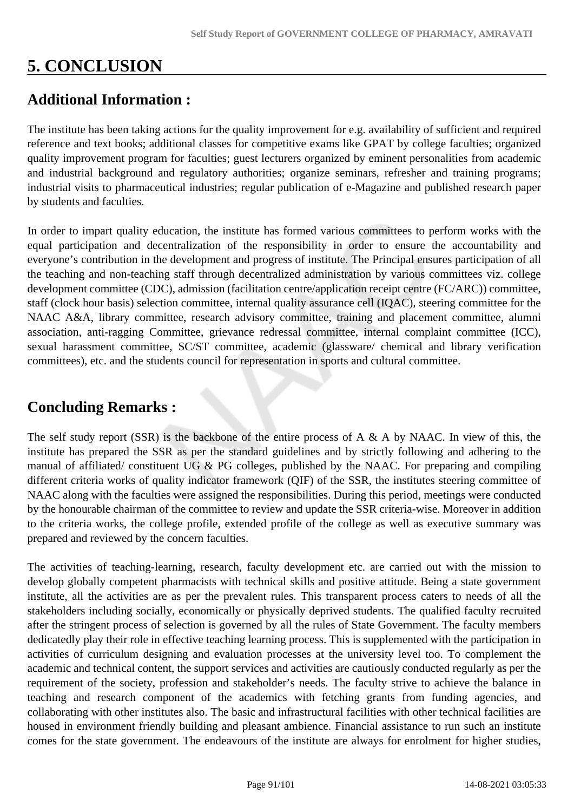# **5. CONCLUSION**

# **Additional Information :**

The institute has been taking actions for the quality improvement for e.g. availability of sufficient and required reference and text books; additional classes for competitive exams like GPAT by college faculties; organized quality improvement program for faculties; guest lecturers organized by eminent personalities from academic and industrial background and regulatory authorities; organize seminars, refresher and training programs; industrial visits to pharmaceutical industries; regular publication of e-Magazine and published research paper by students and faculties.

In order to impart quality education, the institute has formed various committees to perform works with the equal participation and decentralization of the responsibility in order to ensure the accountability and everyone's contribution in the development and progress of institute. The Principal ensures participation of all the teaching and non-teaching staff through decentralized administration by various committees viz. college development committee (CDC), admission (facilitation centre/application receipt centre (FC/ARC)) committee, staff (clock hour basis) selection committee, internal quality assurance cell (IQAC), steering committee for the NAAC A&A, library committee, research advisory committee, training and placement committee, alumni association, anti-ragging Committee, grievance redressal committee, internal complaint committee (ICC), sexual harassment committee, SC/ST committee, academic (glassware/ chemical and library verification committees), etc. and the students council for representation in sports and cultural committee.

# **Concluding Remarks :**

The self study report (SSR) is the backbone of the entire process of A & A by NAAC. In view of this, the institute has prepared the SSR as per the standard guidelines and by strictly following and adhering to the manual of affiliated/ constituent UG & PG colleges, published by the NAAC. For preparing and compiling different criteria works of quality indicator framework (QIF) of the SSR, the institutes steering committee of NAAC along with the faculties were assigned the responsibilities. During this period, meetings were conducted by the honourable chairman of the committee to review and update the SSR criteria-wise. Moreover in addition to the criteria works, the college profile, extended profile of the college as well as executive summary was prepared and reviewed by the concern faculties.

The activities of teaching-learning, research, faculty development etc. are carried out with the mission to develop globally competent pharmacists with technical skills and positive attitude. Being a state government institute, all the activities are as per the prevalent rules. This transparent process caters to needs of all the stakeholders including socially, economically or physically deprived students. The qualified faculty recruited after the stringent process of selection is governed by all the rules of State Government. The faculty members dedicatedly play their role in effective teaching learning process. This is supplemented with the participation in activities of curriculum designing and evaluation processes at the university level too. To complement the academic and technical content, the support services and activities are cautiously conducted regularly as per the requirement of the society, profession and stakeholder's needs. The faculty strive to achieve the balance in teaching and research component of the academics with fetching grants from funding agencies, and collaborating with other institutes also. The basic and infrastructural facilities with other technical facilities are housed in environment friendly building and pleasant ambience. Financial assistance to run such an institute comes for the state government. The endeavours of the institute are always for enrolment for higher studies,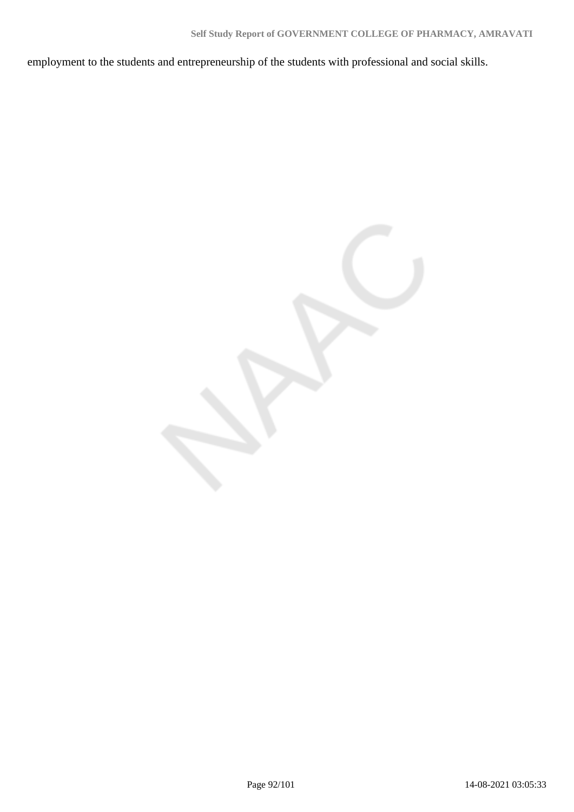employment to the students and entrepreneurship of the students with professional and social skills.

Page 92/101 14-08-2021 03:05:33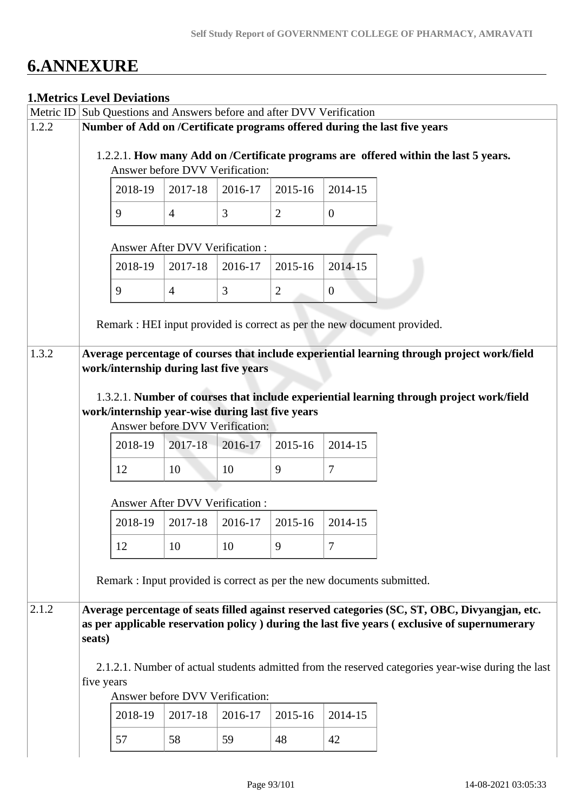# **6.ANNEXURE**

## **1.Metrics Level Deviations**

|                |                                                     | <b>1. VIELFIUS LEVEL DEVIATIONS</b>                                                                                                                                                                                                                                                |                                |                                |                              |                                           |                                                                                                                                                                                                                                                                                          |  |  |  |  |  |
|----------------|-----------------------------------------------------|------------------------------------------------------------------------------------------------------------------------------------------------------------------------------------------------------------------------------------------------------------------------------------|--------------------------------|--------------------------------|------------------------------|-------------------------------------------|------------------------------------------------------------------------------------------------------------------------------------------------------------------------------------------------------------------------------------------------------------------------------------------|--|--|--|--|--|
|                |                                                     | Metric ID Sub Questions and Answers before and after DVV Verification                                                                                                                                                                                                              |                                |                                |                              |                                           |                                                                                                                                                                                                                                                                                          |  |  |  |  |  |
| 1.2.2          |                                                     | Number of Add on /Certificate programs offered during the last five years<br>1.2.2.1. How many Add on /Certificate programs are offered within the last 5 years.<br>Answer before DVV Verification:                                                                                |                                |                                |                              |                                           |                                                                                                                                                                                                                                                                                          |  |  |  |  |  |
|                | 2018-19<br>2017-18<br>2016-17<br>2015-16<br>2014-15 |                                                                                                                                                                                                                                                                                    |                                |                                |                              |                                           |                                                                                                                                                                                                                                                                                          |  |  |  |  |  |
|                |                                                     | 9                                                                                                                                                                                                                                                                                  | $\overline{4}$                 | 3                              | $\overline{2}$               | $\overline{0}$                            |                                                                                                                                                                                                                                                                                          |  |  |  |  |  |
|                | <b>Answer After DVV Verification:</b>               |                                                                                                                                                                                                                                                                                    |                                |                                |                              |                                           |                                                                                                                                                                                                                                                                                          |  |  |  |  |  |
|                |                                                     | 2018-19                                                                                                                                                                                                                                                                            | 2017-18                        | 2016-17                        | 2015-16                      | 2014-15                                   |                                                                                                                                                                                                                                                                                          |  |  |  |  |  |
|                |                                                     | 9                                                                                                                                                                                                                                                                                  | $\overline{4}$                 | 3                              | $\overline{2}$               | $\overline{0}$                            |                                                                                                                                                                                                                                                                                          |  |  |  |  |  |
|                |                                                     |                                                                                                                                                                                                                                                                                    |                                |                                |                              |                                           | Remark : HEI input provided is correct as per the new document provided.                                                                                                                                                                                                                 |  |  |  |  |  |
| 1.3.2<br>2.1.2 |                                                     | work/internship during last five years<br>work/internship year-wise during last five years<br>Answer before DVV Verification:<br>2018-19<br>12<br><b>Answer After DVV Verification:</b><br>2018-19<br>12<br>Remark : Input provided is correct as per the new documents submitted. | 2017-18<br>10<br>2017-18<br>10 | 2016-17<br>10<br>2016-17<br>10 | 2015-16<br>9<br>2015-16<br>9 | 2014-15<br>7<br>2014-15<br>$\overline{7}$ | Average percentage of courses that include experiential learning through project work/field<br>1.3.2.1. Number of courses that include experiential learning through project work/field<br>Average percentage of seats filled against reserved categories (SC, ST, OBC, Divyangjan, etc. |  |  |  |  |  |
|                | seats)<br>five years                                | Answer before DVV Verification:                                                                                                                                                                                                                                                    |                                |                                |                              |                                           | as per applicable reservation policy ) during the last five years (exclusive of supernumerary<br>2.1.2.1. Number of actual students admitted from the reserved categories year-wise during the last                                                                                      |  |  |  |  |  |
|                |                                                     | 2018-19                                                                                                                                                                                                                                                                            | 2017-18                        | 2016-17                        | 2015-16                      | 2014-15                                   |                                                                                                                                                                                                                                                                                          |  |  |  |  |  |
|                |                                                     | 57                                                                                                                                                                                                                                                                                 | 58                             | 59                             | 48                           | 42                                        |                                                                                                                                                                                                                                                                                          |  |  |  |  |  |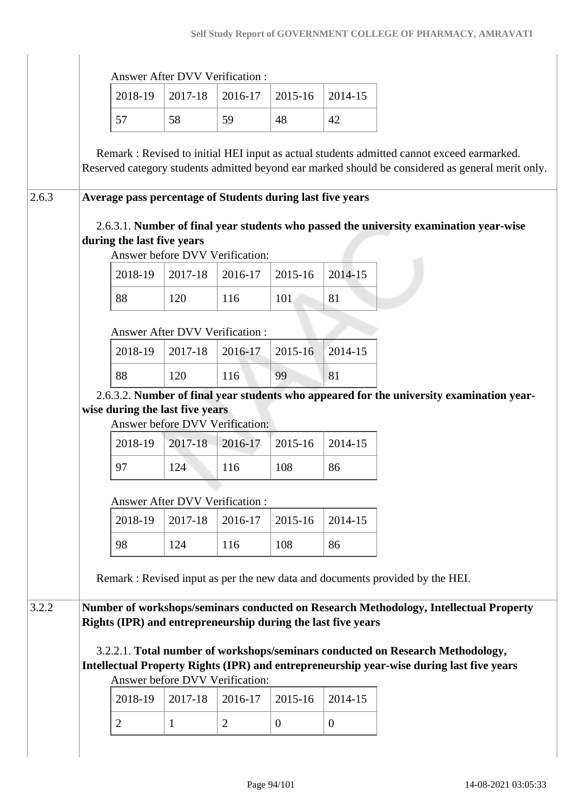|                                                                                                                                                                                                 | <b>Answer After DVV Verification:</b> |         |         |         |
|-------------------------------------------------------------------------------------------------------------------------------------------------------------------------------------------------|---------------------------------------|---------|---------|---------|
| 2018-19                                                                                                                                                                                         | 2017-18                               | 2016-17 | 2015-16 | 2014-15 |
| 57                                                                                                                                                                                              | 58                                    | 59      | 48      | 42      |
| Remark : Revised to initial HEI input as actual students admitted cannot exceed earmarked.<br>Reserved category students admitted beyond ear marked should be considered as general merit only. |                                       |         |         |         |
| Average pass percentage of Students during last five years<br>2.6.3.1. Number of final year students who passed the university examination year-wise<br>during the last five years              | Answer before DVV Verification:       |         |         |         |
| 2018-19                                                                                                                                                                                         | 2017-18                               | 2016-17 | 2015-16 | 2014-15 |
| 88                                                                                                                                                                                              | 120                                   | 116     | 101     | 81      |
|                                                                                                                                                                                                 | <b>Answer After DVV Verification:</b> |         |         |         |
| 2018-19                                                                                                                                                                                         | 2017-18                               | 2016-17 | 2015-16 | 2014-15 |
| 88                                                                                                                                                                                              | 120                                   | 116     | 99      | 81      |
|                                                                                                                                                                                                 |                                       |         |         |         |
| 2.6.3.2. Number of final year students who appeared for the university examination year-<br>wise during the last five years                                                                     | Answer before DVV Verification:       |         |         |         |
| 2018-19                                                                                                                                                                                         | 2017-18                               | 2016-17 | 2015-16 | 2014-15 |
| 97                                                                                                                                                                                              | 124                                   | 116     | 108     | 86      |
|                                                                                                                                                                                                 | Answer After DVV Verification:        |         |         |         |
| 2018-19                                                                                                                                                                                         | 2017-18                               | 2016-17 | 2015-16 | 2014-15 |
| 98                                                                                                                                                                                              | 124                                   | 116     | 108     | 86      |
| Remark: Revised input as per the new data and documents provided by the HEI.                                                                                                                    |                                       |         |         |         |
| Number of workshops/seminars conducted on Research Methodology, Intellectual Property<br>Rights (IPR) and entrepreneurship during the last five years                                           |                                       |         |         |         |
| 3.2.2.1. Total number of workshops/seminars conducted on Research Methodology,<br>Intellectual Property Rights (IPR) and entrepreneurship year-wise during last five years                      | Answer before DVV Verification:       |         |         |         |
| 2018-19                                                                                                                                                                                         | 2017-18                               | 2016-17 | 2015-16 | 2014-15 |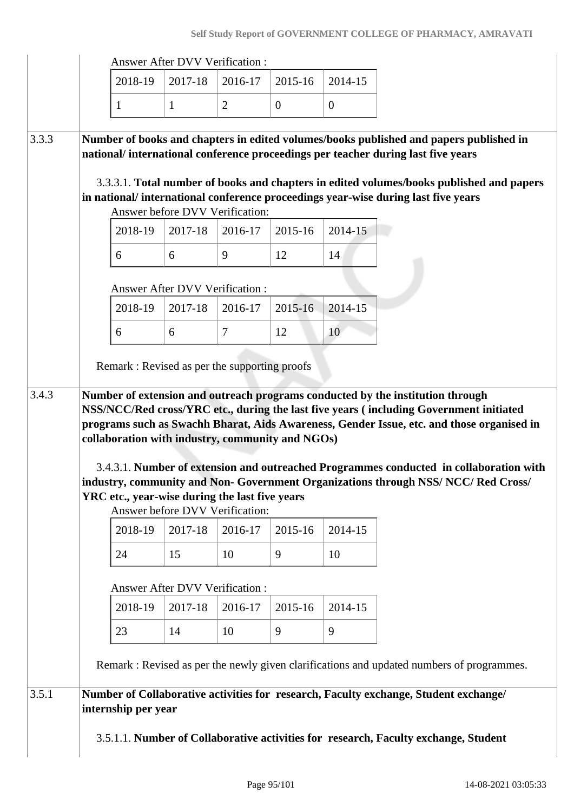|       |         |                                       | <b>Answer After DVV Verification:</b>          |              |              |                                                                                                                                                                                                                                                                                                                                                             |  |
|-------|---------|---------------------------------------|------------------------------------------------|--------------|--------------|-------------------------------------------------------------------------------------------------------------------------------------------------------------------------------------------------------------------------------------------------------------------------------------------------------------------------------------------------------------|--|
|       | 2018-19 | 2017-18                               | 2016-17                                        | 2015-16      | 2014-15      |                                                                                                                                                                                                                                                                                                                                                             |  |
|       | 1       | 1                                     | $\overline{2}$                                 | $\mathbf{0}$ | $\mathbf{0}$ |                                                                                                                                                                                                                                                                                                                                                             |  |
| 3.3.3 |         |                                       | Answer before DVV Verification:                |              |              | Number of books and chapters in edited volumes/books published and papers published in<br>national/international conference proceedings per teacher during last five years<br>3.3.3.1. Total number of books and chapters in edited volumes/books published and papers<br>in national/international conference proceedings year-wise during last five years |  |
|       | 2018-19 | 2017-18                               | 2016-17                                        | 2015-16      | 2014-15      |                                                                                                                                                                                                                                                                                                                                                             |  |
|       | 6       | 6                                     | 9                                              | 12           | 14           |                                                                                                                                                                                                                                                                                                                                                             |  |
|       |         |                                       | <b>Answer After DVV Verification:</b>          |              |              |                                                                                                                                                                                                                                                                                                                                                             |  |
|       | 2018-19 | 2017-18                               | 2016-17                                        | $2015 - 16$  | 2014-15      |                                                                                                                                                                                                                                                                                                                                                             |  |
|       | 6       | 6                                     | $\tau$                                         | 12           | 10           |                                                                                                                                                                                                                                                                                                                                                             |  |
|       |         |                                       |                                                |              |              |                                                                                                                                                                                                                                                                                                                                                             |  |
|       |         |                                       | YRC etc., year-wise during the last five years |              |              | 3.4.3.1. Number of extension and outreached Programmes conducted in collaboration with<br>industry, community and Non- Government Organizations through NSS/NCC/Red Cross/                                                                                                                                                                                  |  |
|       | 2018-19 | 2017-18                               | Answer before DVV Verification:<br>2016-17     | 2015-16      | 2014-15      |                                                                                                                                                                                                                                                                                                                                                             |  |
|       | 24      | 15                                    | 10                                             | 9            | 10           |                                                                                                                                                                                                                                                                                                                                                             |  |
|       |         | <b>Answer After DVV Verification:</b> |                                                |              |              |                                                                                                                                                                                                                                                                                                                                                             |  |
|       | 2018-19 | 2017-18                               | 2016-17                                        | 2015-16      | 2014-15      |                                                                                                                                                                                                                                                                                                                                                             |  |
|       | 23      | 14                                    | 10                                             | 9            | 9            |                                                                                                                                                                                                                                                                                                                                                             |  |
|       |         |                                       |                                                |              |              | Remark: Revised as per the newly given clarifications and updated numbers of programmes.                                                                                                                                                                                                                                                                    |  |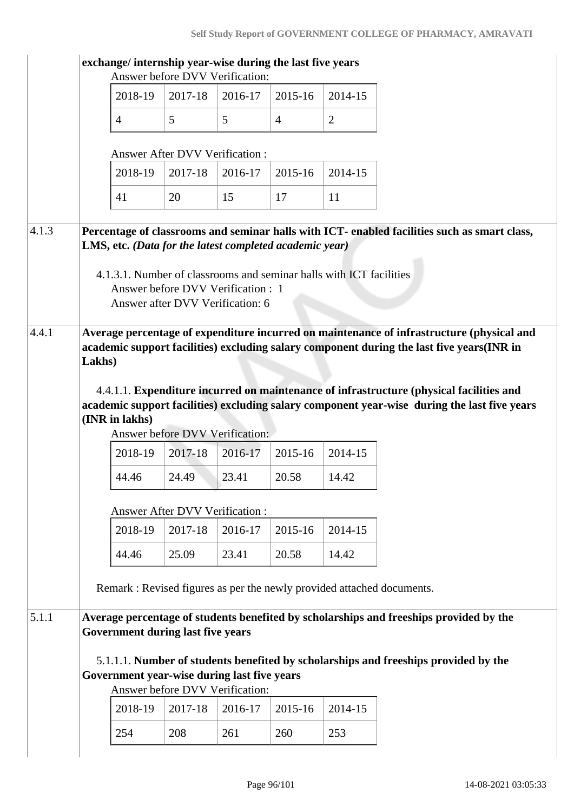|       |        |                |                                          | Answer before DVV Verification:                                                | exchange/ internship year-wise during the last five years |                                                                     |                                                                                                                                                                                                                                                                                                                                                                                   |
|-------|--------|----------------|------------------------------------------|--------------------------------------------------------------------------------|-----------------------------------------------------------|---------------------------------------------------------------------|-----------------------------------------------------------------------------------------------------------------------------------------------------------------------------------------------------------------------------------------------------------------------------------------------------------------------------------------------------------------------------------|
|       |        | 2018-19        | 2017-18                                  | 2016-17                                                                        | 2015-16                                                   | 2014-15                                                             |                                                                                                                                                                                                                                                                                                                                                                                   |
|       |        | $\overline{4}$ | 5                                        | 5                                                                              | $\overline{4}$                                            | $\overline{2}$                                                      |                                                                                                                                                                                                                                                                                                                                                                                   |
|       |        |                | <b>Answer After DVV Verification:</b>    |                                                                                |                                                           |                                                                     |                                                                                                                                                                                                                                                                                                                                                                                   |
|       |        | 2018-19        | 2017-18                                  | 2016-17                                                                        | 2015-16                                                   | 2014-15                                                             |                                                                                                                                                                                                                                                                                                                                                                                   |
|       |        | 41             | 20                                       | 15                                                                             | 17                                                        | 11                                                                  |                                                                                                                                                                                                                                                                                                                                                                                   |
| 4.1.3 |        |                |                                          | Answer before DVV Verification : 1<br>Answer after DVV Verification: 6         | LMS, etc. (Data for the latest completed academic year)   | 4.1.3.1. Number of classrooms and seminar halls with ICT facilities | Percentage of classrooms and seminar halls with ICT- enabled facilities such as smart class,                                                                                                                                                                                                                                                                                      |
| 4.4.1 | Lakhs) | (INR in lakhs) |                                          | Answer before DVV Verification:                                                |                                                           |                                                                     | Average percentage of expenditure incurred on maintenance of infrastructure (physical and<br>academic support facilities) excluding salary component during the last five years(INR in<br>4.4.1.1. Expenditure incurred on maintenance of infrastructure (physical facilities and<br>academic support facilities) excluding salary component year-wise during the last five years |
|       |        | 2018-19        | 2017-18                                  | 2016-17                                                                        | 2015-16                                                   | 2014-15                                                             |                                                                                                                                                                                                                                                                                                                                                                                   |
|       |        | 44.46          | 24.49                                    | 23.41                                                                          | 20.58                                                     | 14.42                                                               |                                                                                                                                                                                                                                                                                                                                                                                   |
|       |        |                | Answer After DVV Verification:           |                                                                                |                                                           |                                                                     |                                                                                                                                                                                                                                                                                                                                                                                   |
|       |        | 2018-19        | 2017-18                                  | 2016-17                                                                        | 2015-16                                                   | 2014-15                                                             |                                                                                                                                                                                                                                                                                                                                                                                   |
|       |        | 44.46          | 25.09                                    | 23.41                                                                          | 20.58                                                     | 14.42                                                               |                                                                                                                                                                                                                                                                                                                                                                                   |
|       |        |                |                                          |                                                                                |                                                           |                                                                     | Remark: Revised figures as per the newly provided attached documents.                                                                                                                                                                                                                                                                                                             |
| 5.1.1 |        |                | <b>Government during last five years</b> | Government year-wise during last five years<br>Answer before DVV Verification: |                                                           |                                                                     | Average percentage of students benefited by scholarships and freeships provided by the<br>5.1.1.1. Number of students benefited by scholarships and freeships provided by the                                                                                                                                                                                                     |
|       |        | 2018-19        | 2017-18                                  | 2016-17                                                                        | 2015-16                                                   | 2014-15                                                             |                                                                                                                                                                                                                                                                                                                                                                                   |
|       |        |                |                                          |                                                                                |                                                           |                                                                     |                                                                                                                                                                                                                                                                                                                                                                                   |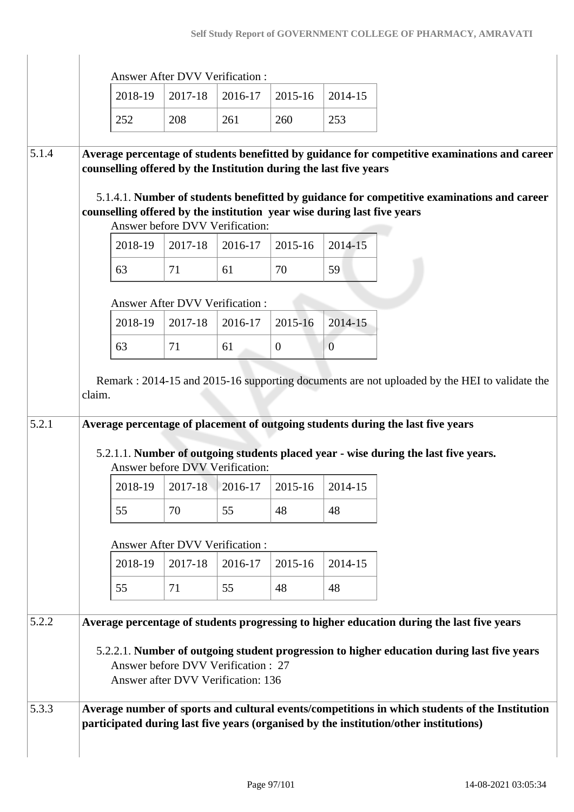|       |                                                                                                                                                                    | <b>Answer After DVV Verification:</b>                                                                                                                                                                                                                                  |         |                |                |  |  |  |  |  |
|-------|--------------------------------------------------------------------------------------------------------------------------------------------------------------------|------------------------------------------------------------------------------------------------------------------------------------------------------------------------------------------------------------------------------------------------------------------------|---------|----------------|----------------|--|--|--|--|--|
|       | 2018-19                                                                                                                                                            | 2017-18                                                                                                                                                                                                                                                                | 2016-17 | 2015-16        | 2014-15        |  |  |  |  |  |
|       | 252                                                                                                                                                                | 208                                                                                                                                                                                                                                                                    | 261     | 260            | 253            |  |  |  |  |  |
|       |                                                                                                                                                                    |                                                                                                                                                                                                                                                                        |         |                |                |  |  |  |  |  |
| 5.1.4 | Average percentage of students benefitted by guidance for competitive examinations and career<br>counselling offered by the Institution during the last five years |                                                                                                                                                                                                                                                                        |         |                |                |  |  |  |  |  |
|       |                                                                                                                                                                    |                                                                                                                                                                                                                                                                        |         |                |                |  |  |  |  |  |
|       | counselling offered by the institution year wise during last five years                                                                                            | 5.1.4.1. Number of students benefitted by guidance for competitive examinations and career                                                                                                                                                                             |         |                |                |  |  |  |  |  |
|       |                                                                                                                                                                    | Answer before DVV Verification:                                                                                                                                                                                                                                        |         |                |                |  |  |  |  |  |
|       | 2018-19                                                                                                                                                            | 2017-18                                                                                                                                                                                                                                                                | 2016-17 | 2015-16        | 2014-15        |  |  |  |  |  |
|       | 63                                                                                                                                                                 | 71                                                                                                                                                                                                                                                                     | 61      | 70             | 59             |  |  |  |  |  |
|       |                                                                                                                                                                    | <b>Answer After DVV Verification:</b>                                                                                                                                                                                                                                  |         |                |                |  |  |  |  |  |
|       | 2018-19                                                                                                                                                            | 2017-18                                                                                                                                                                                                                                                                | 2016-17 | 2015-16        | 2014-15        |  |  |  |  |  |
|       | 63                                                                                                                                                                 | 71                                                                                                                                                                                                                                                                     | 61      | $\overline{0}$ | $\overline{0}$ |  |  |  |  |  |
| 5.2.1 | claim.                                                                                                                                                             | Remark: 2014-15 and 2015-16 supporting documents are not uploaded by the HEI to validate the<br>Average percentage of placement of outgoing students during the last five years<br>5.2.1.1. Number of outgoing students placed year - wise during the last five years. |         |                |                |  |  |  |  |  |
|       |                                                                                                                                                                    |                                                                                                                                                                                                                                                                        |         |                |                |  |  |  |  |  |
|       |                                                                                                                                                                    | Answer before DVV Verification:                                                                                                                                                                                                                                        |         |                |                |  |  |  |  |  |
|       | 2018-19                                                                                                                                                            | 2017-18                                                                                                                                                                                                                                                                | 2016-17 | 2015-16        | 2014-15        |  |  |  |  |  |
|       | 55                                                                                                                                                                 | 70                                                                                                                                                                                                                                                                     | 55      | 48             | 48             |  |  |  |  |  |
|       |                                                                                                                                                                    | <b>Answer After DVV Verification:</b>                                                                                                                                                                                                                                  |         |                |                |  |  |  |  |  |
|       | 2018-19                                                                                                                                                            | 2017-18                                                                                                                                                                                                                                                                | 2016-17 | 2015-16        | 2014-15        |  |  |  |  |  |
|       | 55                                                                                                                                                                 | 71                                                                                                                                                                                                                                                                     | 55      | 48             | 48             |  |  |  |  |  |
| 5.2.2 | Average percentage of students progressing to higher education during the last five years                                                                          |                                                                                                                                                                                                                                                                        |         |                |                |  |  |  |  |  |
|       |                                                                                                                                                                    | 5.2.2.1. Number of outgoing student progression to higher education during last five years<br>Answer before DVV Verification : 27<br>Answer after DVV Verification: 136                                                                                                |         |                |                |  |  |  |  |  |

 $\begin{array}{c} \hline \end{array}$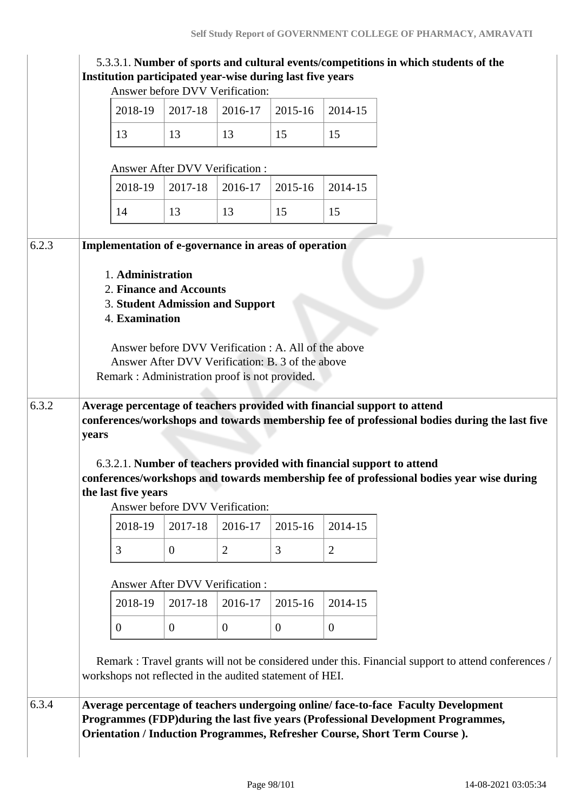|       |       | Institution participated year-wise during last five years                                            |                                       |                                                                                                          |                |                  | 5.3.3.1. Number of sports and cultural events/competitions in which students of the                                                                                                                                                                                                                                                           |
|-------|-------|------------------------------------------------------------------------------------------------------|---------------------------------------|----------------------------------------------------------------------------------------------------------|----------------|------------------|-----------------------------------------------------------------------------------------------------------------------------------------------------------------------------------------------------------------------------------------------------------------------------------------------------------------------------------------------|
|       |       |                                                                                                      |                                       | Answer before DVV Verification:                                                                          |                |                  |                                                                                                                                                                                                                                                                                                                                               |
|       |       | 2018-19                                                                                              | 2017-18                               | 2016-17                                                                                                  | 2015-16        | 2014-15          |                                                                                                                                                                                                                                                                                                                                               |
|       |       | 13                                                                                                   | 13                                    | 13                                                                                                       | 15             | 15               |                                                                                                                                                                                                                                                                                                                                               |
|       |       |                                                                                                      | <b>Answer After DVV Verification:</b> |                                                                                                          |                |                  |                                                                                                                                                                                                                                                                                                                                               |
|       |       | 2018-19                                                                                              | 2017-18                               | 2016-17                                                                                                  | 2015-16        | 2014-15          |                                                                                                                                                                                                                                                                                                                                               |
|       |       | 14                                                                                                   | 13                                    | 13                                                                                                       | 15             | 15               |                                                                                                                                                                                                                                                                                                                                               |
| 6.2.3 |       | Implementation of e-governance in areas of operation<br>1. Administration<br>2. Finance and Accounts |                                       |                                                                                                          |                |                  |                                                                                                                                                                                                                                                                                                                                               |
|       |       | <b>3. Student Admission and Support</b><br>4. Examination                                            |                                       | Answer before DVV Verification : A. All of the above<br>Answer After DVV Verification: B. 3 of the above |                |                  |                                                                                                                                                                                                                                                                                                                                               |
|       |       | Remark: Administration proof is not provided.                                                        |                                       |                                                                                                          |                |                  |                                                                                                                                                                                                                                                                                                                                               |
| 6.3.2 | years | the last five years                                                                                  |                                       |                                                                                                          |                |                  | Average percentage of teachers provided with financial support to attend<br>conferences/workshops and towards membership fee of professional bodies during the last five<br>6.3.2.1. Number of teachers provided with financial support to attend<br>conferences/workshops and towards membership fee of professional bodies year wise during |
|       |       |                                                                                                      |                                       | Answer before DVV Verification:                                                                          |                |                  |                                                                                                                                                                                                                                                                                                                                               |
|       |       | 2018-19                                                                                              | 2017-18                               | 2016-17                                                                                                  | 2015-16        | 2014-15          |                                                                                                                                                                                                                                                                                                                                               |
|       |       | 3                                                                                                    | $\theta$                              | $\overline{2}$                                                                                           | 3              | $\overline{2}$   |                                                                                                                                                                                                                                                                                                                                               |
|       |       |                                                                                                      |                                       | <b>Answer After DVV Verification:</b>                                                                    |                |                  |                                                                                                                                                                                                                                                                                                                                               |
|       |       | 2018-19                                                                                              | 2017-18                               | 2016-17                                                                                                  | 2015-16        | 2014-15          |                                                                                                                                                                                                                                                                                                                                               |
|       |       | $\overline{0}$                                                                                       | $\overline{0}$                        | $\overline{0}$                                                                                           | $\overline{0}$ | $\boldsymbol{0}$ |                                                                                                                                                                                                                                                                                                                                               |
|       |       | workshops not reflected in the audited statement of HEI.                                             |                                       |                                                                                                          |                |                  | Remark : Travel grants will not be considered under this. Financial support to attend conferences /                                                                                                                                                                                                                                           |
| 6.3.4 |       |                                                                                                      |                                       |                                                                                                          |                |                  | Average percentage of teachers undergoing online/face-to-face Faculty Development<br>Programmes (FDP) during the last five years (Professional Development Programmes,<br>Orientation / Induction Programmes, Refresher Course, Short Term Course).                                                                                           |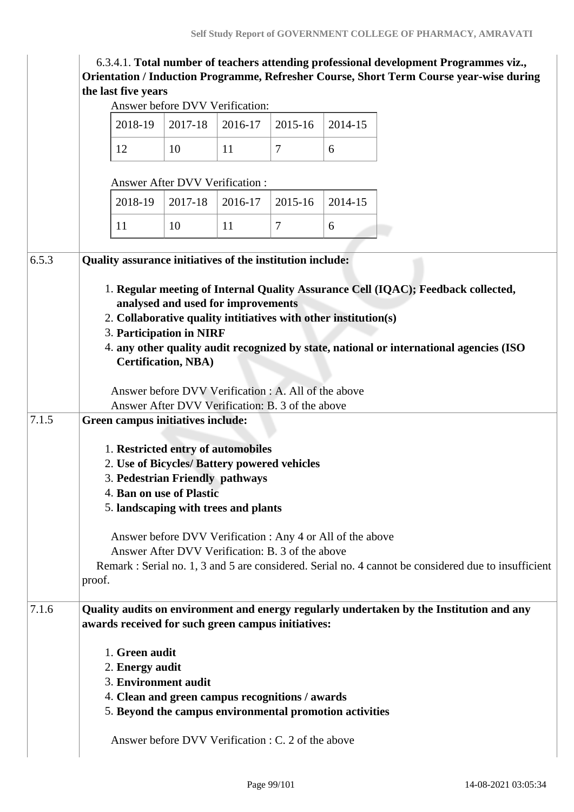| Answer before DVV Verification:<br>2017-18<br>2018-19<br>2016-17<br>2015-16<br>2014-15                                                                                                                                                                                                                                                                                                                                                                               |         |                                                                                  |                                                                                                 |                                                                                                               |                                                                                                                                                                                                                                                                                                                     |                                                                                                                                                                                                                                                                                                                                                                                                                                                                                                               |  |  |  |  |
|----------------------------------------------------------------------------------------------------------------------------------------------------------------------------------------------------------------------------------------------------------------------------------------------------------------------------------------------------------------------------------------------------------------------------------------------------------------------|---------|----------------------------------------------------------------------------------|-------------------------------------------------------------------------------------------------|---------------------------------------------------------------------------------------------------------------|---------------------------------------------------------------------------------------------------------------------------------------------------------------------------------------------------------------------------------------------------------------------------------------------------------------------|---------------------------------------------------------------------------------------------------------------------------------------------------------------------------------------------------------------------------------------------------------------------------------------------------------------------------------------------------------------------------------------------------------------------------------------------------------------------------------------------------------------|--|--|--|--|
|                                                                                                                                                                                                                                                                                                                                                                                                                                                                      |         |                                                                                  |                                                                                                 |                                                                                                               |                                                                                                                                                                                                                                                                                                                     |                                                                                                                                                                                                                                                                                                                                                                                                                                                                                                               |  |  |  |  |
| 12                                                                                                                                                                                                                                                                                                                                                                                                                                                                   | 10      | 11                                                                               | $\overline{7}$                                                                                  | 6                                                                                                             |                                                                                                                                                                                                                                                                                                                     |                                                                                                                                                                                                                                                                                                                                                                                                                                                                                                               |  |  |  |  |
|                                                                                                                                                                                                                                                                                                                                                                                                                                                                      |         |                                                                                  |                                                                                                 |                                                                                                               |                                                                                                                                                                                                                                                                                                                     |                                                                                                                                                                                                                                                                                                                                                                                                                                                                                                               |  |  |  |  |
| 2018-19                                                                                                                                                                                                                                                                                                                                                                                                                                                              | 2017-18 | 2016-17                                                                          | 2015-16                                                                                         | 2014-15                                                                                                       |                                                                                                                                                                                                                                                                                                                     |                                                                                                                                                                                                                                                                                                                                                                                                                                                                                                               |  |  |  |  |
| 11                                                                                                                                                                                                                                                                                                                                                                                                                                                                   | 10      | 11                                                                               | $\overline{7}$                                                                                  | 6                                                                                                             |                                                                                                                                                                                                                                                                                                                     |                                                                                                                                                                                                                                                                                                                                                                                                                                                                                                               |  |  |  |  |
| Quality assurance initiatives of the institution include:<br>1. Regular meeting of Internal Quality Assurance Cell (IQAC); Feedback collected,<br>analysed and used for improvements<br>2. Collaborative quality intitiatives with other institution(s)<br>3. Participation in NIRF<br>4. any other quality audit recognized by state, national or international agencies (ISO<br><b>Certification, NBA)</b><br>Answer before DVV Verification : A. All of the above |         |                                                                                  |                                                                                                 |                                                                                                               |                                                                                                                                                                                                                                                                                                                     |                                                                                                                                                                                                                                                                                                                                                                                                                                                                                                               |  |  |  |  |
| proof.                                                                                                                                                                                                                                                                                                                                                                                                                                                               |         |                                                                                  |                                                                                                 |                                                                                                               |                                                                                                                                                                                                                                                                                                                     |                                                                                                                                                                                                                                                                                                                                                                                                                                                                                                               |  |  |  |  |
|                                                                                                                                                                                                                                                                                                                                                                                                                                                                      |         |                                                                                  |                                                                                                 |                                                                                                               |                                                                                                                                                                                                                                                                                                                     |                                                                                                                                                                                                                                                                                                                                                                                                                                                                                                               |  |  |  |  |
|                                                                                                                                                                                                                                                                                                                                                                                                                                                                      |         | the last five years<br>1. Green audit<br>2. Energy audit<br>3. Environment audit | Answer After DVV Verification:<br>Green campus initiatives include:<br>4. Ban on use of Plastic | 1. Restricted entry of automobiles<br>3. Pedestrian Friendly pathways<br>5. landscaping with trees and plants | Answer After DVV Verification: B. 3 of the above<br>2. Use of Bicycles/ Battery powered vehicles<br>Answer After DVV Verification: B. 3 of the above<br>awards received for such green campus initiatives:<br>4. Clean and green campus recognitions / awards<br>Answer before DVV Verification : C. 2 of the above | 6.3.4.1. Total number of teachers attending professional development Programmes viz.,<br>Orientation / Induction Programme, Refresher Course, Short Term Course year-wise during<br>Answer before DVV Verification : Any 4 or All of the above<br>Remark : Serial no. 1, 3 and 5 are considered. Serial no. 4 cannot be considered due to insufficient<br>Quality audits on environment and energy regularly undertaken by the Institution and any<br>5. Beyond the campus environmental promotion activities |  |  |  |  |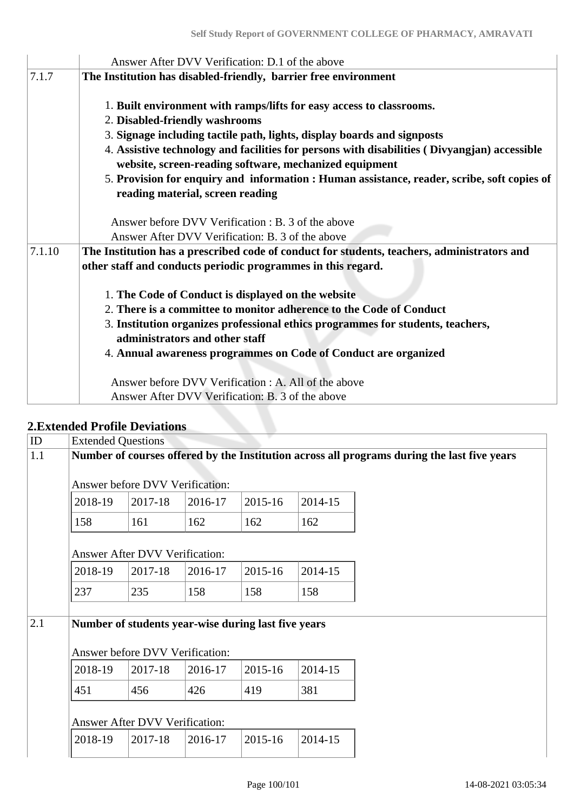|        | Answer After DVV Verification: D.1 of the above                                              |
|--------|----------------------------------------------------------------------------------------------|
| 7.1.7  | The Institution has disabled-friendly, barrier free environment                              |
|        |                                                                                              |
|        | 1. Built environment with ramps/lifts for easy access to classrooms.                         |
|        | 2. Disabled-friendly washrooms                                                               |
|        | 3. Signage including tactile path, lights, display boards and signposts                      |
|        | 4. Assistive technology and facilities for persons with disabilities (Divyangian) accessible |
|        | website, screen-reading software, mechanized equipment                                       |
|        | 5. Provision for enquiry and information : Human assistance, reader, scribe, soft copies of  |
|        | reading material, screen reading                                                             |
|        |                                                                                              |
|        | Answer before DVV Verification : B. 3 of the above                                           |
|        | Answer After DVV Verification: B. 3 of the above                                             |
| 7.1.10 | The Institution has a prescribed code of conduct for students, teachers, administrators and  |
|        | other staff and conducts periodic programmes in this regard.                                 |
|        |                                                                                              |
|        | 1. The Code of Conduct is displayed on the website                                           |
|        | 2. There is a committee to monitor adherence to the Code of Conduct                          |
|        | 3. Institution organizes professional ethics programmes for students, teachers,              |
|        | administrators and other staff                                                               |
|        |                                                                                              |
|        | 4. Annual awareness programmes on Code of Conduct are organized                              |
|        | Answer before DVV Verification : A. All of the above                                         |
|        | Answer After DVV Verification: B. 3 of the above                                             |
|        |                                                                                              |

# **2.Extended Profile Deviations**

| Number of courses offered by the Institution across all programs during the last five years |         |                           |                                                                                                                   |         |                                                     |  |  |  |  |  |
|---------------------------------------------------------------------------------------------|---------|---------------------------|-------------------------------------------------------------------------------------------------------------------|---------|-----------------------------------------------------|--|--|--|--|--|
| Answer before DVV Verification:                                                             |         |                           |                                                                                                                   |         |                                                     |  |  |  |  |  |
| 2018-19                                                                                     | 2017-18 | 2016-17                   | 2015-16                                                                                                           | 2014-15 |                                                     |  |  |  |  |  |
| 158                                                                                         | 161     | 162                       | 162                                                                                                               | 162     |                                                     |  |  |  |  |  |
|                                                                                             |         |                           |                                                                                                                   |         |                                                     |  |  |  |  |  |
| 2018-19                                                                                     | 2017-18 | 2016-17                   | 2015-16                                                                                                           | 2014-15 |                                                     |  |  |  |  |  |
| 237                                                                                         | 235     | 158                       | 158                                                                                                               | 158     |                                                     |  |  |  |  |  |
|                                                                                             |         |                           |                                                                                                                   |         |                                                     |  |  |  |  |  |
|                                                                                             |         |                           |                                                                                                                   |         |                                                     |  |  |  |  |  |
| 2018-19                                                                                     | 2017-18 | 2016-17                   | 2015-16                                                                                                           | 2014-15 |                                                     |  |  |  |  |  |
| 451                                                                                         | 456     | 426                       | 419                                                                                                               | 381     |                                                     |  |  |  |  |  |
|                                                                                             |         |                           |                                                                                                                   |         |                                                     |  |  |  |  |  |
| 2018-19                                                                                     | 2017-18 | 2016-17                   | 2015-16                                                                                                           | 2014-15 |                                                     |  |  |  |  |  |
|                                                                                             |         | <b>Extended Questions</b> | <b>Answer After DVV Verification:</b><br>Answer before DVV Verification:<br><b>Answer After DVV Verification:</b> |         | Number of students year-wise during last five years |  |  |  |  |  |